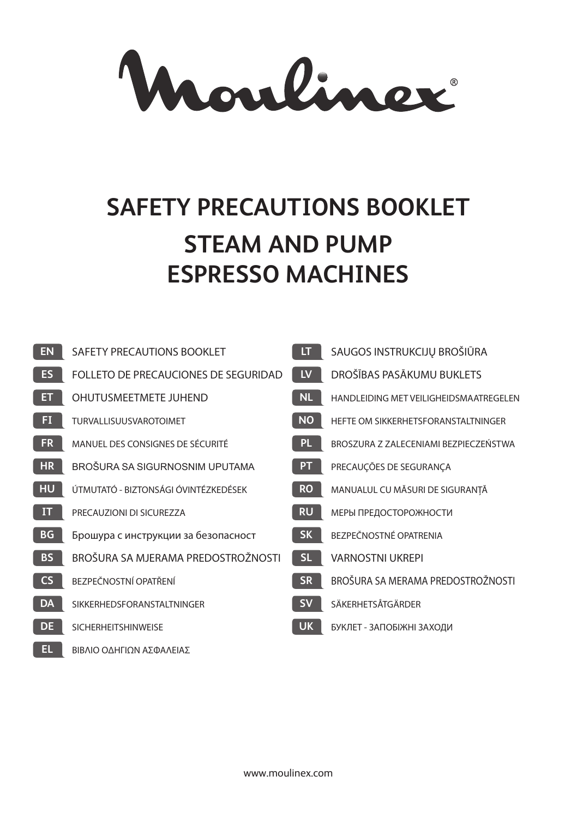Mouliner

# **SAFETY PRECAUTIONS BOOKLET STEAM AND PUMP ESPRESSO MACHINES**

| <b>EN</b> | SAFETY PRECAUTIONS BOOKLET           | LT.       | SAUGOS INSTRUKCIJŲ BROŠIŪRA            |
|-----------|--------------------------------------|-----------|----------------------------------------|
| <b>ES</b> | FOLLETO DE PRECAUCIONES DE SEGURIDAD | <b>LV</b> | DROŠĪBAS PASĀKUMU BUKLETS              |
| ET        | OHUTUSMEETMETE JUHEND                | <b>NL</b> | HANDLEIDING MET VEILIGHEIDSMAATREGELEN |
| FI.       | TURVALLISUUSVAROTOIMET               | <b>NO</b> | HEFTE OM SIKKERHETSFORANSTALTNINGER    |
| <b>FR</b> | MANUEL DES CONSIGNES DE SÉCURITÉ     | PL.       | BROSZURA Z ZALECENIAMI BEZPIECZEŃSTWA  |
| <b>HR</b> | BROŠURA SA SIGURNOSNIM UPUTAMA       | PT.       | PRECAUÇÕES DE SEGURANÇA                |
| <b>HU</b> | ÚTMUTATÓ - BIZTONSÁGI ÓVINTÉZKEDÉSEK | <b>RO</b> | MANUALUL CU MĂSURI DE SIGURANȚĂ        |
| IT        | PRECAUZIONI DI SICUREZZA             | <b>RU</b> | МЕРЫ ПРЕДОСТОРОЖНОСТИ                  |
| <b>BG</b> | Брошура с инструкции за безопасност  | <b>SK</b> | BEZPEČNOSTNÉ OPATRENIA                 |
| <b>BS</b> | BROŠURA SA MJERAMA PREDOSTROŽNOSTI   | SL.       | <b>VARNOSTNI UKREPI</b>                |
| <b>CS</b> | BEZPEČNOSTNÍ OPATŘENÍ                | <b>SR</b> | BROŠURA SA MERAMA PREDOSTROŽNOSTI      |
| <b>DA</b> | SIKKERHEDSFORANSTALTNINGER           | <b>SV</b> | SÄKERHETSÅTGÄRDER                      |
| <b>DE</b> | <b>SICHERHEITSHINWEISE</b>           | <b>UK</b> | БУКЛЕТ - ЗАПОБІЖНІ ЗАХОДИ              |
| EL.       | ΒΙΒΛΙΟ ΟΔΗΓΙΟΝ ΑΣΦΑΛΕΙΑΣ             |           |                                        |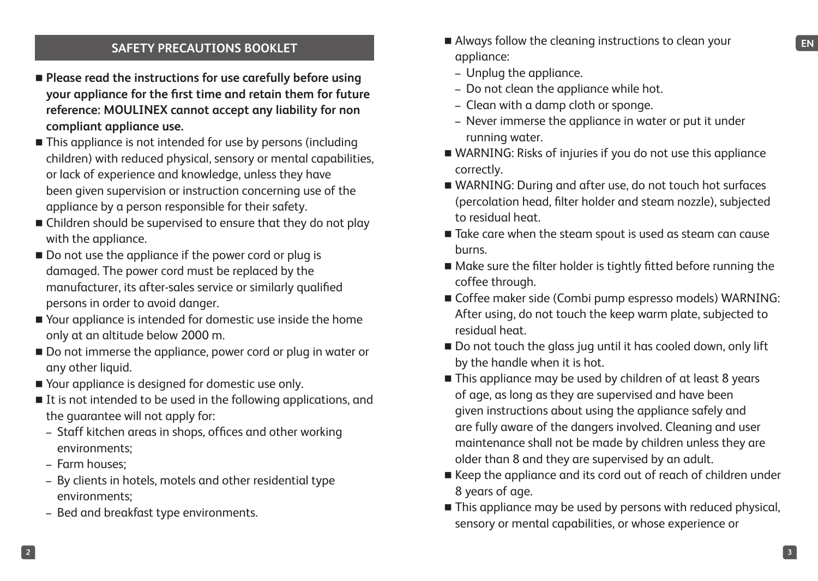- **Please read the instructions for use carefully before using your appliance for the first time and retain them for future reference: MOULINEX cannot accept any liability for non compliant appliance use.**
- This appliance is not intended for use by persons (including children) with reduced physical, sensory or mental capabilities, or lack of experience and knowledge, unless they have been given supervision or instruction concerning use of the appliance by a person responsible for their safety.
- Children should be supervised to ensure that they do not play with the appliance.
- Do not use the appliance if the power cord or plug is damaged. The power cord must be replaced by the manufacturer, its after-sales service or similarly qualified persons in order to avoid danger.
- Your appliance is intended for domestic use inside the home only at an altitude below 2000 m.
- Do not immerse the appliance, power cord or plug in water or any other liquid.
- Your appliance is designed for domestic use only.
- If is not intended to be used in the following applications, and the guarantee will not apply for:
	- Staff kitchen areas in shops, offices and other working environments;
	- Farm houses;
	- By clients in hotels, motels and other residential type environments;
	- Bed and breakfast type environments.
- **ENDETTY PRECAUTIONS BOOKLET EXAMPLEM EXAMPLEM** Always follow the cleaning instructions to clean your Always follow the cleaning instructions to clean your appliance:
	- Unplug the appliance.
	- Do not clean the appliance while hot.
	- Clean with a damp cloth or sponge.
	- Never immerse the appliance in water or put it under running water.
	- WARNING: Risks of injuries if you do not use this appliance correctly.
	- WARNING: During and after use, do not touch hot surfaces (percolation head, filter holder and steam nozzle), subjected to residual heat.
	- Take care when the steam spout is used as steam can cause burns.
	- Make sure the filter holder is tightly fitted before running the coffee through.
	- Coffee maker side (Combi pump espresso models) WARNING: After using, do not touch the keep warm plate, subjected to residual heat.
	- Do not touch the glass jug until it has cooled down, only lift by the handle when it is hot.
	- This appliance may be used by children of at least 8 years of age, as long as they are supervised and have been given instructions about using the appliance safely and are fully aware of the dangers involved. Cleaning and user maintenance shall not be made by children unless they are older than 8 and they are supervised by an adult.
	- Keep the appliance and its cord out of reach of children under 8 years of age.
	- This appliance may be used by persons with reduced physical, sensory or mental capabilities, or whose experience or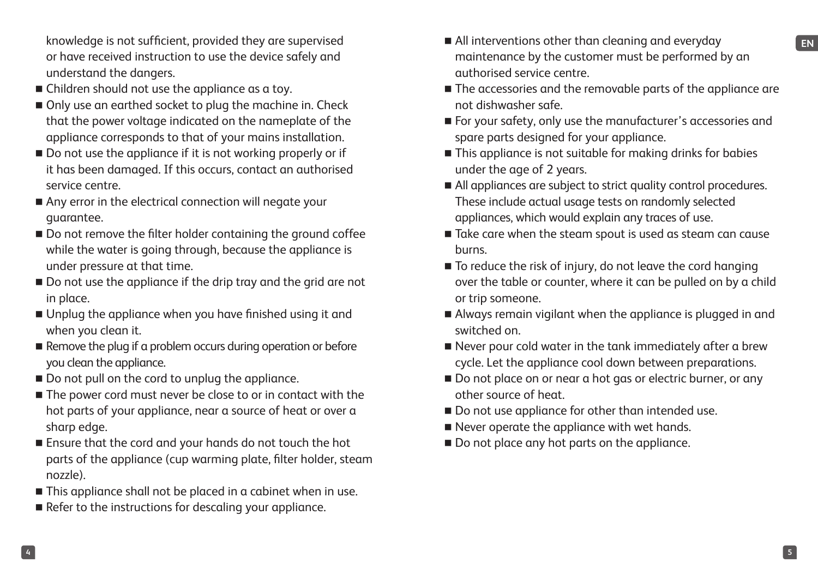or have received instruction to use the device safely and understand the dangers.

- Children should not use the appliance as a toy.
- Only use an earthed socket to plug the machine in. Check that the power voltage indicated on the nameplate of the appliance corresponds to that of your mains installation.
- Do not use the appliance if it is not working properly or if it has been damaged. If this occurs, contact an authorised service centre.
- Any error in the electrical connection will negate your guarantee.
- Do not remove the filter holder containing the ground coffee while the water is going through, because the appliance is under pressure at that time.
- Do not use the appliance if the drip tray and the grid are not in place.
- Unplug the appliance when you have finished using it and when you clean it.
- Remove the plug if a problem occurs during operation or before you clean the appliance.
- Do not pull on the cord to unplug the appliance.
- The power cord must never be close to or in contact with the hot parts of your appliance, near a source of heat or over a sharp edge.
- Ensure that the cord and your hands do not touch the hot parts of the appliance (cup warming plate, filter holder, steam nozzle).
- This appliance shall not be placed in a cabinet when in use.
- Refer to the instructions for descaling your appliance.
- knowledge is not sufficient, provided they are supervised **EN EN** All interventions other than cleaning and everyday ■ All interventions other than cleaning and everyday maintenance by the customer must be performed by an authorised service centre.
	- The accessories and the removable parts of the appliance are not dishwasher safe.
	- For your safety, only use the manufacturer's accessories and spare parts designed for your appliance.
	- This appliance is not suitable for making drinks for babies under the age of 2 years.
	- All appliances are subject to strict quality control procedures. These include actual usage tests on randomly selected appliances, which would explain any traces of use.
	- Take care when the steam spout is used as steam can cause burns.
	- To reduce the risk of injury, do not leave the cord hanging over the table or counter, where it can be pulled on by a child or trip someone.
	- Always remain vigilant when the appliance is plugged in and switched on.
	- Never pour cold water in the tank immediately after a brew cycle. Let the appliance cool down between preparations.
	- Do not place on or near a hot gas or electric burner, or any other source of heat.
	- Do not use appliance for other than intended use.
	- Never operate the appliance with wet hands.
	- Do not place any hot parts on the appliance.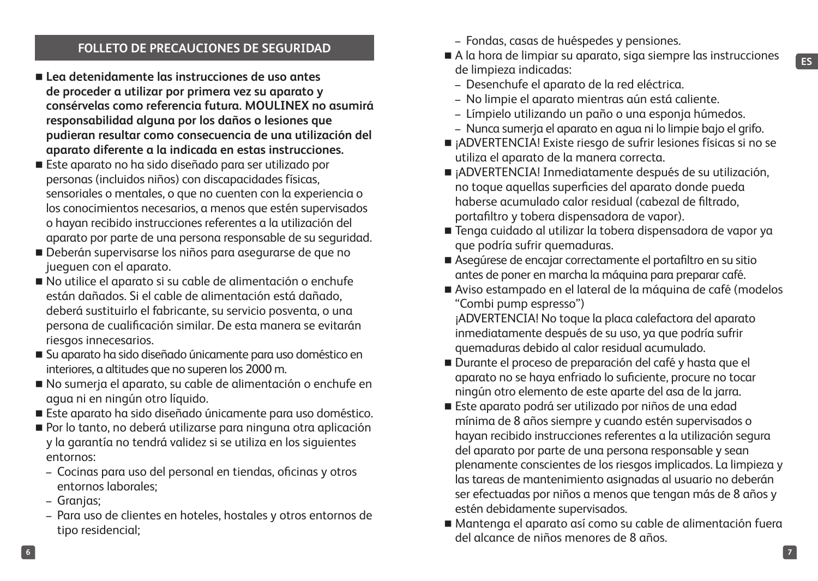#### **FOLLETO DE PRECAUCIONES DE SEGURIDAD**

- **Lea detenidamente las instrucciones de uso antes de proceder a utilizar por primera vez su aparato y consérvelas como referencia futura. MOULINEX no asumirá responsabilidad alguna por los daños o lesiones que pudieran resultar como consecuencia de una utilización del aparato diferente a la indicada en estas instrucciones.**
- Este aparato no ha sido diseñado para ser utilizado por personas (incluidos niños) con discapacidades físicas, sensoriales o mentales, o que no cuenten con la experiencia o los conocimientos necesarios, a menos que estén supervisados o hayan recibido instrucciones referentes a la utilización del aparato por parte de una persona responsable de su seguridad.
- Deberán supervisarse los niños para asegurarse de que no jueguen con el aparato.
- No utilice el aparato si su cable de alimentación o enchufe están dañados. Si el cable de alimentación está dañado, deberá sustituirlo el fabricante, su servicio posventa, o una persona de cualificación similar. De esta manera se evitarán riesgos innecesarios.
- Su aparato ha sido diseñado únicamente para uso doméstico en interiores, a altitudes que no superen los 2000 m.
- No sumerja el aparato, su cable de alimentación o enchufe en agua ni en ningún otro líquido.
- Este aparato ha sido diseñado únicamente para uso doméstico.
- Por lo tanto, no deberá utilizarse para ninguna otra aplicación y la garantía no tendrá validez si se utiliza en los siguientes entornos:
	- Cocinas para uso del personal en tiendas, oficinas y otros entornos laborales;
	- Granjas;
	- Para uso de clientes en hoteles, hostales y otros entornos de tipo residencial;
- Fondas, casas de huéspedes y pensiones.
- A la hora de limpiar su aparato, siga siempre las instrucciones de limpieza indicadas:
	- Desenchufe el aparato de la red eléctrica.
	- No limpie el aparato mientras aún está caliente.
	- Límpielo utilizando un paño o una esponja húmedos.
	- Nunca sumerja el aparato en agua ni lo limpie bajo el grifo.
- ¡ADVERTENCIA! Existe riesgo de sufrir lesiones físicas si no se utiliza el aparato de la manera correcta.
- ¡ADVERTENCIA! Inmediatamente después de su utilización, no toque aquellas superficies del aparato donde pueda haberse acumulado calor residual (cabezal de filtrado, portafiltro y tobera dispensadora de vapor).
- Tenga cuidado al utilizar la tobera dispensadora de vapor va que podría sufrir quemaduras.
- Asegúrese de encajar correctamente el portafiltro en su sitio antes de poner en marcha la máquina para preparar café.
- Aviso estampado en el lateral de la máquina de café (modelos "Combi pump espresso")

¡ADVERTENCIA! No toque la placa calefactora del aparato inmediatamente después de su uso, ya que podría sufrir quemaduras debido al calor residual acumulado.

- Durante el proceso de preparación del café y hasta que el aparato no se haya enfriado lo suficiente, procure no tocar ningún otro elemento de este aparte del asa de la jarra.
- Este aparato podrá ser utilizado por niños de una edad mínima de 8 años siempre y cuando estén supervisados o hayan recibido instrucciones referentes a la utilización segura del aparato por parte de una persona responsable y sean plenamente conscientes de los riesgos implicados. La limpieza y las tareas de mantenimiento asignadas al usuario no deberán ser efectuadas por niños a menos que tengan más de 8 años y estén debidamente supervisados.
- Mantenga el aparato así como su cable de alimentación fuera del alcance de niños menores de 8 años.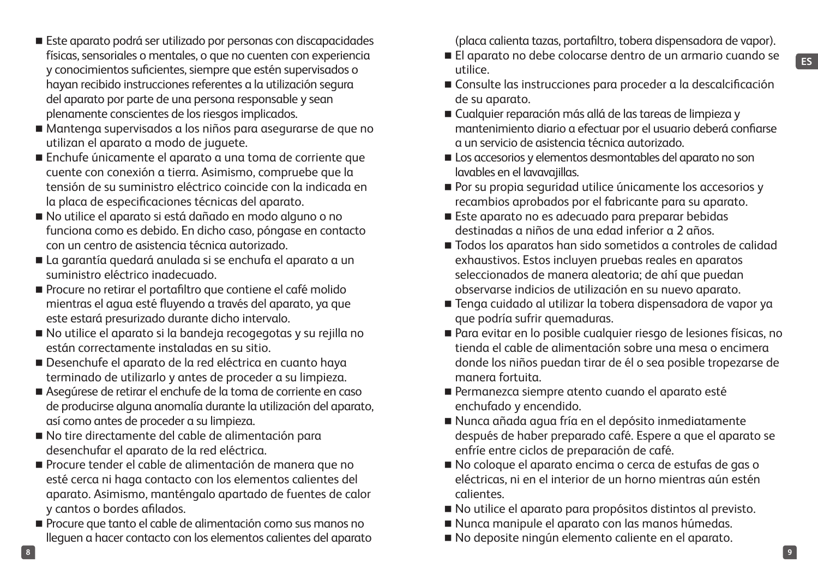- Este aparato podrá ser utilizado por personas con discapacidades físicas, sensoriales o mentales, o que no cuenten con experiencia y conocimientos suficientes, siempre que estén supervisados o hayan recibido instrucciones referentes a la utilización segura del aparato por parte de una persona responsable y sean plenamente conscientes de los riesgos implicados.
- Mantenga supervisados a los niños para asegurarse de que no utilizan el aparato a modo de juguete.
- Enchufe únicamente el aparato a una toma de corriente que cuente con conexión a tierra. Asimismo, compruebe que la tensión de su suministro eléctrico coincide con la indicada en la placa de especificaciones técnicas del aparato.
- No utilice el aparato si está dañado en modo alguno o no funciona como es debido. En dicho caso, póngase en contacto con un centro de asistencia técnica autorizado.
- La garantía quedará anulada si se enchufa el aparato a un suministro eléctrico inadecuado.
- Procure no retirar el portafiltro que contiene el café molido mientras el agua esté fluyendo a través del aparato, ya que este estará presurizado durante dicho intervalo.
- No utilice el aparato si la bandeja recogegotas y su rejilla no están correctamente instaladas en su sitio.
- Desenchufe el aparato de la red eléctrica en cuanto haya terminado de utilizarlo y antes de proceder a su limpieza.
- Asegúrese de retirar el enchufe de la toma de corriente en caso de producirse alguna anomalía durante la utilización del aparato, así como antes de proceder a su limpieza.
- No tire directamente del cable de alimentación para desenchufar el aparato de la red eléctrica.
- Procure tender el cable de alimentación de manera que no esté cerca ni haga contacto con los elementos calientes del aparato. Asimismo, manténgalo apartado de fuentes de calor y cantos o bordes afilados.
- Procure que tanto el cable de alimentación como sus manos no lleguen a hacer contacto con los elementos calientes del aparato

(placa calienta tazas, portafiltro, tobera dispensadora de vapor).

- El aparato no debe colocarse dentro de un armario cuando se utilice.
- Consulte las instrucciones para proceder a la descalcificación de su aparato.
- Cualquier reparación más allá de las tareas de limpieza y mantenimiento diario a efectuar por el usuario deberá confiarse a un servicio de asistencia técnica autorizado.
- Los accesorios y elementos desmontables del aparato no son lavables en el lavavajillas.
- Por su propia seguridad utilice únicamente los accesorios v recambios aprobados por el fabricante para su aparato.
- Este aparato no es adecuado para preparar bebidas destinadas a niños de una edad inferior a 2 años.
- Todos los aparatos han sido sometidos a controles de calidad exhaustivos. Estos incluyen pruebas reales en aparatos seleccionados de manera aleatoria; de ahí que puedan observarse indicios de utilización en su nuevo aparato.
- Tenga cuidado al utilizar la tobera dispensadora de vapor ya que podría sufrir quemaduras.
- Para evitar en lo posible cualquier riesgo de lesiones físicas, no tienda el cable de alimentación sobre una mesa o encimera donde los niños puedan tirar de él o sea posible tropezarse de manera fortuita.
- Permanezca siempre atento cuando el aparato esté enchufado y encendido.
- Nunca añada agua fría en el depósito inmediatamente después de haber preparado café. Espere a que el aparato se enfríe entre ciclos de preparación de café.
- No coloque el aparato encima o cerca de estufas de gas o eléctricas, ni en el interior de un horno mientras aún estén calientes.
- No utilice el aparato para propósitos distintos al previsto.
- Nunca manipule el aparato con las manos húmedas.
- No deposite ningún elemento caliente en el aparato.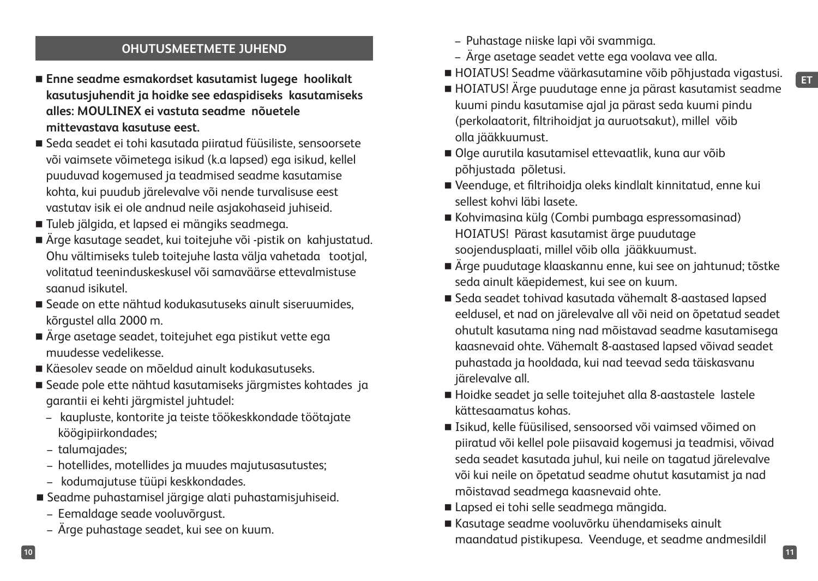## **ET**

#### **OHUTUSMEETMETE JUHEND**

- **Enne seadme esmakordset kasutamist lugege hoolikalt kasutusjuhendit ja hoidke see edaspidiseks kasutamiseks alles: MOULINEX ei vastuta seadme nõuetele mittevastava kasutuse eest.**
- Seda seadet ei tohi kasutada piiratud füüsiliste, sensoorsete või vaimsete võimetega isikud (k.a lapsed) ega isikud, kellel puuduvad kogemused ja teadmised seadme kasutamise kohta, kui puudub järelevalve või nende turvalisuse eest vastutav isik ei ole andnud neile asjakohaseid juhiseid.
- Tuleb jälgida, et lapsed ei mängiks seadmega.
- Ärge kasutage seadet, kui toitejuhe või -pistik on kahjustatud. Ohu vältimiseks tuleb toitejuhe lasta välja vahetada tootjal, volitatud teeninduskeskusel või samaväärse ettevalmistuse saanud isikutel.
- Seade on ette nähtud kodukasutuseks ainult siseruumides, kõrgustel alla 2000 m.
- Ärge asetage seadet, toitejuhet ega pistikut vette ega muudesse vedelikesse.
- Käesolev seade on mõeldud ainult kodukasutuseks.
- Seade pole ette nähtud kasutamiseks järgmistes kohtades ja garantii ei kehti järgmistel juhtudel:
	- kaupluste, kontorite ja teiste töökeskkondade töötajate köögipiirkondades;
	- talumajades;
	- hotellides, motellides ja muudes majutusasutustes;
	- kodumajutuse tüüpi keskkondades.
- Seadme puhastamisel järgige alati puhastamisjuhiseid.
	- Eemaldage seade vooluvõrgust.
	- Ärge puhastage seadet, kui see on kuum.
- Puhastage niiske lapi või svammiga.
- Ärge asetage seadet vette ega voolava vee alla.
- HOIATUS! Seadme väärkasutamine võib põhjustada vigastusi.
- HOIATUS! Ärge puudutage enne ja pärast kasutamist seadme kuumi pindu kasutamise ajal ja pärast seda kuumi pindu (perkolaatorit, filtrihoidjat ja auruotsakut), millel võib olla jääkkuumust.
- Olge aurutila kasutamisel ettevaatlik, kuna aur võib põhjustada põletusi.
- Veenduge, et filtrihoidja oleks kindlalt kinnitatud, enne kui sellest kohvi läbi lasete.
- Kohvimasina külg (Combi pumbaga espressomasinad) HOIATUS! Pärast kasutamist ärge puudutage soojendusplaati, millel võib olla jääkkuumust.
- Ärge puudutage klaaskannu enne, kui see on jahtunud; tõstke seda ainult käepidemest, kui see on kuum.
- Seda seadet tohivad kasutada vähemalt 8-aastased lapsed eeldusel, et nad on järelevalve all või neid on õpetatud seadet ohutult kasutama ning nad mõistavad seadme kasutamisega kaasnevaid ohte. Vähemalt 8-aastased lapsed võivad seadet puhastada ja hooldada, kui nad teevad seda täiskasvanu järelevalve all.
- Hoidke seadet ja selle toitejuhet alla 8-aastastele lastele kättesaamatus kohas.
- Isikud, kelle füüsilised, sensoorsed või vaimsed võimed on piiratud või kellel pole piisavaid kogemusi ja teadmisi, võivad seda seadet kasutada juhul, kui neile on tagatud järelevalve või kui neile on õpetatud seadme ohutut kasutamist ja nad mõistavad seadmega kaasnevaid ohte.
- Lapsed ei tohi selle seadmega mängida.
- Kasutage seadme vooluvõrku ühendamiseks ainult maandatud pistikupesa. Veenduge, et seadme andmesildil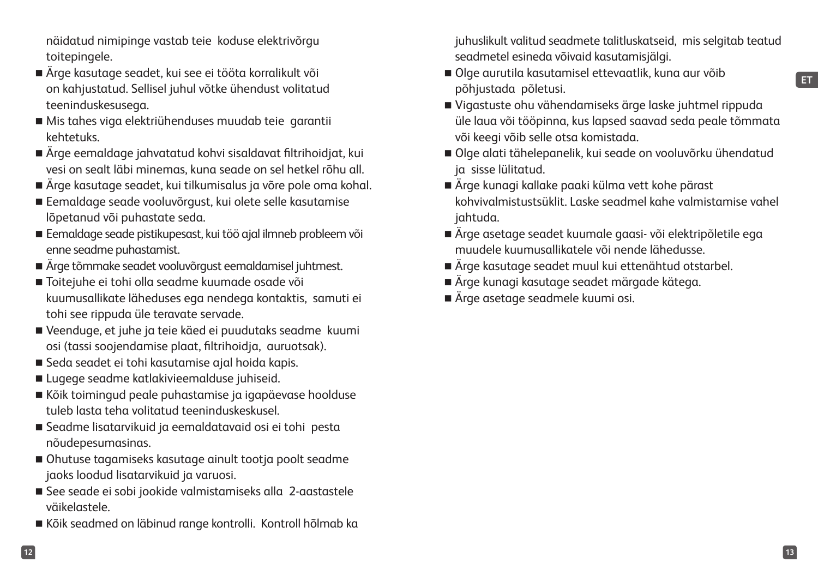näidatud nimipinge vastab teie koduse elektrivõrgu toitepingele.

- Ärge kasutage seadet, kui see ei tööta korralikult või on kahjustatud. Sellisel juhul võtke ühendust volitatud teeninduskesusega.
- Mis tahes viga elektriühenduses muudab teie garantii kehtetuks.
- Ärge eemaldage jahvatatud kohvi sisaldavat filtrihoidjat, kui vesi on sealt läbi minemas, kuna seade on sel hetkel rõhu all.
- Ärge kasutage seadet, kui tilkumisalus ja võre pole oma kohal.
- Eemaldage seade vooluvõrgust, kui olete selle kasutamise lõpetanud või puhastate seda.
- Eemaldage seade pistikupesast, kui töö ajal ilmneb probleem või enne seadme puhastamist.
- Ärge tõmmake seadet vooluvõrgust eemaldamisel juhtmest.
- Toitejuhe ei tohi olla seadme kuumade osade või kuumusallikate läheduses ega nendega kontaktis, samuti ei tohi see rippuda üle teravate servade.
- Veenduge, et juhe ja teie käed ei puudutaks seadme kuumi osi (tassi soojendamise plaat, filtrihoidja, auruotsak).
- Seda seadet ei tohi kasutamise ajal hoida kapis.
- Lugege seadme katlakivieemalduse juhiseid.
- Kõik toimingud peale puhastamise ja igapäevase hoolduse tuleb lasta teha volitatud teeninduskeskusel.
- Seadme lisatarvikuid ja eemaldatavaid osi ei tohi pesta nõudepesumasinas.
- Ohutuse tagamiseks kasutage ainult tootja poolt seadme jaoks loodud lisatarvikuid ja varuosi.
- See seade ei sobi jookide valmistamiseks alla 2-aastastele väikelastele.
- Kõik seadmed on läbinud range kontrolli. Kontroll hõlmab ka

juhuslikult valitud seadmete talitluskatseid, mis selgitab teatud seadmetel esineda võivaid kasutamisjälgi.

- Olge aurutila kasutamisel ettevaatlik, kuna aur võib põhjustada põletusi.
- Vigastuste ohu vähendamiseks ärge laske juhtmel rippuda üle laua või tööpinna, kus lapsed saavad seda peale tõmmata või keegi võib selle otsa komistada.
- Olge alati tähelepanelik, kui seade on vooluvõrku ühendatud ja sisse lülitatud.
- Ärge kunagi kallake paaki külma vett kohe pärast kohvivalmistustsüklit. Laske seadmel kahe valmistamise vahel jahtuda.
- Ärge asetage seadet kuumale gaasi- või elektripõletile ega muudele kuumusallikatele või nende lähedusse.
- Ärge kasutage seadet muul kui ettenähtud otstarbel.
- Ärge kunagi kasutage seadet märgade kätega.
- Ärge asetage seadmele kuumi osi.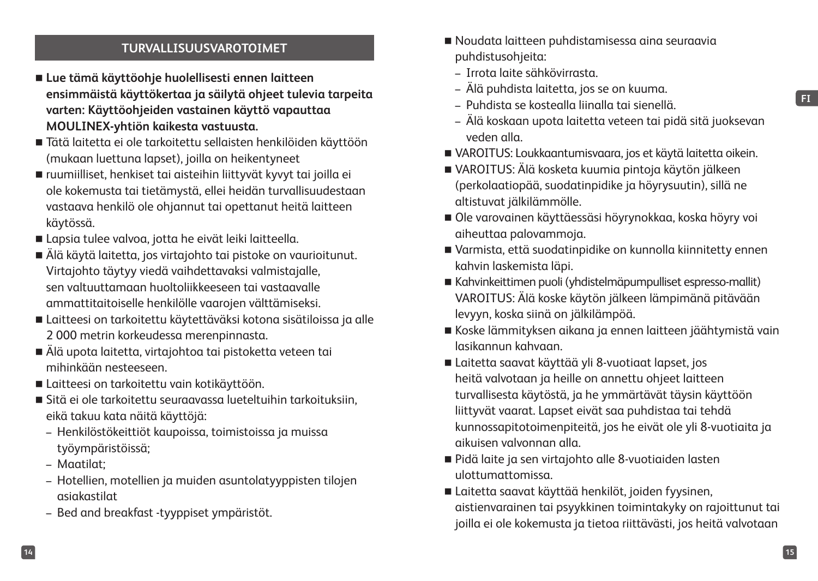#### **FI**

#### **TURVALLISUUSVAROTOIMET**

- **Lue tämä käyttöohje huolellisesti ennen laitteen ensimmäistä käyttökertaa ja säilytä ohjeet tulevia tarpeita varten: Käyttöohjeiden vastainen käyttö vapauttaa MOULINEX-yhtiön kaikesta vastuusta.**
- Tätä laitetta ei ole tarkoitettu sellaisten henkilöiden käyttöön (mukaan luettuna lapset), joilla on heikentyneet
- ruumiilliset, henkiset tai aisteihin liittyvät kyvyt tai joilla ei ole kokemusta tai tietämystä, ellei heidän turvallisuudestaan vastaava henkilö ole ohjannut tai opettanut heitä laitteen käytössä.
- Lapsia tulee valvoa, jotta he eivät leiki laitteella.
- Älä käytä laitetta, jos virtajohto tai pistoke on vaurioitunut. Virtajohto täytyy viedä vaihdettavaksi valmistajalle, sen valtuuttamaan huoltoliikkeeseen tai vastaavalle ammattitaitoiselle henkilölle vaarojen välttämiseksi.
- Laitteesi on tarkoitettu käytettäväksi kotona sisätiloissa ja alle 2 000 metrin korkeudessa merenpinnasta.
- Älä upota laitetta, virtajohtoa tai pistoketta veteen tai mihinkään nesteeseen.
- Laitteesi on tarkoitettu vain kotikäyttöön.
- Sitä ei ole tarkoitettu seuraavassa lueteltuihin tarkoituksiin, eikä takuu kata näitä käyttöjä:
	- Henkilöstökeittiöt kaupoissa, toimistoissa ja muissa työympäristöissä;
	- Maatilat;
	- Hotellien, motellien ja muiden asuntolatyyppisten tilojen asiakastilat
	- Bed and breakfast -tyyppiset ympäristöt.
- Noudata laitteen puhdistamisessa aina seuraavia puhdistusohjeita:
- Irrota laite sähkövirrasta.
- Älä puhdista laitetta, jos se on kuuma.
- Puhdista se kostealla liinalla tai sienellä.
- Älä koskaan upota laitetta veteen tai pidä sitä juoksevan veden alla.
- VAROITUS: Loukkaantumisvaara, jos et käytä laitetta oikein.
- VAROITUS: Älä kosketa kuumia pintoja käytön jälkeen (perkolaatiopää, suodatinpidike ja höyrysuutin), sillä ne altistuvat jälkilämmölle.
- Ole varovainen käyttäessäsi höyrynokkaa, koska höyry voi aiheuttaa palovammoja.
- Varmista, että suodatinpidike on kunnolla kiinnitetty ennen kahvin laskemista läpi.
- Kahvinkeittimen puoli (yhdistelmäpumpulliset espresso-mallit) VAROITUS: Älä koske käytön jälkeen lämpimänä pitävään levyyn, koska siinä on jälkilämpöä.
- Koske lämmityksen aikana ja ennen laitteen jäähtymistä vain lasikannun kahvaan.
- Laitetta saavat käyttää yli 8-vuotiaat lapset, jos heitä valvotaan ja heille on annettu ohjeet laitteen turvallisesta käytöstä, ja he ymmärtävät täysin käyttöön liittyvät vaarat. Lapset eivät saa puhdistaa tai tehdä kunnossapitotoimenpiteitä, jos he eivät ole yli 8-vuotiaita ja aikuisen valvonnan alla.
- Pidä laite ja sen virtajohto alle 8-vuotiaiden lasten ulottumattomissa.
- Laitetta saavat käyttää henkilöt, joiden fyysinen, aistienvarainen tai psyykkinen toimintakyky on rajoittunut tai joilla ei ole kokemusta ja tietoa riittävästi, jos heitä valvotaan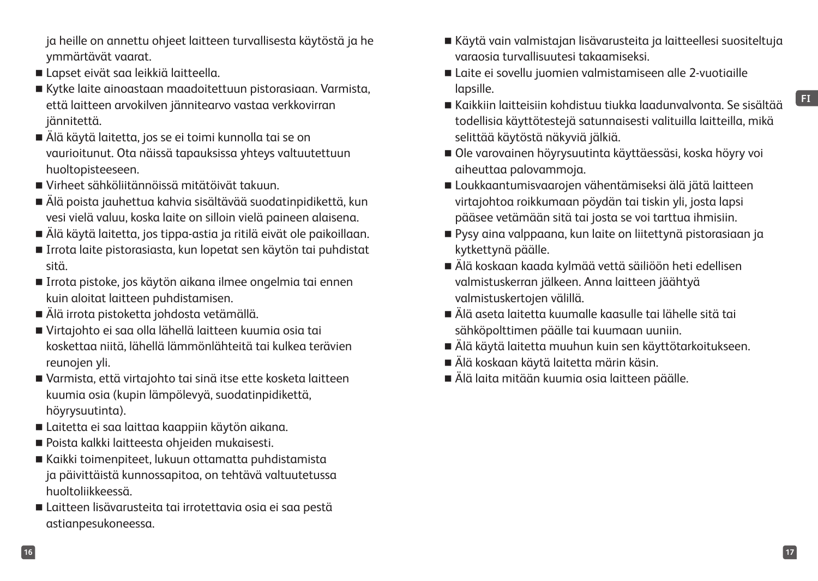**16 17**

**FI**

että laitteen arvokilven jännitearvo vastaa verkkovirran jännitettä.

Lapset eivät saa leikkiä laitteella.

ymmärtävät vaarat.

 Älä käytä laitetta, jos se ei toimi kunnolla tai se on vaurioitunut. Ota näissä tapauksissa yhteys valtuutettuun huoltopisteeseen.

ja heille on annettu ohjeet laitteen turvallisesta käytöstä ja he

Kytke laite ainoastaan maadoitettuun pistorasiaan. Varmista,

- Virheet sähköliitännöissä mitätöivät takuun.
- Älä poista jauhettua kahvia sisältävää suodatinpidikettä, kun vesi vielä valuu, koska laite on silloin vielä paineen alaisena.
- Älä käytä laitetta, jos tippa-astia ja ritilä eivät ole paikoillaan.
- Irrota laite pistorasiasta, kun lopetat sen käytön tai puhdistat sitä.
- Irrota pistoke, jos käytön aikana ilmee ongelmia tai ennen kuin aloitat laitteen puhdistamisen.
- Älä irrota pistoketta johdosta vetämällä.
- Virtajohto ei saa olla lähellä laitteen kuumia osia tai koskettaa niitä, lähellä lämmönlähteitä tai kulkea terävien reunojen yli.
- Varmista, että virtajohto tai sinä itse ette kosketa laitteen kuumia osia (kupin lämpölevyä, suodatinpidikettä, höyrysuutinta).
- Laitetta ei saa laittaa kaappiin käytön aikana.
- Poista kalkki laitteesta ohjeiden mukaisesti.
- Kaikki toimenpiteet, lukuun ottamatta puhdistamista ja päivittäistä kunnossapitoa, on tehtävä valtuutetussa huoltoliikkeessä.
- Laitteen lisävarusteita tai irrotettavia osia ei saa pestä astianpesukoneessa.
- Käytä vain valmistajan lisävarusteita ja laitteellesi suositeltuja varaosia turvallisuutesi takaamiseksi.
- Laite ei sovellu juomien valmistamiseen alle 2-vuotiaille lapsille.
- Kaikkiin laitteisiin kohdistuu tiukka laadunvalvonta. Se sisältää todellisia käyttötestejä satunnaisesti valituilla laitteilla, mikä selittää käytöstä näkyviä jälkiä.
- Ole varovainen höyrysuutinta käyttäessäsi, koska höyry voi aiheuttaa palovammoja.
- Loukkaantumisvaarojen vähentämiseksi älä jätä laitteen virtajohtoa roikkumaan pöydän tai tiskin yli, josta lapsi pääsee vetämään sitä tai josta se voi tarttua ihmisiin.
- Pysy aina valppaana, kun laite on liitettynä pistorasiaan ja kytkettynä päälle.
- Älä koskaan kaada kylmää vettä säiliöön heti edellisen valmistuskerran jälkeen. Anna laitteen jäähtyä valmistuskertojen välillä.
- Älä aseta laitetta kuumalle kaasulle tai lähelle sitä tai sähköpolttimen päälle tai kuumaan uuniin.
- Älä käytä laitetta muuhun kuin sen käyttötarkoitukseen.
- Älä koskaan käytä laitetta märin käsin.
- Älä laita mitään kuumia osia laitteen päälle.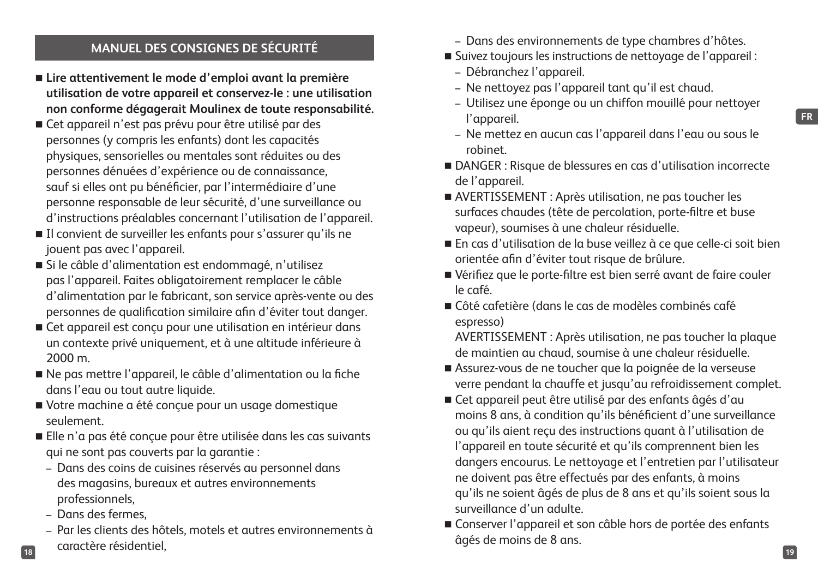#### **MANUEL DES CONSIGNES DE SÉCURITÉ**

- **Lire attentivement le mode d'emploi avant la première utilisation de votre appareil et conservez-le : une utilisation non conforme dégagerait Moulinex de toute responsabilité.**
- Cet appareil n'est pas prévu pour être utilisé par des personnes (y compris les enfants) dont les capacités physiques, sensorielles ou mentales sont réduites ou des personnes dénuées d'expérience ou de connaissance, sauf si elles ont pu bénéficier, par l'intermédiaire d'une personne responsable de leur sécurité, d'une surveillance ou d'instructions préalables concernant l'utilisation de l'appareil.
- Il convient de surveiller les enfants pour s'assurer qu'ils ne jouent pas avec l'appareil.
- Si le câble d'alimentation est endommagé, n'utilisez pas l'appareil. Faites obligatoirement remplacer le câble d'alimentation par le fabricant, son service après-vente ou des personnes de qualification similaire afin d'éviter tout danger.
- Cet appareil est conçu pour une utilisation en intérieur dans un contexte privé uniquement, et à une altitude inférieure à 2000 m.
- Ne pas mettre l'appareil, le câble d'alimentation ou la fiche dans l'eau ou tout autre liquide.
- Votre machine a été conçue pour un usage domestique seulement.
- Elle n'a pas été conçue pour être utilisée dans les cas suivants qui ne sont pas couverts par la garantie :
	- Dans des coins de cuisines réservés au personnel dans des magasins, bureaux et autres environnements professionnels,
	- Dans des fermes,
- **18 19** – Par les clients des hôtels, motels et autres environnements à caractère résidentiel,
- Dans des environnements de type chambres d'hôtes.
- Suivez toujours les instructions de nettoyage de l'appareil :
	- Débranchez l'appareil.
	- Ne nettoyez pas l'appareil tant qu'il est chaud.
	- Utilisez une éponge ou un chiffon mouillé pour nettoyer l'appareil.
	- Ne mettez en aucun cas l'appareil dans l'eau ou sous le robinet.
- DANGER : Risque de blessures en cas d'utilisation incorrecte de l'appareil.
- AVERTISSEMENT : Après utilisation, ne pas toucher les surfaces chaudes (tête de percolation, porte-filtre et buse vapeur), soumises à une chaleur résiduelle.
- En cas d'utilisation de la buse veillez à ce que celle-ci soit bien orientée afin d'éviter tout risque de brûlure.
- Vérifiez que le porte-filtre est bien serré avant de faire couler le café.
- Côté cafetière (dans le cas de modèles combinés café espresso)

AVERTISSEMENT : Après utilisation, ne pas toucher la plaque de maintien au chaud, soumise à une chaleur résiduelle.

- Assurez-vous de ne toucher que la poignée de la verseuse verre pendant la chauffe et jusqu'au refroidissement complet.
- Cet appareil peut être utilisé par des enfants âgés d'au moins 8 ans, à condition qu'ils bénéficient d'une surveillance ou qu'ils aient reçu des instructions quant à l'utilisation de l'appareil en toute sécurité et qu'ils comprennent bien les dangers encourus. Le nettoyage et l'entretien par l'utilisateur ne doivent pas être effectués par des enfants, à moins qu'ils ne soient âgés de plus de 8 ans et qu'ils soient sous la surveillance d'un adulte.
- Conserver l'appareil et son câble hors de portée des enfants âgés de moins de 8 ans.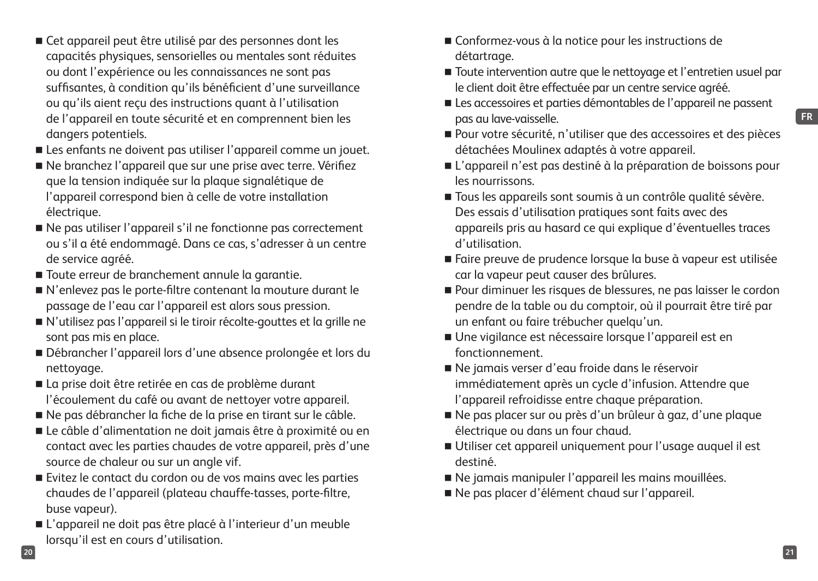- Cet appareil peut être utilisé par des personnes dont les capacités physiques, sensorielles ou mentales sont réduites ou dont l'expérience ou les connaissances ne sont pas suffisantes, à condition qu'ils bénéficient d'une surveillance ou qu'ils aient reçu des instructions quant à l'utilisation de l'appareil en toute sécurité et en comprennent bien les dangers potentiels.
- Les enfants ne doivent pas utiliser l'appareil comme un jouet.
- Ne branchez l'appareil que sur une prise avec terre. Vérifiez que la tension indiquée sur la plaque signalétique de l'appareil correspond bien à celle de votre installation électrique.
- Ne pas utiliser l'appareil s'il ne fonctionne pas correctement ou s'il a été endommagé. Dans ce cas, s'adresser à un centre de service agréé.
- Toute erreur de branchement annule la garantie.
- N'enlevez pas le porte-filtre contenant la mouture durant le passage de l'eau car l'appareil est alors sous pression.
- N'utilisez pas l'appareil si le tiroir récolte-gouttes et la grille ne sont pas mis en place.
- Débrancher l'appareil lors d'une absence prolongée et lors du nettoyage.
- La prise doit être retirée en cas de problème durant l'écoulement du café ou avant de nettoyer votre appareil.
- Ne pas débrancher la fiche de la prise en tirant sur le câble.
- Le câble d'alimentation ne doit jamais être à proximité ou en contact avec les parties chaudes de votre appareil, près d'une source de chaleur ou sur un angle vif.
- Evitez le contact du cordon ou de vos mains avec les parties chaudes de l'appareil (plateau chauffe-tasses, porte-filtre, buse vapeur).
- L'appareil ne doit pas être placé à l'interieur d'un meuble lorsqu'il est en cours d'utilisation.
- Conformez-vous à la notice pour les instructions de détartrage.
- Toute intervention autre que le nettoyage et l'entretien usuel par le client doit être effectuée par un centre service agréé.
- Les accessoires et parties démontables de l'appareil ne passent pas au lave-vaisselle.
- Pour votre sécurité, n'utiliser que des accessoires et des pièces détachées Moulinex adaptés à votre appareil.
- L'appareil n'est pas destiné à la préparation de boissons pour les nourrissons.
- Tous les appareils sont soumis à un contrôle qualité sévère. Des essais d'utilisation pratiques sont faits avec des appareils pris au hasard ce qui explique d'éventuelles traces d'utilisation.
- Faire preuve de prudence lorsque la buse à vapeur est utilisée car la vapeur peut causer des brûlures.
- Pour diminuer les risques de blessures, ne pas laisser le cordon pendre de la table ou du comptoir, où il pourrait être tiré par un enfant ou faire trébucher quelqu'un.
- Une vigilance est nécessaire lorsque l'appareil est en fonctionnement.
- Ne jamais verser d'eau froide dans le réservoir immédiatement après un cycle d'infusion. Attendre que l'appareil refroidisse entre chaque préparation.
- Ne pas placer sur ou près d'un brûleur à gaz, d'une plaque électrique ou dans un four chaud.
- Utiliser cet appareil uniquement pour l'usage auquel il est destiné.
- Ne jamais manipuler l'appareil les mains mouillées.
- Ne pas placer d'élément chaud sur l'appareil.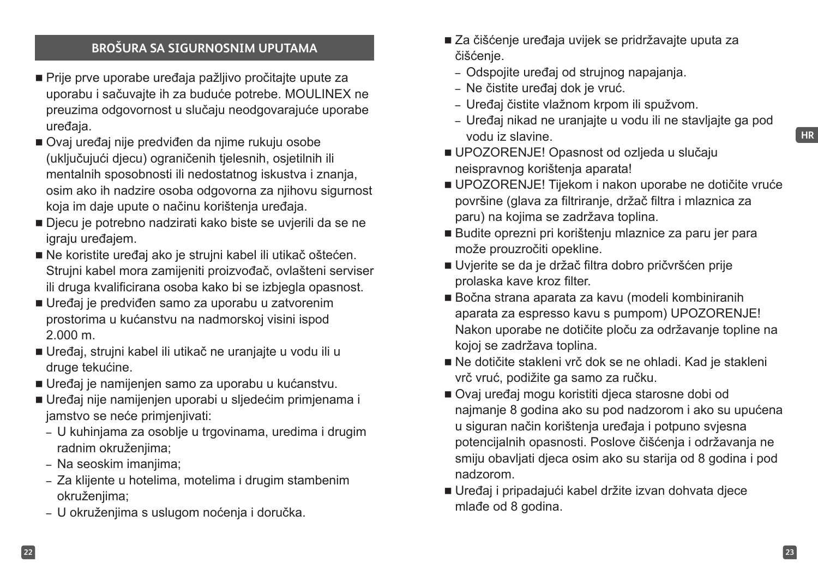#### **BROŠURA SA SIGURNOSNIM UPUTAMA**

- Prije prve uporabe uređaja pažljivo pročitajte upute za uporabu i sačuvajte ih za buduće potrebe. MOULINEX ne preuzima odgovornost u slučaju neodgovarajuće uporabe uređaja.
- Ovaj uređaj nije predviđen da njime rukuju osobe (uključujući djecu) ograničenih tjelesnih, osjetilnih ili mentalnih sposobnosti ili nedostatnog iskustva i znanja, osim ako ih nadzire osoba odgovorna za njihovu sigurnost koja im daje upute o načinu korištenja uređaja.
- Djecu je potrebno nadzirati kako biste se uvjerili da se ne igraju uređajem.
- Ne koristite uređaj ako je strujni kabel ili utikač oštećen. Strujni kabel mora zamijeniti proizvođač, ovlašteni serviser ili druga kvalificirana osoba kako bi se izbjegla opasnost.
- Uređaj je predviđen samo za uporabu u zatvorenim prostorima u kućanstvu na nadmorskoj visini ispod 2.000 m.
- Uređaj, strujni kabel ili utikač ne uranjajte u vodu ili u druge tekućine.
- Uređaj je namijenjen samo za uporabu u kućanstvu.
- Uređaj nije namijenjen uporabi u sljedećim primjenama i jamstvo se neće primjenjivati:
	- U kuhinjama za osoblje u trgovinama, uredima i drugim radnim okruženjima;
	- Na seoskim imanjima;
	- Za klijente u hotelima, motelima i drugim stambenim okruženjima;
	- U okruženjima s uslugom noćenja i doručka.
- Za čišćenje uređaja uvijek se pridržavajte uputa za čišćenje.
	- Odspojite uređaj od strujnog napajanja.
	- Ne čistite uređaj dok je vruć.
	- Uređaj čistite vlažnom krpom ili spužvom.
	- Uređaj nikad ne uranjajte u vodu ili ne stavljajte ga pod vodu iz slavine.
- UPOZORENJE! Opasnost od ozljeda u slučaju neispravnog korištenja aparata!
- UPOZORENJE! Tijekom i nakon uporabe ne dotičite vruće površine (glava za filtriranje, držač filtra i mlaznica za paru) na kojima se zadržava toplina.
- Budite oprezni pri korištenju mlaznice za paru jer para može prouzročiti opekline.
- Uvjerite se da je držač filtra dobro pričvršćen prije prolaska kave kroz filter.
- Bočna strana aparata za kavu (modeli kombiniranih aparata za espresso kavu s pumpom) UPOZORENJE! Nakon uporabe ne dotičite ploču za održavanje topline na kojoj se zadržava toplina.
- Ne dotičite stakleni vrč dok se ne ohladi. Kad je stakleni vrč vruć, podižite ga samo za ručku.
- Ovaj uređaj mogu koristiti djeca starosne dobi od najmanje 8 godina ako su pod nadzorom i ako su upućena u siguran način korištenja uređaja i potpuno svjesna potencijalnih opasnosti. Poslove čišćenja i održavanja ne smiju obavljati djeca osim ako su starija od 8 godina i pod nadzorom.
- Uređaj i pripadajući kabel držite izvan dohvata djece mlađe od 8 godina.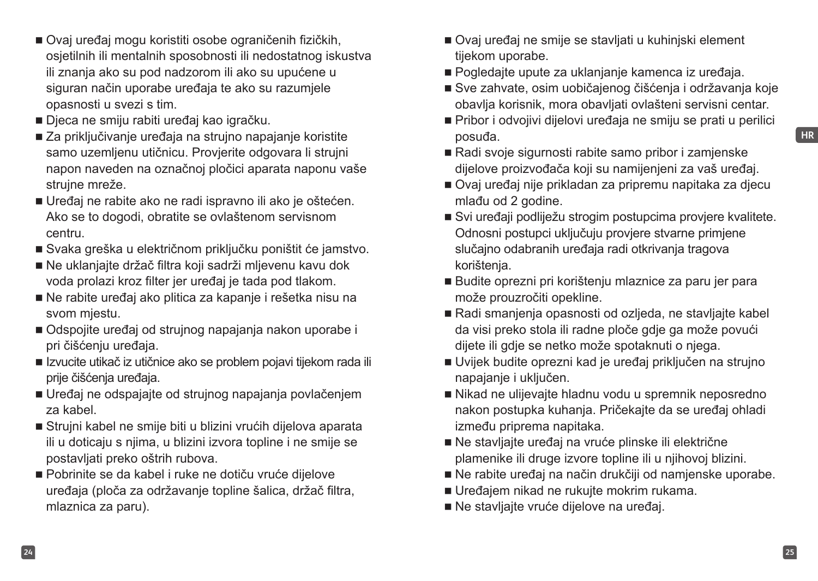- Ovaj uređaj mogu koristiti osobe ograničenih fizičkih, osjetilnih ili mentalnih sposobnosti ili nedostatnog iskustva ili znanja ako su pod nadzorom ili ako su upućene u siguran način uporabe uređaja te ako su razumjele opasnosti u svezi s tim.
- Djeca ne smiju rabiti uređaj kao igračku.
- Za priključivanje uređaja na strujno napajanje koristite samo uzemljenu utičnicu. Provjerite odgovara li strujni napon naveden na označnoj pločici aparata naponu vaše strujne mreže.
- Uređaj ne rabite ako ne radi ispravno ili ako je oštećen. Ako se to dogodi, obratite se ovlaštenom servisnom centru.
- Svaka greška u električnom priključku poništit će jamstvo.
- Ne uklanjajte držač filtra koji sadrži mljevenu kavu dok voda prolazi kroz filter jer uređaj je tada pod tlakom.
- Ne rabite uređaj ako plitica za kapanje i rešetka nisu na svom mjestu.
- Odspojite uređaj od strujnog napajanja nakon uporabe i pri čišćenju uređaja.
- Izvucite utikač iz utičnice ako se problem pojavi tijekom rada ili prije čišćenja uređaja.
- Uređaj ne odspajajte od strujnog napajanja povlačenjem za kabel.
- Strujni kabel ne smije biti u blizini vrućih dijelova aparata ili u doticaju s njima, u blizini izvora topline i ne smije se postavljati preko oštrih rubova.
- Pobrinite se da kabel i ruke ne dotiču vruće dijelove uređaja (ploča za održavanje topline šalica, držač filtra, mlaznica za paru).
- Ovaj uređaj ne smije se stavljati u kuhinjski element tijekom uporabe.
- Pogledajte upute za uklanjanje kamenca iz uređaja.
- Sve zahvate, osim uobičajenog čišćenja i održavanja koje obavlja korisnik, mora obavljati ovlašteni servisni centar.
- Pribor i odvojivi dijelovi uređaja ne smiju se prati u perilici posuđa.
- Radi svoje sigurnosti rabite samo pribor i zamjenske dijelove proizvođača koji su namijenjeni za vaš uređaj.
- Ovaj uređaj nije prikladan za pripremu napitaka za djecu mlađu od 2 godine.
- Svi uređaji podliježu strogim postupcima provjere kvalitete. Odnosni postupci uključuju provjere stvarne primjene slučajno odabranih uređaja radi otkrivanja tragova korištenja.
- Budite oprezni pri korištenju mlaznice za paru jer para može prouzročiti opekline.
- Radi smanjenja opasnosti od ozljeda, ne stavljajte kabel da visi preko stola ili radne ploče gdje ga može povući dijete ili gdje se netko može spotaknuti o njega.
- Uvijek budite oprezni kad je uređaj priključen na strujno napajanje i uključen.
- Nikad ne ulijevajte hladnu vodu u spremnik neposredno nakon postupka kuhanja. Pričekajte da se uređaj ohladi između priprema napitaka.
- Ne stavljajte uređaj na vruće plinske ili električne plamenike ili druge izvore topline ili u njihovoj blizini.
- Ne rabite uređaj na način drukčiji od namjenske uporabe.
- Uređajem nikad ne rukujte mokrim rukama.
- Ne stavliajte vruće dijelove na uređaj.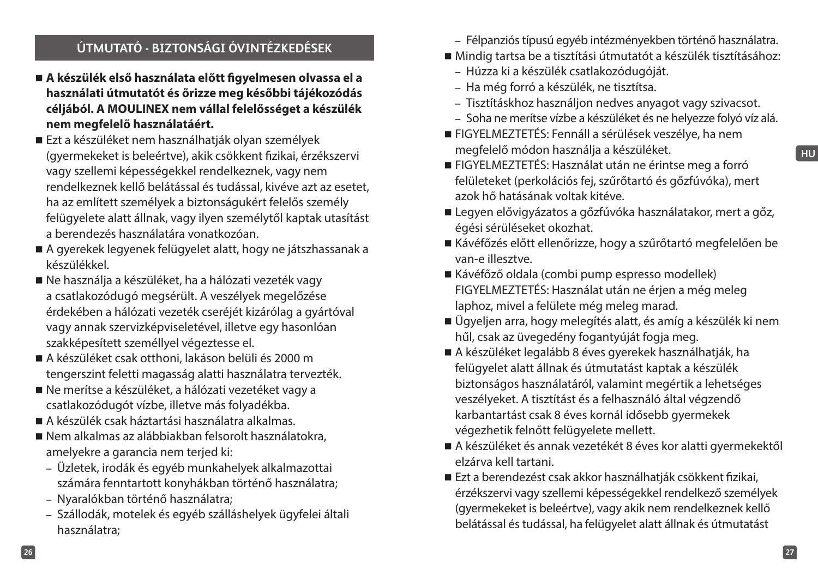## **ÚTMUTATÓ - BIZTONSÁGI ÓVINTÉZKEDÉSEK**

- **A készülék első használata előtt figyelmesen olvassa el a használati útmutatót és őrizze meg későbbi tájékozódás céljából. A MOULINEX nem vállal felelősséget a készülék nem megfelelő használatáért.**
- Ezt a készüléket nem használhatják olyan személyek (gyermekeket is beleértve), akik csökkent fizikai, érzékszervi vagy szellemi képességekkel rendelkeznek, vagy nem rendelkeznek kellő belátással és tudással, kivéve azt az esetet, ha az említett személyek a biztonságukért felelős személy felügyelete alatt állnak, vagy ilyen személytől kaptak utasítást a berendezés használatára vonatkozóan.
- A gyerekek legyenek felügyelet alatt, hogy ne játszhassanak a készülékkel.
- Ne használja a készüléket, ha a hálózati vezeték vagy a csatlakozódugó megsérült. A veszélyek megelőzése érdekében a hálózati vezeték cseréjét kizárólag a gyártóval vagy annak szervizképviseletével, illetve egy hasonlóan szakképesített személlyel végeztesse el.
- A készüléket csak otthoni, lakáson belüli és 2000 m tengerszint feletti magasság alatti használatra tervezték.
- Ne merítse a készüléket, a hálózati vezetéket vagy a csatlakozódugót vízbe, illetve más folyadékba.
- A készülék csak háztartási használatra alkalmas.
- Nem alkalmas az alábbiakban felsorolt használatokra, amelyekre a garancia nem terjed ki:
	- Üzletek, irodák és egyéb munkahelyek alkalmazottai számára fenntartott konyhákban történő használatra;
	- Nyaralókban történő használatra;
	- Szállodák, motelek és egyéb szálláshelyek ügyfelei általi használatra;
- Félpanziós típusú egyéb intézményekben történő használatra.
- Mindig tartsa be a tisztítási útmutatót a készülék tisztításához:
	- Húzza ki a készülék csatlakozódugóját.
	- Ha még forró a készülék, ne tisztítsa.
	- Tisztításkhoz használjon nedves anyagot vagy szivacsot.
	- Soha ne merítse vízbe a készüléket és ne helyezze folyó víz alá.
- FIGYELMEZTETÉS: Fennáll a sérülések veszélye, ha nem megfelelő módon használja a készüléket.
- FIGYELMEZTETÉS: Használat után ne érintse meg a forró felületeket (perkolációs fej, szűrőtartó és gőzfúvóka), mert azok hő hatásának voltak kitéve.
- Legyen elővigyázatos a gőzfúvóka használatakor, mert a gőz, égési sérüléseket okozhat.
- Kávéfőzés előtt ellenőrizze, hogy a szűrőtartó megfelelően be van-e illesztve.
- Kávéfőző oldala (combi pump espresso modellek) FIGYELMEZTETÉS: Használat után ne érjen a még meleg laphoz, mivel a felülete még meleg marad.
- Ügyeljen arra, hogy melegítés alatt, és amíg a készülék ki nem hűl, csak az üvegedény fogantyúját fogja meg.
- A készüléket legalább 8 éves gyerekek használhatják, ha felügyelet alatt állnak és útmutatást kaptak a készülék biztonságos használatáról, valamint megértik a lehetséges veszélyeket. A tisztítást és a felhasználó által végzendő karbantartást csak 8 éves kornál idősebb gyermekek végezhetik felnőtt felügyelete mellett.
- A készüléket és annak vezetékét 8 éves kor alatti gyermekektől elzárva kell tartani.
- Ezt a berendezést csak akkor használhatják csökkent fizikai, érzékszervi vagy szellemi képességekkel rendelkező személyek (gyermekeket is beleértve), vagy akik nem rendelkeznek kellő belátással és tudással, ha felügyelet alatt állnak és útmutatást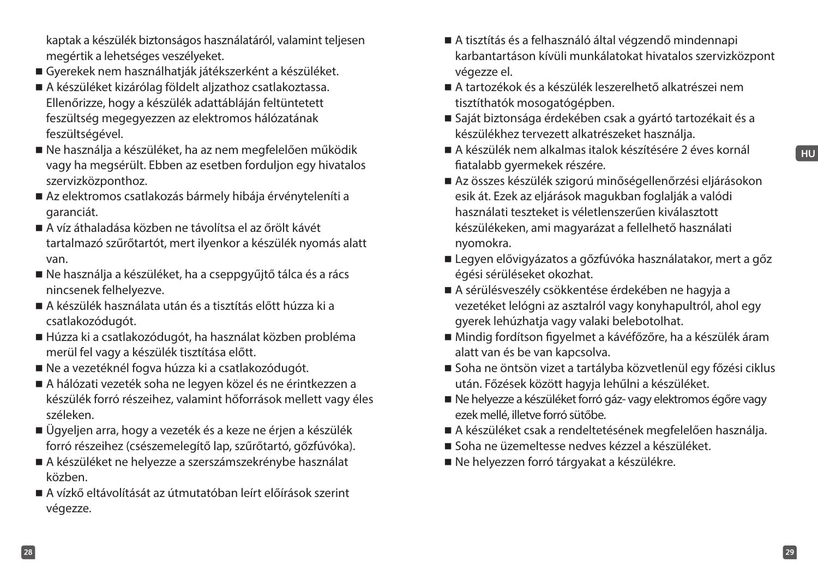- kaptak a készülék biztonságos használatáról, valamint teljesen megértik a lehetséges veszélyeket.
- Gyerekek nem használhatják játékszerként a készüléket.
- A készüléket kizárólag földelt aljzathoz csatlakoztassa. Ellenőrizze, hogy a készülék adattábláján feltüntetett feszültség megegyezzen az elektromos hálózatának feszültségével.
- Ne használja a készüléket, ha az nem megfelelően működik vagy ha megsérült. Ebben az esetben forduljon egy hivatalos szervizközponthoz.
- Az elektromos csatlakozás bármely hibája érvényteleníti a garanciát.
- A víz áthaladása közben ne távolítsa el az őrölt kávét tartalmazó szűrőtartót, mert ilyenkor a készülék nyomás alatt van.
- Ne használja a készüléket, ha a cseppgyűjtő tálca és a rács nincsenek felhelyezve.
- A készülék használata után és a tisztítás előtt húzza ki a csatlakozódugót.
- Húzza ki a csatlakozódugót, ha használat közben probléma merül fel vagy a készülék tisztítása előtt.
- Ne a vezetéknél fogva húzza ki a csatlakozódugót.
- A hálózati vezeték soha ne legyen közel és ne érintkezzen a készülék forró részeihez, valamint hőforrások mellett vagy éles széleken.
- Ügyeljen arra, hogy a vezeték és a keze ne érjen a készülék forró részeihez (csészemelegítő lap, szűrőtartó, gőzfúvóka).
- A készüléket ne helyezze a szerszámszekrénybe használat közben.
- A vízkő eltávolítását az útmutatóban leírt előírások szerint végezze.
- A tisztítás és a felhasználó által végzendő mindennapi karbantartáson kívüli munkálatokat hivatalos szervizközpont végezze el.
- A tartozékok és a készülék leszerelhető alkatrészei nem tisztíthatók mosogatógépben.
- Saját biztonsága érdekében csak a gyártó tartozékait és a készülékhez tervezett alkatrészeket használja.
- A készülék nem alkalmas italok készítésére 2 éves kornál fiatalabb gyermekek részére.
- Az összes készülék szigorú minőségellenőrzési eljárásokon esik át. Ezek az eljárások magukban foglalják a valódi használati teszteket is véletlenszerűen kiválasztott készülékeken, ami magyarázat a fellelhető használati nyomokra.
- Legyen elővigyázatos a gőzfúvóka használatakor, mert a gőz égési sérüléseket okozhat.
- A sérülésveszély csökkentése érdekében ne hagyja a vezetéket lelógni az asztalról vagy konyhapultról, ahol egy gyerek lehúzhatja vagy valaki belebotolhat.
- Mindig fordítson figyelmet a kávéfőzőre, ha a készülék áram alatt van és be van kapcsolva.
- Soha ne öntsön vizet a tartályba közvetlenül egy főzési ciklus után. Főzések között hagyja lehűlni a készüléket.
- Ne helyezze a készüléket forró gáz- vagy elektromos égőre vagy ezek mellé, illetve forró sütőbe.
- A készüléket csak a rendeltetésének megfelelően használja.
- Soha ne üzemeltesse nedves kézzel a készüléket.
- Ne helyezzen forró tárgyakat a készülékre.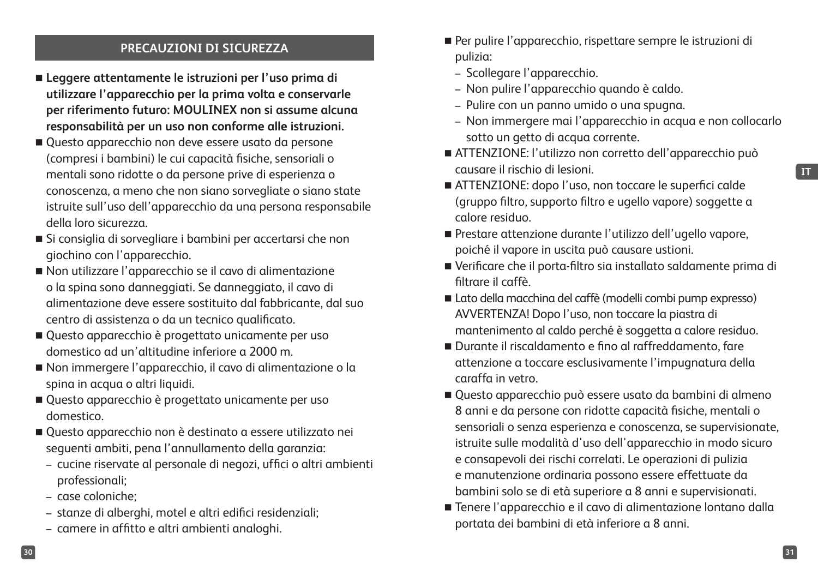#### **PRECAUZIONI DI SICUREZZA**

- **Leggere attentamente le istruzioni per l'uso prima di utilizzare l'apparecchio per la prima volta e conservarle per riferimento futuro: MOULINEX non si assume alcuna responsabilità per un uso non conforme alle istruzioni.**
- Questo apparecchio non deve essere usato da persone (compresi i bambini) le cui capacità fisiche, sensoriali o mentali sono ridotte o da persone prive di esperienza o conoscenza, a meno che non siano sorvegliate o siano state istruite sull'uso dell'apparecchio da una persona responsabile della loro sicurezza.
- Si consiglia di sorvegliare i bambini per accertarsi che non giochino con l'apparecchio.
- Non utilizzare l'apparecchio se il cavo di alimentazione o la spina sono danneggiati. Se danneggiato, il cavo di alimentazione deve essere sostituito dal fabbricante, dal suo centro di assistenza o da un tecnico qualificato.
- Questo apparecchio è progettato unicamente per uso domestico ad un'altitudine inferiore a 2000 m.
- Non immergere l'apparecchio, il cavo di alimentazione o la spina in acqua o altri liquidi.
- Questo apparecchio è progettato unicamente per uso domestico.
- Questo apparecchio non è destinato a essere utilizzato nei seguenti ambiti, pena l'annullamento della garanzia:
	- cucine riservate al personale di negozi, uffici o altri ambienti professionali;
	- case coloniche;
	- stanze di alberghi, motel e altri edifici residenziali;
	- camere in affitto e altri ambienti analoghi.
- Per pulire l'apparecchio, rispettare sempre le istruzioni di pulizia:
	- Scollegare l'apparecchio.
	- Non pulire l'apparecchio quando è caldo.
	- Pulire con un panno umido o una spugna.
	- Non immergere mai l'apparecchio in acqua e non collocarlo sotto un getto di acqua corrente.
- ATTENZIONE: l'utilizzo non corretto dell'apparecchio può causare il rischio di lesioni.
- ATTENZIONE: dopo l'uso, non toccare le superfici calde (gruppo filtro, supporto filtro e ugello vapore) soggette a calore residuo.
- Prestare attenzione durante l'utilizzo dell'ugello vapore, poiché il vapore in uscita può causare ustioni.
- Verificare che il porta-filtro sia installato saldamente prima di filtrare il caffè.
- Lato della macchina del caffè (modelli combi pump expresso) AVVERTENZA! Dopo l'uso, non toccare la piastra di mantenimento al caldo perché è soggetta a calore residuo.
- Durante il riscaldamento e fino al raffreddamento, fare attenzione a toccare esclusivamente l'impugnatura della caraffa in vetro.
- Questo apparecchio può essere usato da bambini di almeno 8 anni e da persone con ridotte capacità fisiche, mentali o sensoriali o senza esperienza e conoscenza, se supervisionate, istruite sulle modalità d'uso dell'apparecchio in modo sicuro e consapevoli dei rischi correlati. Le operazioni di pulizia e manutenzione ordinaria possono essere effettuate da bambini solo se di età superiore a 8 anni e supervisionati.
- Tenere l'apparecchio e il cavo di alimentazione lontano dalla portata dei bambini di età inferiore a 8 anni.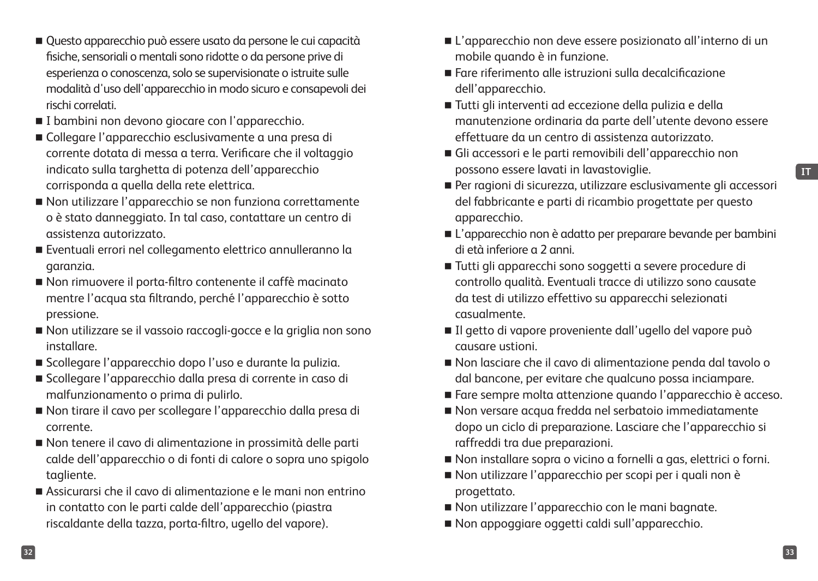**IT**

- Questo apparecchio può essere usato da persone le cui capacità fisiche, sensoriali o mentali sono ridotte o da persone prive di esperienza o conoscenza, solo se supervisionate o istruite sulle modalità d'uso dell'apparecchio in modo sicuro e consapevoli dei rischi correlati.
- I bambini non devono giocare con l'apparecchio.
- Collegare l'apparecchio esclusivamente a una presa di corrente dotata di messa a terra. Verificare che il voltaggio indicato sulla targhetta di potenza dell'apparecchio corrisponda a quella della rete elettrica.
- Non utilizzare l'apparecchio se non funziona correttamente o è stato danneggiato. In tal caso, contattare un centro di assistenza autorizzato.
- Eventuali errori nel collegamento elettrico annulleranno la garanzia.
- Non rimuovere il porta-filtro contenente il caffè macinato mentre l'acqua sta filtrando, perché l'apparecchio è sotto pressione.
- Non utilizzare se il vassoio raccogli-gocce e la griglia non sono installare.
- Scollegare l'apparecchio dopo l'uso e durante la pulizia.
- Scollegare l'apparecchio dalla presa di corrente in caso di malfunzionamento o prima di pulirlo.
- Non tirare il cavo per scollegare l'apparecchio dalla presa di corrente.
- Non tenere il cavo di alimentazione in prossimità delle parti calde dell'apparecchio o di fonti di calore o sopra uno spigolo tagliente.
- Assicurarsi che il cavo di alimentazione e le mani non entrino in contatto con le parti calde dell'apparecchio (piastra riscaldante della tazza, porta-filtro, ugello del vapore).
- L'apparecchio non deve essere posizionato all'interno di un mobile quando è in funzione.
- Fare riferimento alle istruzioni sulla decalcificazione dell'apparecchio.
- Tutti gli interventi ad eccezione della pulizia e della manutenzione ordinaria da parte dell'utente devono essere effettuare da un centro di assistenza autorizzato.
- Gli accessori e le parti removibili dell'apparecchio non possono essere lavati in lavastoviglie.
- Per ragioni di sicurezza, utilizzare esclusivamente gli accessori del fabbricante e parti di ricambio progettate per questo apparecchio.
- L'apparecchio non è adatto per preparare bevande per bambini di età inferiore a 2 anni.
- Tutti gli apparecchi sono soggetti a severe procedure di controllo qualità. Eventuali tracce di utilizzo sono causate da test di utilizzo effettivo su apparecchi selezionati casualmente.
- Il getto di vapore proveniente dall'ugello del vapore può causare ustioni.
- Non lasciare che il cavo di alimentazione penda dal tavolo o dal bancone, per evitare che qualcuno possa inciampare.
- Fare sempre molta attenzione quando l'apparecchio è acceso.
- Non versare acqua fredda nel serbatoio immediatamente dopo un ciclo di preparazione. Lasciare che l'apparecchio si raffreddi tra due preparazioni.
- Non installare sopra o vicino a fornelli a gas, elettrici o forni.
- Non utilizzare l'apparecchio per scopi per i quali non è progettato.
- Non utilizzare l'apparecchio con le mani bagnate.
- Non appoggiare oggetti caldi sull'apparecchio.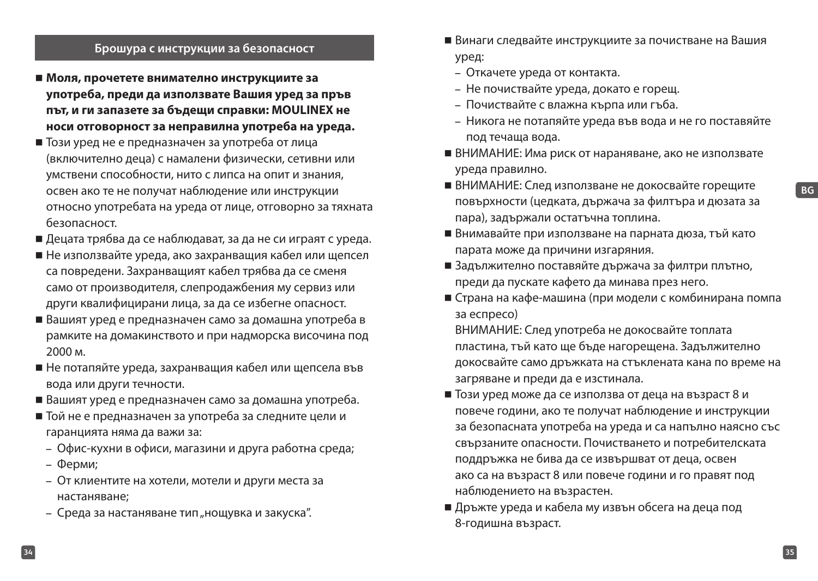#### **Брошура с инструкции за безопасност**

- **Моля, прочетете внимателно инструкциите за употреба, преди да използвате Вашия уред за пръв път, и ги запазете за бъдещи справки: MOULINEX не носи отговорност за неправилна употреба на уреда.**
- Този уред не е предназначен за употреба от лица (включително деца) с намалени физически, сетивни или умствени способности, нито с липса на опит и знания, освен ако те не получат наблюдение или инструкции относно употребата на уреда от лице, отговорно за тяхната безопасност.
- Децата трябва да се наблюдават, за да не си играят с уреда.
- Не използвайте уреда, ако захранващия кабел или щепсел са повредени. Захранващият кабел трябва да се сменя само от производителя, слепродажбения му сервиз или други квалифицирани лица, за да се избегне опасност.
- Вашият уред е предназначен само за домашна употреба в рамките на домакинството и при надморска височина под 2000 м.
- Не потапяйте уреда, захранващия кабел или щепсела във вода или други течности.
- Вашият уред е предназначен само за домашна употреба.
- Той не е предназначен за употреба за следните цели и гаранцията няма да важи за:
	- Офис-кухни в офиси, магазини и друга работна среда;
	- Ферми;
	- От клиентите на хотели, мотели и други места за настаняване;
	- Среда за настаняване тип "нощувка и закуска".
- Винаги следвайте инструкциите за почистване на Вашия уред:
	- Откачете уреда от контакта.
	- Не почиствайте уреда, докато е горещ.
	- Почиствайте с влажна кърпа или гъба.
	- Никога не потапяйте уреда във вода и не го поставяйте под течаща вода.
- ВНИМАНИЕ: Има риск от нараняване, ако не използвате уреда правилно.
- ВНИМАНИЕ: След използване не докосвайте горещите повърхности (цедката, държача за филтъра и дюзата за пара), задържали остатъчна топлина.
- Внимавайте при използване на парната дюза, тъй като парата може да причини изгаряния.
- Задължително поставяйте държача за филтри плътно, преди да пускате кафето да минава през него.
- Страна на кафе-машина (при модели с комбинирана помпа за еспресо)

ВНИМАНИЕ: След употреба не докосвайте топлата пластина, тъй като ще бъде нагорещена. Задължително докосвайте само дръжката на стъклената кана по време на загряване и преди да е изстинала.

- Този уред може да се използва от деца на възраст 8 и повече години, ако те получат наблюдение и инструкции за безопасната употреба на уреда и са напълно наясно със свързаните опасности. Почистването и потребителската поддръжка не бива да се извършват от деца, освен ако са на възраст 8 или повече години и го правят под наблюдението на възрастен.
- Дръжте уреда и кабела му извън обсега на деца под 8-годишна възраст.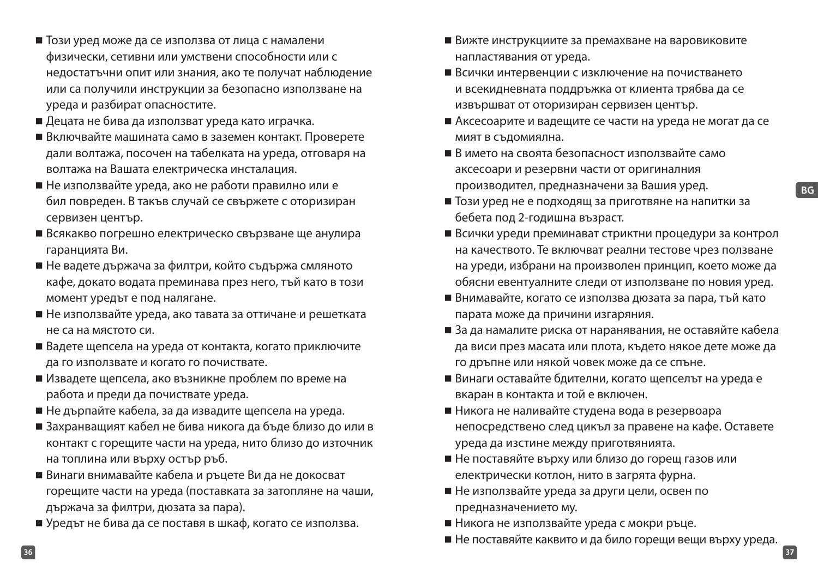**BG**

- Този уред може да се използва от лица с намалени физически, сетивни или умствени способности или с недостатъчни опит или знания, ако те получат наблюдение или са получили инструкции за безопасно използване на уреда и разбират опасностите.
- Децата не бива да използват уреда като играчка.
- Включвайте машината само в заземен контакт. Проверете дали волтажа, посочен на табелката на уреда, отговаря на волтажа на Вашата електрическа инсталация.
- Не използвайте уреда, ако не работи правилно или е бил повреден. В такъв случай се свържете с оторизиран сервизен център.
- Всякакво погрешно електрическо свързване ще анулира гаранцията Ви.
- Не вадете държача за филтри, който съдържа смляното кафе, докато водата преминава през него, тъй като в този момент уредът е под налягане.
- Не използвайте уреда, ако тавата за оттичане и решетката не са на мястото си.
- Вадете щепсела на уреда от контакта, когато приключите да го използвате и когато го почиствате.
- Извадете щепсела, ако възникне проблем по време на работа и преди да почиствате уреда.
- Не дърпайте кабела, за да извадите щепсела на уреда.
- Захранващият кабел не бива никога да бъде близо до или в контакт с горещите части на уреда, нито близо до източник на топлина или върху остър ръб.
- Винаги внимавайте кабела и ръцете Ви да не докосват горещите части на уреда (поставката за затопляне на чаши, държача за филтри, дюзата за пара).
- Уредът не бива да се поставя в шкаф, когато се използва.
- Вижте инструкциите за премахване на варовиковите напластявания от уреда.
- Всички интервенции с изключение на почистването и всекидневната поддръжка от клиента трябва да се извършват от оторизиран сервизен център.
- Аксесоарите и вадещите се части на уреда не могат да се мият в съдомиялна.
- В името на своята безопасност използвайте само аксесоари и резервни части от оригиналния производител, предназначени за Вашия уред.
- Този уред не е подходящ за приготвяне на напитки за бебета под 2-годишна възраст.
- Всички уреди преминават стриктни процедури за контрол на качеството. Те включват реални тестове чрез ползване на уреди, избрани на произволен принцип, което може да обясни евентуалните следи от използване по новия уред.
- Внимавайте, когато се използва дюзата за пара, тъй като парата може да причини изгаряния.
- За да намалите риска от наранявания, не оставяйте кабела да виси през масата или плота, където някое дете може да го дръпне или някой човек може да се спъне.
- Винаги оставайте бдителни, когато щепселът на уреда е вкаран в контакта и той е включен.
- Никога не наливайте студена вода в резервоара непосредствено след цикъл за правене на кафе. Оставете уреда да изстине между приготвянията.
- Не поставяйте върху или близо до горещ газов или електрически котлон, нито в загрята фурна.
- Не използвайте уреда за други цели, освен по предназначението му.
- Никога не използвайте уреда с мокри ръце.
- Не поставяйте каквито и да било горещи вещи върху уреда.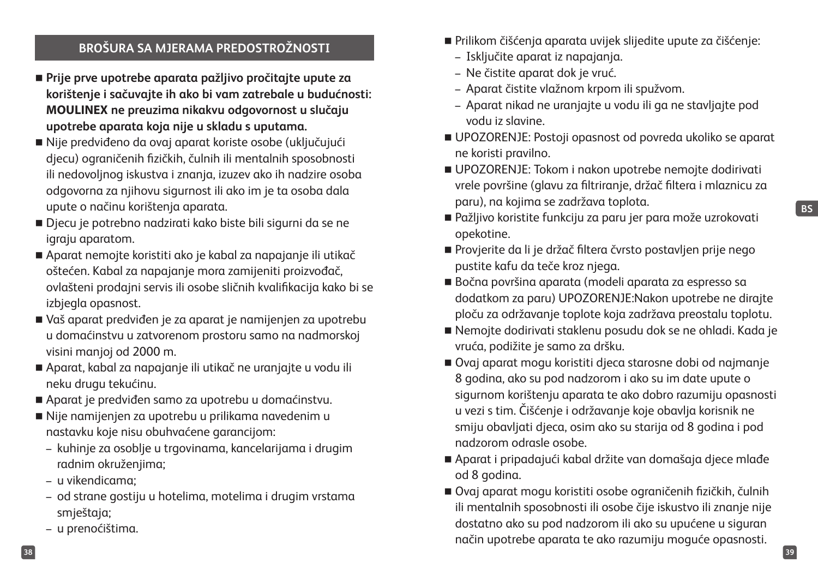## **BROŠURA SA MJERAMA PREDOSTROŽNOSTI**

- **Prije prve upotrebe aparata pažljivo pročitajte upute za korištenje i sačuvajte ih ako bi vam zatrebale u budućnosti: MOULINEX ne preuzima nikakvu odgovornost u slučaju upotrebe aparata koja nije u skladu s uputama.**
- Nije predviđeno da ovaj aparat koriste osobe (uključujući djecu) ograničenih fizičkih, čulnih ili mentalnih sposobnosti ili nedovoljnog iskustva i znanja, izuzev ako ih nadzire osoba odgovorna za njihovu sigurnost ili ako im je ta osoba dala upute o načinu korištenja aparata.
- Djecu je potrebno nadzirati kako biste bili sigurni da se ne igraju aparatom.
- Aparat nemojte koristiti ako je kabal za napajanje ili utikač oštećen. Kabal za napajanje mora zamijeniti proizvođač, ovlašteni prodajni servis ili osobe sličnih kvalifikacija kako bi se izbjegla opasnost.
- Vaš aparat predviđen je za aparat je namijenjen za upotrebu u domaćinstvu u zatvorenom prostoru samo na nadmorskoj visini manjoj od 2000 m.
- Aparat, kabal za napajanje ili utikač ne uranjajte u vodu ili neku drugu tekućinu.
- Aparat je predviđen samo za upotrebu u domaćinstvu.
- Nije namijenjen za upotrebu u prilikama navedenim u nastavku koje nisu obuhvaćene garancijom:
	- kuhinje za osoblje u trgovinama, kancelarijama i drugim radnim okruženjima;
	- u vikendicama;
	- od strane gostiju u hotelima, motelima i drugim vrstama smještaja;
	- u prenoćištima.
- Prilikom čišćenja aparata uvijek slijedite upute za čišćenje:
	- Isključite aparat iz napajanja.
	- Ne čistite aparat dok je vruć.
	- Aparat čistite vlažnom krpom ili spužvom.
	- Aparat nikad ne uranjajte u vodu ili ga ne stavljajte pod vodu iz slavine.
- UPOZORENJE: Postoji opasnost od povreda ukoliko se aparat ne koristi pravilno.
- UPOZORENJE: Tokom i nakon upotrebe nemojte dodirivati vrele površine (glavu za filtriranje, držač filtera i mlaznicu za paru), na kojima se zadržava toplota.
- Pažljivo koristite funkciju za paru jer para može uzrokovati opekotine.
- Provjerite da li je držač filtera čvrsto postavljen prije nego pustite kafu da teče kroz njega.
- Bočna površina aparata (modeli aparata za espresso sa dodatkom za paru) UPOZORENJE:Nakon upotrebe ne dirajte ploču za održavanje toplote koja zadržava preostalu toplotu.
- Nemojte dodirivati staklenu posudu dok se ne ohladi. Kada je vruća, podižite je samo za dršku.
- Ovaj aparat mogu koristiti djeca starosne dobi od najmanje 8 godina, ako su pod nadzorom i ako su im date upute o sigurnom korištenju aparata te ako dobro razumiju opasnosti u vezi s tim. Čišćenje i održavanje koje obavlja korisnik ne smiju obavljati djeca, osim ako su starija od 8 godina i pod nadzorom odrasle osobe.
- Aparat i pripadajući kabal držite van domašaja djece mlađe od 8 godina.
- Ovaj aparat mogu koristiti osobe ograničenih fizičkih, čulnih ili mentalnih sposobnosti ili osobe čije iskustvo ili znanje nije dostatno ako su pod nadzorom ili ako su upućene u siguran način upotrebe aparata te ako razumiju moguće opasnosti.

**BS**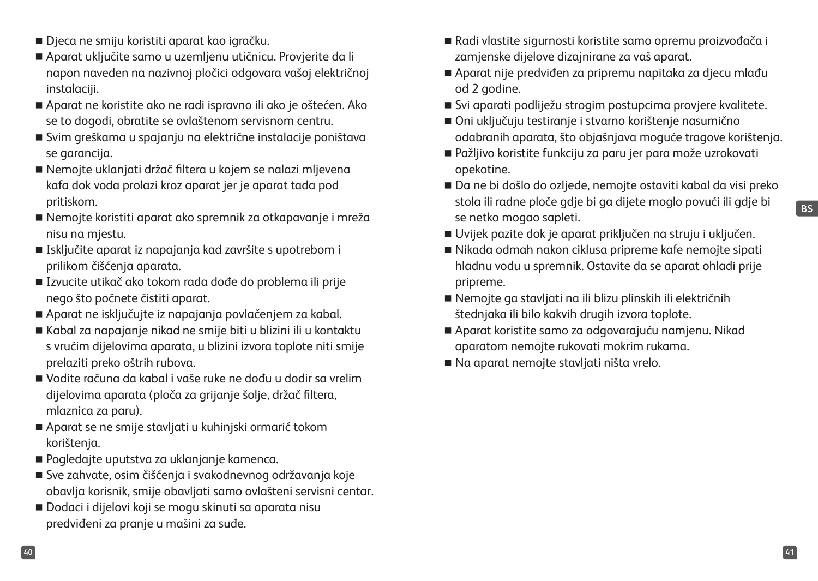- Djeca ne smiju koristiti aparat kao igračku.
- Aparat uključite samo u uzemljenu utičnicu. Provjerite da li napon naveden na nazivnoj pločici odgovara vašoj električnoj instalaciji.
- Aparat ne koristite ako ne radi ispravno ili ako je oštećen. Ako se to dogodi, obratite se ovlaštenom servisnom centru.
- Svim greškama u spajanju na električne instalacije poništava se garancija.
- Nemojte uklanjati držač filtera u kojem se nalazi mljevena kafa dok voda prolazi kroz aparat jer je aparat tada pod pritiskom.
- Nemojte koristiti aparat ako spremnik za otkapavanje i mreža nisu na mjestu.
- Isključite aparat iz napajanja kad završite s upotrebom i prilikom čišćenja aparata.
- Izvucite utikač ako tokom rada dođe do problema ili prije nego što počnete čistiti aparat.
- Aparat ne isključujte iz napajanja povlačenjem za kabal.
- Kabal za napajanje nikad ne smije biti u blizini ili u kontaktu s vrućim dijelovima aparata, u blizini izvora toplote niti smije prelaziti preko oštrih rubova.
- Vodite računa da kabal i vaše ruke ne dođu u dodir sa vrelim dijelovima aparata (ploča za grijanje šolje, držač filtera, mlaznica za paru).
- Aparat se ne smije stavljati u kuhinjski ormarić tokom korištenja.
- Pogledajte uputstva za uklanjanje kamenca.
- Sve zahvate, osim čišćenja i svakodnevnog održavanja koje obavlja korisnik, smije obavljati samo ovlašteni servisni centar.
- Dodaci i dijelovi koji se mogu skinuti sa aparata nisu predviđeni za pranje u mašini za suđe.
- Radi vlastite sigurnosti koristite samo opremu proizvođača i zamjenske dijelove dizajnirane za vaš aparat.
- Aparat nije predviđen za pripremu napitaka za djecu mlađu od 2 godine.
- Svi aparati podliježu strogim postupcima proviere kvalitete.
- Oni uključuju testiranje i stvarno korištenje nasumično odabranih aparata, što objašnjava moguće tragove korištenja.
- Pažljivo koristite funkciju za paru jer para može uzrokovati opekotine.
- Da ne bi došlo do ozljede, nemojte ostaviti kabal da visi preko stola ili radne ploče gdje bi ga dijete moglo povući ili gdje bi se netko mogao sapleti.
- Uvijek pazite dok je aparat priključen na struju i uključen.
- Nikada odmah nakon ciklusa pripreme kafe nemojte sipati hladnu vodu u spremnik. Ostavite da se aparat ohladi prije pripreme.
- Nemojte ga stavljati na ili blizu plinskih ili električnih štednjaka ili bilo kakvih drugih izvora toplote.
- Aparat koristite samo za odgovarajuću namjenu. Nikad aparatom nemojte rukovati mokrim rukama.
- Na aparat nemojte stavljati ništa vrelo.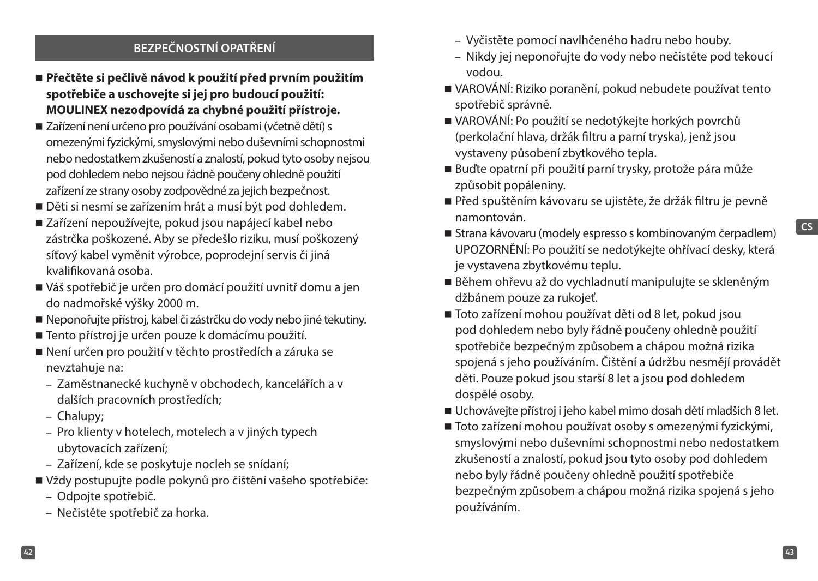## **BEZPEČNOSTNÍ OPATŘENÍ**

- **Přečtěte si pečlivě návod k použití před prvním použitím spotřebiče a uschovejte si jej pro budoucí použití: MOULINEX nezodpovídá za chybné použití přístroje.**
- Zařízení není určeno pro používání osobami (včetně dětí) s omezenými fyzickými, smyslovými nebo duševními schopnostmi nebo nedostatkem zkušeností a znalostí, pokud tyto osoby nejsou pod dohledem nebo nejsou řádně poučeny ohledně použití zařízení ze strany osoby zodpovědné za jejich bezpečnost.
- Děti si nesmí se zařízením hrát a musí být pod dohledem.
- Zařízení nepoužívejte, pokud jsou napájecí kabel nebo zástrčka poškozené. Aby se předešlo riziku, musí poškozený síťový kabel vyměnit výrobce, poprodejní servis či jiná kvalifikovaná osoba.
- Váš spotřebič je určen pro domácí použití uvnitř domu a jen do nadmořské výšky 2000 m.
- Neponořujte přístroj, kabel či zástrčku do vody nebo jiné tekutiny.
- Tento přístroj je určen pouze k domácímu použití.
- Není určen pro použití v těchto prostředích a záruka se nevztahuje na:
	- Zaměstnanecké kuchyně v obchodech, kancelářích a v dalších pracovních prostředích;
	- Chalupy;
	- Pro klienty v hotelech, motelech a v jiných typech ubytovacích zařízení;
	- Zařízení, kde se poskytuje nocleh se snídaní;
- Vždy postupujte podle pokynů pro čištění vašeho spotřebiče:
	- Odpojte spotřebič.
	- Nečistěte spotřebič za horka.
- Vyčistěte pomocí navlhčeného hadru nebo houby.
- Nikdy jej neponořujte do vody nebo nečistěte pod tekoucí vodou.
- VAROVÁNÍ: Riziko poranění, pokud nebudete používat tento spotřebič správně.
- VAROVÁNÍ: Po použití se nedotýkejte horkých povrchů (perkolační hlava, držák filtru a parní tryska), jenž jsou vystaveny působení zbytkového tepla.
- Buďte opatrní při použití parní trysky, protože pára může způsobit popáleniny.
- Před spuštěním kávovaru se ujistěte, že držák filtru je pevně namontován.
- Strana kávovaru (modely espresso s kombinovaným čerpadlem) UPOZORNĚNÍ: Po použití se nedotýkejte ohřívací desky, která je vystavena zbytkovému teplu.
- Během ohřevu až do vychladnutí manipulujte se skleněným džbánem pouze za rukojeť.
- Toto zařízení mohou používat děti od 8 let, pokud jsou pod dohledem nebo byly řádně poučeny ohledně použití spotřebiče bezpečným způsobem a chápou možná rizika spojená s jeho používáním. Čištění a údržbu nesmějí provádět děti. Pouze pokud jsou starší 8 let a jsou pod dohledem dospělé osoby.
- Uchovávejte přístroj i jeho kabel mimo dosah dětí mladších 8 let.
- Toto zařízení mohou používat osoby s omezenými fyzickými, smyslovými nebo duševními schopnostmi nebo nedostatkem zkušeností a znalostí, pokud jsou tyto osoby pod dohledem nebo byly řádně poučeny ohledně použití spotřebiče bezpečným způsobem a chápou možná rizika spojená s jeho používáním.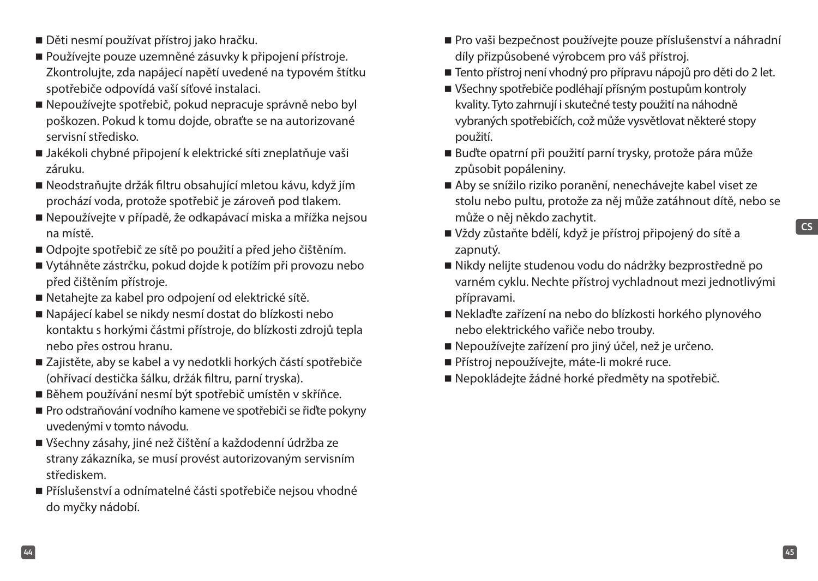- Děti nesmí používat přístroj jako hračku.
- Používejte pouze uzemněné zásuvky k připojení přístroje. Zkontrolujte, zda napájecí napětí uvedené na typovém štítku spotřebiče odpovídá vaší síťové instalaci.
- Nepoužívejte spotřebič, pokud nepracuje správně nebo byl poškozen. Pokud k tomu dojde, obraťte se na autorizované servisní středisko.
- Jakékoli chybné připojení k elektrické síti zneplatňuje vaši záruku.
- Neodstraňujte držák filtru obsahující mletou kávu, když jím prochází voda, protože spotřebič je zároveň pod tlakem.
- Nepoužívejte v případě, že odkapávací miska a mřížka nejsou na místě.
- Odpojte spotřebič ze sítě po použití a před jeho čištěním.
- Vytáhněte zástrčku, pokud dojde k potížím při provozu nebo před čištěním přístroje.
- Netahejte za kabel pro odpojení od elektrické sítě.
- Napájecí kabel se nikdy nesmí dostat do blízkosti nebo kontaktu s horkými částmi přístroje, do blízkosti zdrojů tepla nebo přes ostrou hranu.
- Zajistěte, aby se kabel a vy nedotkli horkých částí spotřebiče (ohřívací destička šálku, držák filtru, parní tryska).
- Během používání nesmí být spotřebič umístěn v skříňce.
- Pro odstraňování vodního kamene ve spotřebiči se řiďte pokyny uvedenými v tomto návodu.
- Všechny zásahy, jiné než čištění a každodenní údržba ze strany zákazníka, se musí provést autorizovaným servisním střediskem.
- Příslušenství a odnímatelné části spotřebiče nejsou vhodné do myčky nádobí.
- Pro vaši bezpečnost používejte pouze příslušenství a náhradní díly přizpůsobené výrobcem pro váš přístroj.
- Tento přístroj není vhodný pro přípravu nápojů pro děti do 2 let.
- Všechny spotřebiče podléhají přísným postupům kontroly kvality. Tyto zahrnují i skutečné testy použití na náhodně vybraných spotřebičích, což může vysvětlovat některé stopy použití.
- Buďte opatrní při použití parní trysky, protože pára může způsobit popáleniny.
- Aby se snížilo riziko poranění, nenechávejte kabel viset ze stolu nebo pultu, protože za něj může zatáhnout dítě, nebo se může o něj někdo zachytit.
- Vždy zůstaňte bdělí, když je přístroj připojený do sítě a zapnutý.
- Nikdy nelijte studenou vodu do nádržky bezprostředně po varném cyklu. Nechte přístroj vychladnout mezi jednotlivými přípravami.
- Neklaďte zařízení na nebo do blízkosti horkého plynového nebo elektrického vařiče nebo trouby.
- Nepoužívejte zařízení pro jiný účel, než je určeno.
- Přístroj nepoužívejte, máte-li mokré ruce.
- Nepokládejte žádné horké předměty na spotřebič.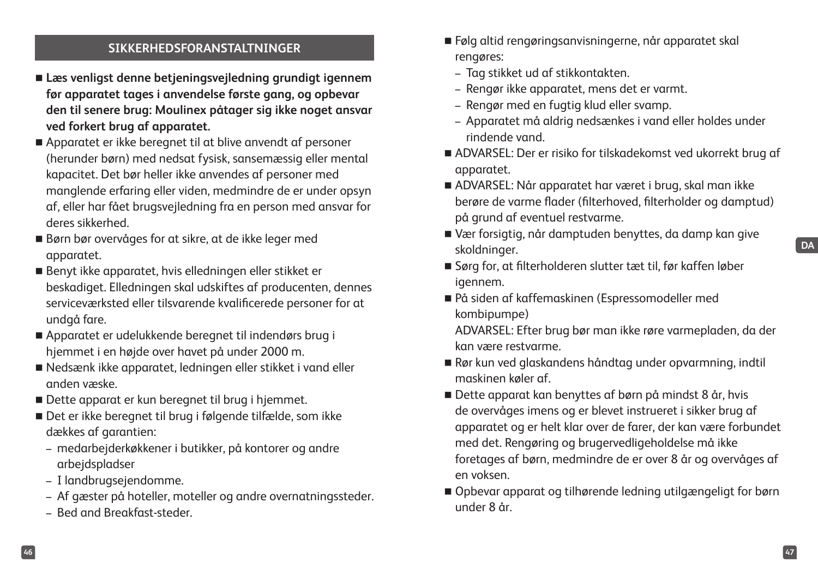#### **SIKKERHEDSFORANSTALTNINGER**

- **Læs venligst denne betjeningsvejledning grundigt igennem før apparatet tages i anvendelse første gang, og opbevar den til senere brug: Moulinex påtager sig ikke noget ansvar ved forkert brug af apparatet.**
- Apparatet er ikke beregnet til at blive anvendt af personer (herunder børn) med nedsat fysisk, sansemæssig eller mental kapacitet. Det bør heller ikke anvendes af personer med manglende erfaring eller viden, medmindre de er under opsyn af, eller har fået brugsvejledning fra en person med ansvar for deres sikkerhed.
- Børn bør overvåges for at sikre, at de ikke leger med apparatet.
- Benyt ikke apparatet, hvis elledningen eller stikket er beskadiget. Elledningen skal udskiftes af producenten, dennes serviceværksted eller tilsvarende kvalificerede personer for at undgå fare.
- Apparatet er udelukkende beregnet til indendørs brug i hjemmet i en højde over havet på under 2000 m.
- Nedsænk ikke apparatet, ledningen eller stikket i vand eller anden væske.
- Dette apparat er kun beregnet til brug i hjemmet.
- Det er ikke beregnet til brug i følgende tilfælde, som ikke dækkes af garantien:
	- medarbejderkøkkener i butikker, på kontorer og andre arbejdspladser
	- I landbrugsejendomme.
	- Af gæster på hoteller, moteller og andre overnatningssteder.
	- Bed and Breakfast-steder.
- Følg altid rengøringsanvisningerne, når apparatet skal rengøres:
	- Tag stikket ud af stikkontakten.
	- Rengør ikke apparatet, mens det er varmt.
	- Rengør med en fugtig klud eller svamp.
	- Apparatet må aldrig nedsænkes i vand eller holdes under rindende vand.
- ADVARSEL: Der er risiko for tilskadekomst ved ukorrekt brug af apparatet.
- ADVARSEL: Når apparatet har været i brug, skal man ikke berøre de varme flader (filterhoved, filterholder og damptud) på grund af eventuel restvarme.
- Vær forsigtig, når damptuden benyttes, da damp kan give skoldninger.
	-

**DA**

- Sørg for, at filterholderen slutter tæt til, før kaffen løber igennem.
- På siden af kaffemaskinen (Espressomodeller med kombipumpe)

ADVARSEL: Efter brug bør man ikke røre varmepladen, da der kan være restvarme.

- Rør kun ved glaskandens håndtag under opvarmning, indtil maskinen køler af.
- Dette apparat kan benyttes af børn på mindst 8 år, hvis de overvåges imens og er blevet instrueret i sikker brug af apparatet og er helt klar over de farer, der kan være forbundet med det. Rengøring og brugervedligeholdelse må ikke foretages af børn, medmindre de er over 8 år og overvåges af en voksen.
- Opbevar apparat og tilhørende ledning utilgængeligt for børn under 8 år.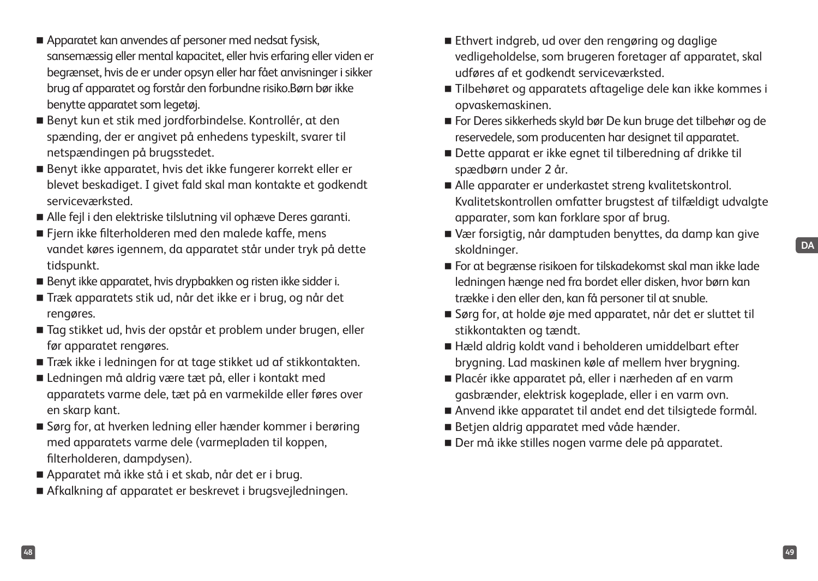- Apparatet kan anvendes af personer med nedsat fysisk, sansemæssig eller mental kapacitet, eller hvis erfaring eller viden er begrænset, hvis de er under opsyn eller har fået anvisninger i sikker brug af apparatet og forstår den forbundne risiko.Børn bør ikke benytte apparatet som legetøj.
- Benyt kun et stik med jordforbindelse. Kontrollér, at den spænding, der er angivet på enhedens typeskilt, svarer til netspændingen på brugsstedet.
- Benyt ikke apparatet, hvis det ikke fungerer korrekt eller er blevet beskadiget. I givet fald skal man kontakte et godkendt serviceværksted.
- Alle fejl i den elektriske tilslutning vil ophæve Deres garanti.
- Fjern ikke filterholderen med den malede kaffe, mens vandet køres igennem, da apparatet står under tryk på dette tidspunkt.
- Benyt ikke apparatet, hvis drypbakken og risten ikke sidder i.
- Træk apparatets stik ud, når det ikke er i brug, og når det rengøres.
- Tag stikket ud, hvis der opstår et problem under brugen, eller før apparatet rengøres.
- Træk ikke i ledningen for at tage stikket ud af stikkontakten.
- Ledningen må aldrig være tæt på, eller i kontakt med apparatets varme dele, tæt på en varmekilde eller føres over en skarp kant.
- Sørg for, at hverken ledning eller hænder kommer i berøring med apparatets varme dele (varmepladen til koppen, filterholderen, dampdysen).
- Apparatet må ikke stå i et skab, når det er i brug.
- Afkalkning af apparatet er beskrevet i brugsvejledningen.
- Ethvert indgreb, ud over den rengøring og daglige vedligeholdelse, som brugeren foretager af apparatet, skal udføres af et godkendt serviceværksted.
- Tilbehøret og apparatets aftagelige dele kan ikke kommes i opvaskemaskinen.
- For Deres sikkerheds skyld bør De kun bruge det tilbehør og de reservedele, som producenten har designet til apparatet.
- Dette apparat er ikke egnet til tilberedning af drikke til spædbørn under 2 år.
- Alle apparater er underkastet streng kvalitetskontrol. Kvalitetskontrollen omfatter brugstest af tilfældigt udvalgte apparater, som kan forklare spor af brug.
- Vær forsigtig, når damptuden benyttes, da damp kan give skoldninger.
- For at begrænse risikoen for tilskadekomst skal man ikke lade ledningen hænge ned fra bordet eller disken, hvor børn kan trække i den eller den, kan få personer til at snuble.
- Sørg for, at holde øje med apparatet, når det er sluttet til stikkontakten og tændt.
- Hæld aldrig koldt vand i beholderen umiddelbart efter brygning. Lad maskinen køle af mellem hver brygning.
- Placér ikke apparatet på, eller i nærheden af en varm gasbrænder, elektrisk kogeplade, eller i en varm ovn.
- Anvend ikke apparatet til andet end det tilsigtede formål.
- Betjen aldrig apparatet med våde hænder.
- Der må ikke stilles nogen varme dele på apparatet.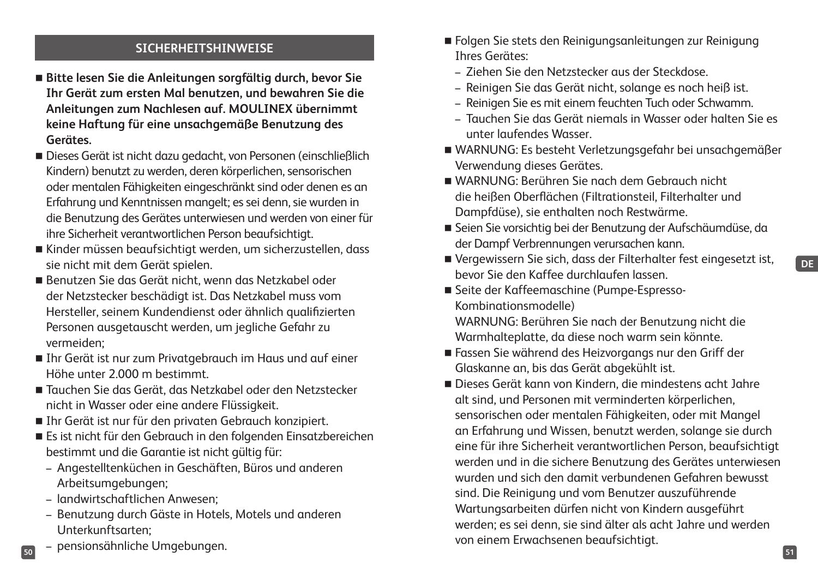## **SICHERHEITSHINWEISE**

- **Bitte lesen Sie die Anleitungen sorgfältig durch, bevor Sie Ihr Gerät zum ersten Mal benutzen, und bewahren Sie die Anleitungen zum Nachlesen auf. MOULINEX übernimmt keine Haftung für eine unsachgemäße Benutzung des Gerätes.**
- Dieses Gerät ist nicht dazu gedacht, von Personen (einschließlich Kindern) benutzt zu werden, deren körperlichen, sensorischen oder mentalen Fähigkeiten eingeschränkt sind oder denen es an Erfahrung und Kenntnissen mangelt; es sei denn, sie wurden in die Benutzung des Gerätes unterwiesen und werden von einer für ihre Sicherheit verantwortlichen Person beaufsichtigt.
- Kinder müssen beaufsichtigt werden, um sicherzustellen, dass sie nicht mit dem Gerät spielen.
- Benutzen Sie das Gerät nicht, wenn das Netzkabel oder der Netzstecker beschädigt ist. Das Netzkabel muss vom Hersteller, seinem Kundendienst oder ähnlich qualifizierten Personen ausgetauscht werden, um jegliche Gefahr zu vermeiden;
- Ihr Gerät ist nur zum Privatgebrauch im Haus und auf einer Höhe unter 2.000 m bestimmt.
- Tauchen Sie das Gerät, das Netzkabel oder den Netzstecker nicht in Wasser oder eine andere Flüssigkeit.
- Ihr Gerät ist nur für den privaten Gebrauch konzipiert.
- Es ist nicht für den Gebrauch in den folgenden Einsatzbereichen bestimmt und die Garantie ist nicht gültig für:
	- Angestelltenküchen in Geschäften, Büros und anderen Arbeitsumgebungen;
	- landwirtschaftlichen Anwesen;
	- Benutzung durch Gäste in Hotels, Motels und anderen Unterkunftsarten;
- **50 51** – pensionsähnliche Umgebungen.
- Folgen Sie stets den Reinigungsanleitungen zur Reinigung Ihres Gerätes:
	- Ziehen Sie den Netzstecker aus der Steckdose.
	- Reinigen Sie das Gerät nicht, solange es noch heiß ist.
	- Reinigen Sie es mit einem feuchten Tuch oder Schwamm.
	- Tauchen Sie das Gerät niemals in Wasser oder halten Sie es unter laufendes Wasser.
- WARNUNG: Es besteht Verletzungsgefahr bei unsachgemäßer Verwendung dieses Gerätes.
- WARNUNG: Berühren Sie nach dem Gebrauch nicht die heißen Oberflächen (Filtrationsteil, Filterhalter und Dampfdüse), sie enthalten noch Restwärme.
- Seien Sie vorsichtig bei der Benutzung der Aufschäumdüse, da der Dampf Verbrennungen verursachen kann.
- Vergewissern Sie sich, dass der Filterhalter fest eingesetzt ist, bevor Sie den Kaffee durchlaufen lassen.
- Seite der Kaffeemaschine (Pumpe-Espresso-Kombinationsmodelle)

WARNUNG: Berühren Sie nach der Benutzung nicht die Warmhalteplatte, da diese noch warm sein könnte.

- Fassen Sie während des Heizvorgangs nur den Griff der Glaskanne an, bis das Gerät abgekühlt ist.
- Dieses Gerät kann von Kindern, die mindestens acht Jahre alt sind, und Personen mit verminderten körperlichen, sensorischen oder mentalen Fähigkeiten, oder mit Mangel an Erfahrung und Wissen, benutzt werden, solange sie durch eine für ihre Sicherheit verantwortlichen Person, beaufsichtigt werden und in die sichere Benutzung des Gerätes unterwiesen wurden und sich den damit verbundenen Gefahren bewusst sind. Die Reinigung und vom Benutzer auszuführende Wartungsarbeiten dürfen nicht von Kindern ausgeführt werden; es sei denn, sie sind älter als acht Jahre und werden von einem Erwachsenen beaufsichtigt.

**DE**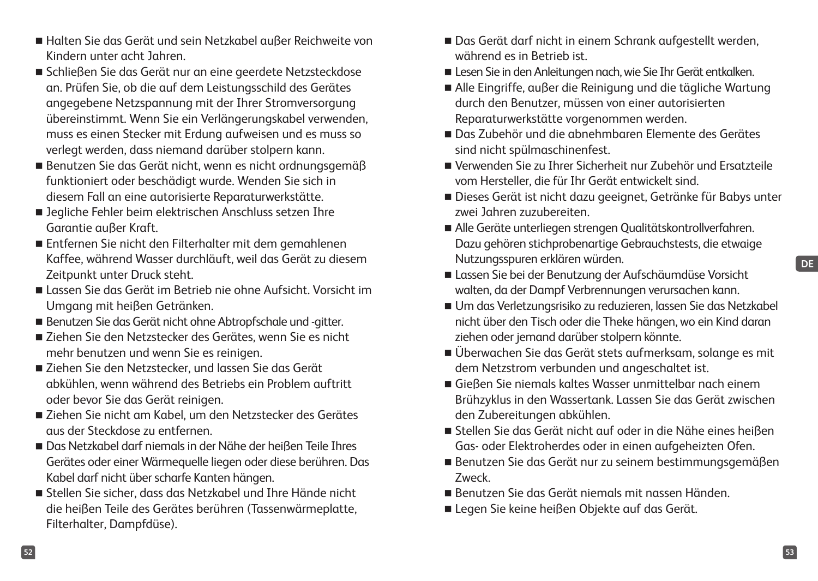- Halten Sie das Gerät und sein Netzkabel außer Reichweite von Kindern unter acht Jahren.
- Schließen Sie das Gerät nur an eine geerdete Netzsteckdose an. Prüfen Sie, ob die auf dem Leistungsschild des Gerätes angegebene Netzspannung mit der Ihrer Stromversorgung übereinstimmt. Wenn Sie ein Verlängerungskabel verwenden, muss es einen Stecker mit Erdung aufweisen und es muss so verlegt werden, dass niemand darüber stolpern kann.
- Benutzen Sie das Gerät nicht, wenn es nicht ordnungsgemäß funktioniert oder beschädigt wurde. Wenden Sie sich in diesem Fall an eine autorisierte Reparaturwerkstätte.
- Jegliche Fehler beim elektrischen Anschluss setzen Ihre Garantie außer Kraft.
- Entfernen Sie nicht den Filterhalter mit dem gemahlenen Kaffee, während Wasser durchläuft, weil das Gerät zu diesem Zeitpunkt unter Druck steht.
- Lassen Sie das Gerät im Betrieb nie ohne Aufsicht. Vorsicht im Umgang mit heißen Getränken.
- Benutzen Sie das Gerät nicht ohne Abtropfschale und -gitter.
- Ziehen Sie den Netzstecker des Gerätes, wenn Sie es nicht mehr benutzen und wenn Sie es reinigen.
- Ziehen Sie den Netzstecker, und lassen Sie das Gerät abkühlen, wenn während des Betriebs ein Problem auftritt oder bevor Sie das Gerät reinigen.
- Ziehen Sie nicht am Kabel, um den Netzstecker des Gerätes aus der Steckdose zu entfernen.
- Das Netzkabel darf niemals in der Nähe der heißen Teile Ihres Gerätes oder einer Wärmequelle liegen oder diese berühren. Das Kabel darf nicht über scharfe Kanten hängen.
- Stellen Sie sicher, dass das Netzkabel und Ihre Hände nicht die heißen Teile des Gerätes berühren (Tassenwärmeplatte, Filterhalter, Dampfdüse).
- Das Gerät darf nicht in einem Schrank aufgestellt werden, während es in Betrieb ist.
- Lesen Sie in den Anleitungen nach, wie Sie Ihr Gerät entkalken.
- Alle Eingriffe, außer die Reinigung und die tägliche Wartung durch den Benutzer, müssen von einer autorisierten Reparaturwerkstätte vorgenommen werden.
- Das Zubehör und die abnehmbaren Elemente des Gerätes sind nicht spülmaschinenfest.
- Verwenden Sie zu Ihrer Sicherheit nur Zubehör und Ersatzteile vom Hersteller, die für Ihr Gerät entwickelt sind.
- Dieses Gerät ist nicht dazu geeignet, Getränke für Babys unter zwei Jahren zuzubereiten.
- Alle Geräte unterliegen strengen Qualitätskontrollverfahren. Dazu gehören stichprobenartige Gebrauchstests, die etwaige Nutzungsspuren erklären würden.
- Lassen Sie bei der Benutzung der Aufschäumdüse Vorsicht walten, da der Dampf Verbrennungen verursachen kann.
- Um das Verletzungsrisiko zu reduzieren, lassen Sie das Netzkabel nicht über den Tisch oder die Theke hängen, wo ein Kind daran ziehen oder jemand darüber stolpern könnte.
- Überwachen Sie das Gerät stets aufmerksam, solange es mit dem Netzstrom verbunden und angeschaltet ist.
- Gießen Sie niemals kaltes Wasser unmittelbar nach einem Brühzyklus in den Wassertank. Lassen Sie das Gerät zwischen den Zubereitungen abkühlen.
- Stellen Sie das Gerät nicht auf oder in die Nähe eines heißen Gas- oder Elektroherdes oder in einen aufgeheizten Ofen.
- Benutzen Sie das Gerät nur zu seinem bestimmungsgemäßen Zweck.
- Benutzen Sie das Gerät niemals mit nassen Händen.
- Legen Sie keine heißen Objekte auf das Gerät.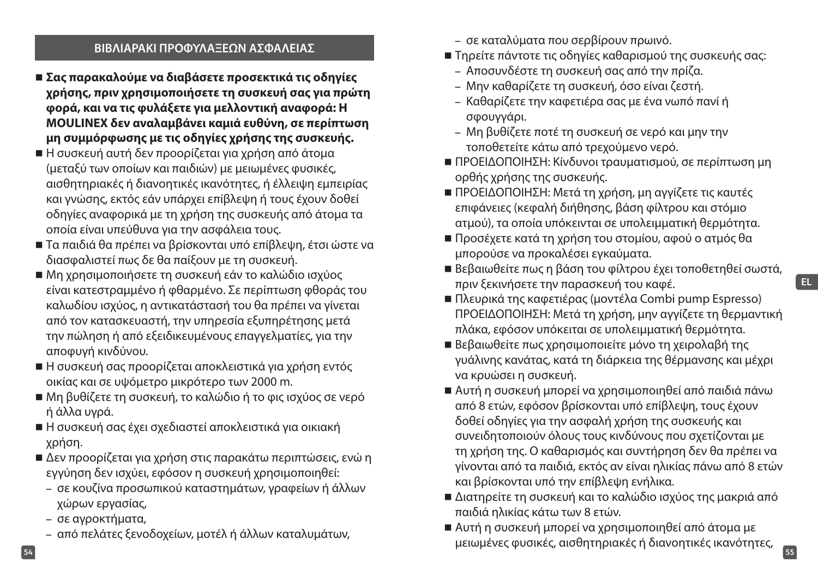#### **ΒΙΒΛΙΑΡΑΚΙ ΠΡΟΦΥΛΑΞΕΩΝ ΑΣΦΑΛΕΙΑΣ**

- **Σας παρακαλούμε να διαβάσετε προσεκτικά τις οδηγίες χρήσης, πριν χρησιμοποιήσετε τη συσκευή σας για πρώτη φορά, και να τις φυλάξετε για μελλοντική αναφορά: Η MOULINEX δεν αναλαμβάνει καμιά ευθύνη, σε περίπτωση μη συμμόρφωσης με τις οδηγίες χρήσης της συσκευής.**
- Η συσκευή αυτή δεν προορίζεται για χρήση από άτομα (μεταξύ των οποίων και παιδιών) με μειωμένες φυσικές, αισθητηριακές ή διανοητικές ικανότητες, ή έλλειψη εμπειρίας και γνώσης, εκτός εάν υπάρχει επίβλεψη ή τους έχουν δοθεί οδηγίες αναφορικά με τη χρήση της συσκευής από άτομα τα οποία είναι υπεύθυνα για την ασφάλεια τους.
- Τα παιδιά θα πρέπει να βρίσκονται υπό επίβλεψη, έτσι ώστε να διασφαλιστεί πως δε θα παίξουν με τη συσκευή.
- Μη χρησιμοποιήσετε τη συσκευή εάν το καλώδιο ισχύος είναι κατεστραμμένο ή φθαρμένο. Σε περίπτωση φθοράς του καλωδίου ισχύος, η αντικατάστασή του θα πρέπει να γίνεται από τον κατασκευαστή, την υπηρεσία εξυπηρέτησης μετά την πώληση ή από εξειδικευμένους επαγγελματίες, για την αποφυγή κινδύνου.
- Η συσκευή σας προορίζεται αποκλειστικά για χρήση εντός οικίας και σε υψόμετρο μικρότερο των 2000 m.
- Μη βυθίζετε τη συσκευή, το καλώδιο ή το φις ισχύος σε νερό ή άλλα υγρά.
- Η συσκευή σας έχει σχεδιαστεί αποκλειστικά για οικιακή χρήση.
- Δεν προορίζεται για χρήση στις παρακάτω περιπτώσεις, ενώ η εγγύηση δεν ισχύει, εφόσον η συσκευή χρησιμοποιηθεί:
	- σε κουζίνα προσωπικού καταστημάτων, γραφείων ή άλλων χώρων εργασίας,
	- σε αγροκτήματα,
	- από πελάτες ξενοδοχείων, μοτέλ ή άλλων καταλυμάτων,
- σε καταλύματα που σερβίρουν πρωινό.
- Τηρείτε πάντοτε τις οδηγίες καθαρισμού της συσκευής σας:
	- Αποσυνδέστε τη συσκευή σας από την πρίζα.
	- Μην καθαρίζετε τη συσκευή, όσο είναι ζεστή.
	- Καθαρίζετε την καφετιέρα σας με ένα νωπό πανί ή σφουγγάρι.
	- Μη βυθίζετε ποτέ τη συσκευή σε νερό και μην την τοποθετείτε κάτω από τρεχούμενο νερό.
- ΠΡΟΕΙΔΟΠΟΙΗΣΗ: Κίνδυνοι τραυματισμού, σε περίπτωση μη ορθής χρήσης της συσκευής.
- ΠΡΟΕΙΔΟΠΟΙΗΣΗ: Μετά τη χρήση, μη αγγίζετε τις καυτές επιφάνειες (κεφαλή διήθησης, βάση φίλτρου και στόμιο ατμού), τα οποία υπόκεινται σε υπολειμματική θερμότητα.
- Προσέχετε κατά τη χρήση του στομίου, αφού ο ατμός θα μπορούσε να προκαλέσει εγκαύματα.
- Βεβαιωθείτε πως η βάση του φίλτρου έχει τοποθετηθεί σωστά, πριν ξεκινήσετε την παρασκευή του καφέ.
- Πλευρικά της καφετιέρας (μοντέλα Combi pump Espresso) ΠΡΟΕΙΔΟΠΟΙΗΣΗ: Μετά τη χρήση, μην αγγίζετε τη θερμαντική πλάκα, εφόσον υπόκειται σε υπολειμματική θερμότητα.
- Βεβαιωθείτε πως χρησιμοποιείτε μόνο τη χειρολαβή της γυάλινης κανάτας, κατά τη διάρκεια της θέρμανσης και μέχρι να κρυώσει η συσκευή.
- Αυτή η συσκευή μπορεί να χρησιμοποιηθεί από παιδιά πάνω από 8 ετών, εφόσον βρίσκονται υπό επίβλεψη, τους έχουν δοθεί οδηγίες για την ασφαλή χρήση της συσκευής και συνειδητοποιούν όλους τους κινδύνους που σχετίζονται με τη χρήση της. Ο καθαρισμός και συντήρηση δεν θα πρέπει να γίνονται από τα παιδιά, εκτός αν είναι ηλικίας πάνω από 8 ετών και βρίσκονται υπό την επίβλεψη ενήλικα.
- Διατηρείτε τη συσκευή και το καλώδιο ισχύος της μακριά από παιδιά ηλικίας κάτω των 8 ετών.
- **54 55** Αυτή η συσκευή μπορεί να χρησιμοποιηθεί από άτομα με μειωμένες φυσικές, αισθητηριακές ή διανοητικές ικανότητες,

**EL**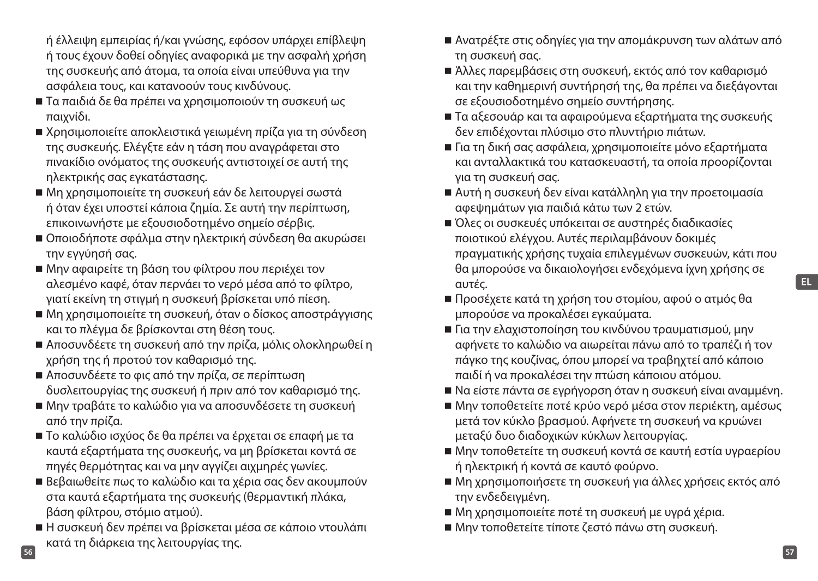ή έλλειψη εμπειρίας ή/και γνώσης, εφόσον υπάρχει επίβλεψη ή τους έχουν δοθεί οδηγίες αναφορικά με την ασφαλή χρήση της συσκευής από άτομα, τα οποία είναι υπεύθυνα για την ασφάλεια τους, και κατανοούν τους κινδύνους.

- Τα παιδιά δε θα πρέπει να χρησιμοποιούν τη συσκευή ως παιχνίδι.
- Χρησιμοποιείτε αποκλειστικά γειωμένη πρίζα για τη σύνδεση της συσκευής. Ελέγξτε εάν η τάση που αναγράφεται στο πινακίδιο ονόματος της συσκευής αντιστοιχεί σε αυτή της ηλεκτρικής σας εγκατάστασης.
- Μη χρησιμοποιείτε τη συσκευή εάν δε λειτουργεί σωστά ή όταν έχει υποστεί κάποια ζημία. Σε αυτή την περίπτωση, επικοινωνήστε με εξουσιοδοτημένο σημείο σέρβις.
- Οποιοδήποτε σφάλμα στην ηλεκτρική σύνδεση θα ακυρώσει την εγγύησή σας.
- Μην αφαιρείτε τη βάση του φίλτρου που περιέχει τον αλεσμένο καφέ, όταν περνάει το νερό μέσα από το φίλτρο, γιατί εκείνη τη στιγμή η συσκευή βρίσκεται υπό πίεση.
- Μη χρησιμοποιείτε τη συσκευή, όταν ο δίσκος αποστράγγισης και το πλέγμα δε βρίσκονται στη θέση τους.
- Αποσυνδέετε τη συσκευή από την πρίζα, μόλις ολοκληρωθεί η χρήση της ή προτού τον καθαρισμό της.
- Αποσυνδέετε το φις από την πρίζα, σε περίπτωση δυσλειτουργίας της συσκευή ή πριν από τον καθαρισμό της.
- Μην τραβάτε το καλώδιο για να αποσυνδέσετε τη συσκευή από την πρίζα.
- Το καλώδιο ισχύος δε θα πρέπει να έρχεται σε επαφή με τα καυτά εξαρτήματα της συσκευής, να μη βρίσκεται κοντά σε πηγές θερμότητας και να μην αγγίζει αιχμηρές γωνίες.
- Βεβαιωθείτε πως το καλώδιο και τα χέρια σας δεν ακουμπούν στα καυτά εξαρτήματα της συσκευής (θερμαντική πλάκα, βάση φίλτρου, στόμιο ατμού).
- **56 57** Η συσκευή δεν πρέπει να βρίσκεται μέσα σε κάποιο ντουλάπι κατά τη διάρκεια της λειτουργίας της.
- Ανατρέξτε στις οδηγίες για την απομάκρυνση των αλάτων από τη συσκευή σας.
- Άλλες παρεμβάσεις στη συσκευή, εκτός από τον καθαρισμό και την καθημερινή συντήρησή της, θα πρέπει να διεξάγονται σε εξουσιοδοτημένο σημείο συντήρησης.
- Τα αξεσουάρ και τα αφαιρούμενα εξαρτήματα της συσκευής δεν επιδέχονται πλύσιμο στο πλυντήριο πιάτων.
- Για τη δική σας ασφάλεια, χρησιμοποιείτε μόνο εξαρτήματα και ανταλλακτικά του κατασκευαστή, τα οποία προορίζονται για τη συσκευή σας.
- Αυτή η συσκευή δεν είναι κατάλληλη για την προετοιμασία αφεψημάτων για παιδιά κάτω των 2 ετών.
- Όλες οι συσκευές υπόκειται σε αυστηρές διαδικασίες ποιοτικού ελέγχου. Αυτές περιλαμβάνουν δοκιμές πραγματικής χρήσης τυχαία επιλεγμένων συσκευών, κάτι που θα μπορούσε να δικαιολογήσει ενδεχόμενα ίχνη χρήσης σε αυτές.
- Προσέχετε κατά τη χρήση του στομίου, αφού ο ατμός θα μπορούσε να προκαλέσει εγκαύματα.
- Για την ελαχιστοποίηση του κινδύνου τραυματισμού, μην αφήνετε το καλώδιο να αιωρείται πάνω από το τραπέζι ή τον πάγκο της κουζίνας, όπου μπορεί να τραβηχτεί από κάποιο παιδί ή να προκαλέσει την πτώση κάποιου ατόμου.
- Να είστε πάντα σε εγρήγορση όταν η συσκευή είναι αναμμένη.
- Μην τοποθετείτε ποτέ κρύο νερό μέσα στον περιέκτη, αμέσως μετά τον κύκλο βρασμού. Αφήνετε τη συσκευή να κρυώνει μεταξύ δυο διαδοχικών κύκλων λειτουργίας.
- Μην τοποθετείτε τη συσκευή κοντά σε καυτή εστία υγραερίου ή ηλεκτρική ή κοντά σε καυτό φούρνο.
- Μη χρησιμοποιήσετε τη συσκευή για άλλες χρήσεις εκτός από την ενδεδειγμένη.
- Μη χρησιμοποιείτε ποτέ τη συσκευή με υγρά χέρια.
- Μην τοποθετείτε τίποτε ζεστό πάνω στη συσκευή.

**EL**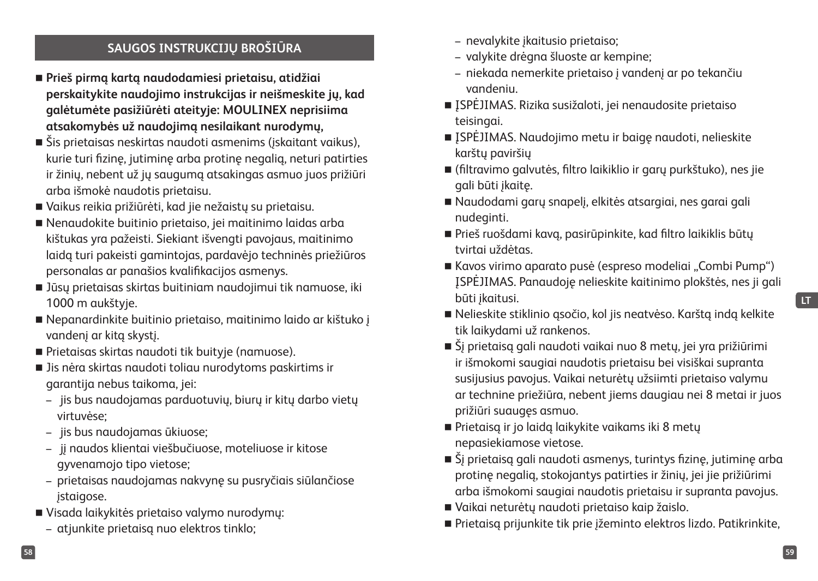## **SAUGOS INSTRUKCIJŲ BROŠIŪRA**

- **Prieš pirmą kartą naudodamiesi prietaisu, atidžiai perskaitykite naudojimo instrukcijas ir neišmeskite jų, kad galėtumėte pasižiūrėti ateityje: MOULINEX neprisiima atsakomybės už naudojimą nesilaikant nurodymų,**
- Šis prietaisas neskirtas naudoti asmenims (įskaitant vaikus), kurie turi fizinę, jutiminę arba protinę negalią, neturi patirties ir žinių, nebent už jų saugumą atsakingas asmuo juos prižiūri arba išmokė naudotis prietaisu.
- Vaikus reikia prižiūrėti, kad jie nežaistų su prietaisu.
- Nenaudokite buitinio prietaiso, jei maitinimo laidas arba kištukas yra pažeisti. Siekiant išvengti pavojaus, maitinimo laidą turi pakeisti gamintojas, pardavėjo techninės priežiūros personalas ar panašios kvalifikacijos asmenys.
- Jūsų prietaisas skirtas buitiniam naudojimui tik namuose, iki 1000 m aukštyje.
- Nepanardinkite buitinio prietaiso, maitinimo laido ar kištuko į vandenį ar kitą skystį.
- Prietaisas skirtas naudoti tik buityje (namuose).
- Jis nėra skirtas naudoti toliau nurodytoms paskirtims ir garantija nebus taikoma, jei:
	- jis bus naudojamas parduotuvių, biurų ir kitų darbo vietų virtuvėse;
	- jis bus naudojamas ūkiuose;
	- jį naudos klientai viešbučiuose, moteliuose ir kitose gyvenamojo tipo vietose;
	- prietaisas naudojamas nakvynę su pusryčiais siūlančiose įstaigose.
- Visada laikykitės prietaiso valymo nurodymų:
	- atjunkite prietaisą nuo elektros tinklo;
- nevalykite įkaitusio prietaiso;
- valykite drėgna šluoste ar kempine;
- niekada nemerkite prietaiso į vandenį ar po tekančiu vandeniu.
- ISPĖJIMAS. Rizika susižaloti, jei nenaudosite prietaiso teisingai.
- ISPĖJIMAS. Naudojimo metu ir baigę naudoti, nelieskite karštų paviršių
- (filtravimo galvutės, filtro laikiklio ir garų purkštuko), nes jie gali būti įkaitę.
- Naudodami garų snapelį, elkitės atsargiai, nes garai gali nudeginti.
- Prieš ruošdami kavą, pasirūpinkite, kad filtro laikiklis būtų tvirtai uždėtas.
- Kavos virimo aparato pusė (espreso modeliai "Combi Pump") ĮSPĖJIMAS. Panaudoję nelieskite kaitinimo plokštės, nes ji gali būti įkaitusi.
- Nelieskite stiklinio ąsočio, kol jis neatvėso. Karštą indą kelkite tik laikydami už rankenos.
- Šį prietaisą gali naudoti vaikai nuo 8 metų, jei yra prižiūrimi ir išmokomi saugiai naudotis prietaisu bei visiškai supranta susijusius pavojus. Vaikai neturėtų užsiimti prietaiso valymu ar technine priežiūra, nebent jiems daugiau nei 8 metai ir juos prižiūri suaugęs asmuo.
- Prietaisą ir jo laidą laikykite vaikams iki 8 metų nepasiekiamose vietose.
- Šį prietaisą gali naudoti asmenys, turintys fizinę, jutiminę arba protinę negalią, stokojantys patirties ir žinių, jei jie prižiūrimi arba išmokomi saugiai naudotis prietaisu ir supranta pavojus.
- Vaikai neturėtų naudoti prietaiso kaip žaislo.
- Prietaisą prijunkite tik prie įžeminto elektros lizdo. Patikrinkite,

**LT**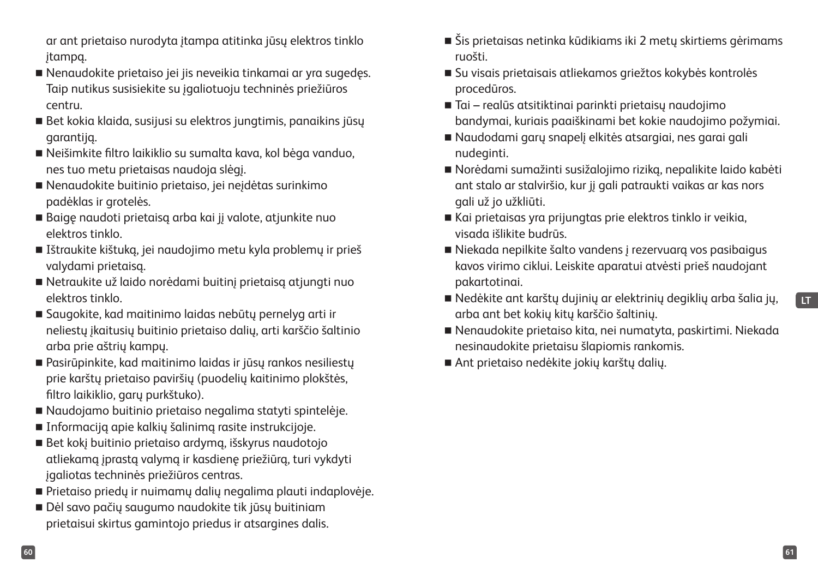- ar ant prietaiso nurodyta įtampa atitinka jūsų elektros tinklo įtampą.
- Nenaudokite prietaiso jei jis neveikia tinkamai ar yra sugedęs. Taip nutikus susisiekite su įgaliotuoju techninės priežiūros centru.
- Bet kokia klaida, susijusi su elektros jungtimis, panaikins jūsų garantiją.
- Neišimkite filtro laikiklio su sumalta kava, kol bėga vanduo, nes tuo metu prietaisas naudoja slėgį.
- Nenaudokite buitinio prietaiso, jei neįdėtas surinkimo padėklas ir grotelės.
- Baigę naudoti prietaisą arba kai jį valote, atjunkite nuo elektros tinklo.
- Ištraukite kištuką, jei naudojimo metu kyla problemų ir prieš valydami prietaisą.
- Netraukite už laido norėdami buitinį prietaisą atjungti nuo elektros tinklo.
- Saugokite, kad maitinimo laidas nebūtų pernelyg arti ir neliestų įkaitusių buitinio prietaiso dalių, arti karščio šaltinio arba prie aštrių kampų.
- Pasirūpinkite, kad maitinimo laidas ir jūsų rankos nesiliestų prie karštų prietaiso paviršių (puodelių kaitinimo plokštės, filtro laikiklio, garų purkštuko).
- Naudojamo buitinio prietaiso negalima statyti spintelėje.
- Informaciją apie kalkių šalinimą rasite instrukcijoje.
- Bet kokį buitinio prietaiso ardymą, išskyrus naudotojo atliekamą įprastą valymą ir kasdienę priežiūrą, turi vykdyti įgaliotas techninės priežiūros centras.
- Prietaiso priedų ir nuimamų dalių negalima plauti indaplovėje.
- Dėl savo pačių saugumo naudokite tik jūsų buitiniam prietaisui skirtus gamintojo priedus ir atsargines dalis.
- Šis prietaisas netinka kūdikiams iki 2 metų skirtiems gėrimams ruošti.
- Su visais prietaisais atliekamos griežtos kokybės kontrolės procedūros.
- Tai realūs atsitiktinai parinkti prietaisų naudojimo bandymai, kuriais paaiškinami bet kokie naudojimo požymiai.
- Naudodami garų snapelį elkitės atsargiai, nes garai gali nudeginti.
- Norėdami sumažinti susižalojimo riziką, nepalikite laido kabėti ant stalo ar stalviršio, kur jį gali patraukti vaikas ar kas nors gali už jo užkliūti.
- Kai prietaisas yra prijungtas prie elektros tinklo ir veikia, visada išlikite budrūs.
- Niekada nepilkite šalto vandens į rezervuarą vos pasibaigus kavos virimo ciklui. Leiskite aparatui atvėsti prieš naudojant pakartotinai.
- Nedėkite ant karštų dujinių ar elektrinių degiklių arba šalia jų, arba ant bet kokių kitų karščio šaltinių.
- Nenaudokite prietaiso kita, nei numatyta, paskirtimi. Niekada nesinaudokite prietaisu šlapiomis rankomis.
- Ant prietaiso nedėkite jokių karštų dalių.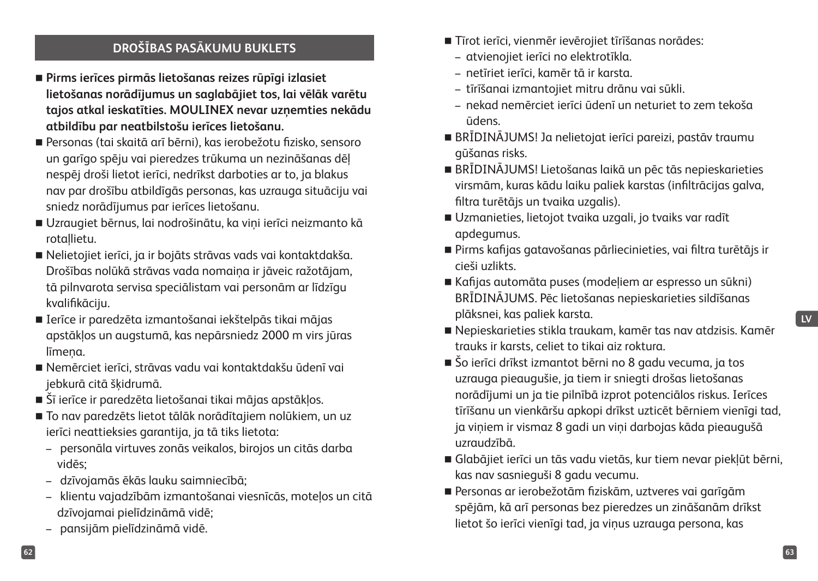## **DROŠĪBAS PASĀKUMU BUKLETS**

- **Pirms ierīces pirmās lietošanas reizes rūpīgi izlasiet lietošanas norādījumus un saglabājiet tos, lai vēlāk varētu tajos atkal ieskatīties. MOULINEX nevar uzņemties nekādu atbildību par neatbilstošu ierīces lietošanu.**
- Personas (tai skaitā arī bērni), kas ierobežotu fizisko, sensoro un garīgo spēju vai pieredzes trūkuma un nezināšanas dēļ nespēj droši lietot ierīci, nedrīkst darboties ar to, ja blakus nav par drošību atbildīgās personas, kas uzrauga situāciju vai sniedz norādījumus par ierīces lietošanu.
- Uzraugiet bērnus, lai nodrošinātu, ka viņi ierīci neizmanto kā rotaļlietu.
- Nelietojiet ierīci, ja ir bojāts strāvas vads vai kontaktdakša. Drošības nolūkā strāvas vada nomaiņa ir jāveic ražotājam, tā pilnvarota servisa speciālistam vai personām ar līdzīgu kvalifikāciju.
- Ierīce ir paredzēta izmantošanai iekštelpās tikai mājas apstākļos un augstumā, kas nepārsniedz 2000 m virs jūras līmena.
- Nemērciet ierīci, strāvas vadu vai kontaktdakšu ūdenī vai jebkurā citā šķidrumā.
- Šī ierīce ir paredzēta lietošanai tikai mājas apstākļos.
- To nav paredzēts lietot tālāk norādītajiem nolūkiem, un uz ierīci neattieksies garantija, ja tā tiks lietota:
	- personāla virtuves zonās veikalos, birojos un citās darba vidēs;
	- dzīvojamās ēkās lauku saimniecībā;
	- klientu vajadzībām izmantošanai viesnīcās, moteļos un citā dzīvojamai pielīdzināmā vidē;
	- pansijām pielīdzināmā vidē.
- Tīrot ierīci, vienmēr ievērojiet tīrīšanas norādes:
	- atvienojiet ierīci no elektrotīkla.
	- netīriet ierīci, kamēr tā ir karsta.
	- tīrīšanai izmantojiet mitru drānu vai sūkli.
	- nekad nemērciet ierīci ūdenī un neturiet to zem tekoša ūdens.
- BRĪDINĀJUMS! Ja nelietojat ierīci pareizi, pastāv traumu gūšanas risks.
- BRĪDINĀJUMS! Lietošanas laikā un pēc tās nepieskarieties virsmām, kuras kādu laiku paliek karstas (infiltrācijas galva, filtra turētājs un tvaika uzgalis).
- Uzmanieties, lietojot tvaika uzgali, jo tvaiks var radīt apdegumus.
- Pirms kafijas gatavošanas pārliecinieties, vai filtra turētājs ir cieši uzlikts.
- Kafijas automāta puses (modeļiem ar espresso un sūkni) BRĪDINĀJUMS. Pēc lietošanas nepieskarieties sildīšanas plāksnei, kas paliek karsta.

- Nepieskarieties stikla traukam, kamēr tas nav atdzisis. Kamēr trauks ir karsts, celiet to tikai aiz roktura.
- Šo ierīci drīkst izmantot bērni no 8 gadu vecuma, ja tos uzrauga pieaugušie, ja tiem ir sniegti drošas lietošanas norādījumi un ja tie pilnībā izprot potenciālos riskus. Ierīces tīrīšanu un vienkāršu apkopi drīkst uzticēt bērniem vienīgi tad, ja viņiem ir vismaz 8 gadi un viņi darbojas kāda pieaugušā uzraudzībā.
- Glabājiet ierīci un tās vadu vietās, kur tiem nevar piekļūt bērni, kas nav sasnieguši 8 gadu vecumu.
- Personas ar ierobežotām fiziskām, uztveres vai garīgām spējām, kā arī personas bez pieredzes un zināšanām drīkst lietot šo ierīci vienīgi tad, ja viņus uzrauga persona, kas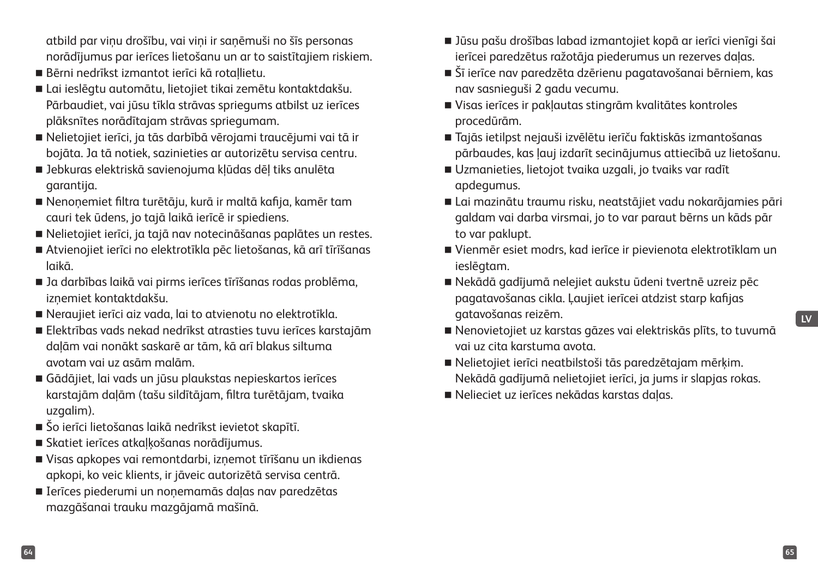atbild par viņu drošību, vai viņi ir saņēmuši no šīs personas norādījumus par ierīces lietošanu un ar to saistītajiem riskiem.

- Bērni nedrīkst izmantot ierīci kā rotaļlietu.
- Lai ieslēgtu automātu, lietojiet tikai zemētu kontaktdakšu. Pārbaudiet, vai jūsu tīkla strāvas spriegums atbilst uz ierīces plāksnītes norādītajam strāvas spriegumam.
- Nelietojiet ierīci, ja tās darbībā vērojami traucējumi vai tā ir bojāta. Ja tā notiek, sazinieties ar autorizētu servisa centru.
- Jebkuras elektriskā savienojuma kļūdas dēļ tiks anulēta garantija.
- Nenoņemiet filtra turētāju, kurā ir maltā kafija, kamēr tam cauri tek ūdens, jo tajā laikā ierīcē ir spiediens.
- Nelietojiet ierīci, ja tajā nav notecināšanas paplātes un restes.
- Atvienojiet ierīci no elektrotīkla pēc lietošanas, kā arī tīrīšanas laikā.
- Ja darbības laikā vai pirms ierīces tīrīšanas rodas problēma, izņemiet kontaktdakšu.
- Neraujiet ierīci aiz vada, lai to atvienotu no elektrotīkla.
- Elektrības vads nekad nedrīkst atrasties tuvu ierīces karstajām daļām vai nonākt saskarē ar tām, kā arī blakus siltuma avotam vai uz asām malām.
- Gādājiet, lai vads un jūsu plaukstas nepieskartos ierīces karstajām daļām (tašu sildītājam, filtra turētājam, tvaika uzgalim).
- Šo ierīci lietošanas laikā nedrīkst ievietot skapītī.
- Skatiet ierīces atkaļķošanas norādījumus.
- Visas apkopes vai remontdarbi, izņemot tīrīšanu un ikdienas apkopi, ko veic klients, ir jāveic autorizētā servisa centrā.
- Ierīces piederumi un noņemamās daļas nav paredzētas mazgāšanai trauku mazgājamā mašīnā.
- Jūsu pašu drošības labad izmantojiet kopā ar ierīci vienīgi šai ierīcei paredzētus ražotāja piederumus un rezerves daļas.
- Šī ierīce nav paredzēta dzērienu pagatavošanai bērniem, kas nav sasnieguši 2 gadu vecumu.
- Visas ierīces ir pakļautas stingrām kvalitātes kontroles procedūrām.
- Tajās ietilpst nejauši izvēlētu ierīču faktiskās izmantošanas pārbaudes, kas ļauj izdarīt secinājumus attiecībā uz lietošanu.
- Uzmanieties, lietojot tvaika uzgali, jo tvaiks var radīt apdegumus.
- Lai mazinātu traumu risku, neatstājiet vadu nokarājamies pāri galdam vai darba virsmai, jo to var paraut bērns un kāds pār to var paklupt.
- Vienmēr esiet modrs, kad ierīce ir pievienota elektrotīklam un ieslēgtam.
- Nekādā gadījumā nelejiet aukstu ūdeni tvertnē uzreiz pēc pagatavošanas cikla. Ļaujiet ierīcei atdzist starp kafijas gatavošanas reizēm.
- Nenovietojiet uz karstas gāzes vai elektriskās plīts, to tuvumā vai uz cita karstuma avota.
- Nelietojiet ierīci neatbilstoši tās paredzētajam mērķim. Nekādā gadījumā nelietojiet ierīci, ja jums ir slapjas rokas.
- Nelieciet uz ierīces nekādas karstas daļas.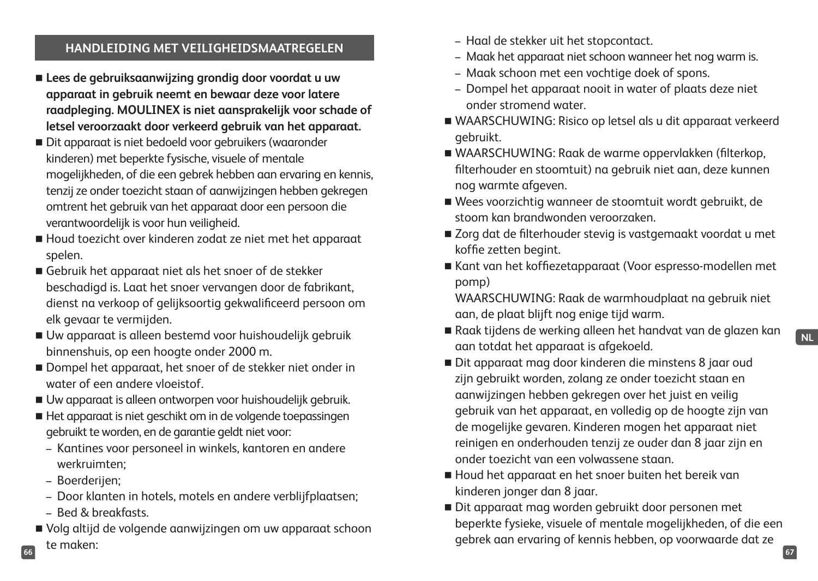#### **HANDLEIDING MET VEILIGHEIDSMAATREGELEN**

- **Lees de gebruiksaanwijzing grondig door voordat u uw apparaat in gebruik neemt en bewaar deze voor latere raadpleging. MOULINEX is niet aansprakelijk voor schade of letsel veroorzaakt door verkeerd gebruik van het apparaat.**
- Dit apparaat is niet bedoeld voor gebruikers (waaronder kinderen) met beperkte fysische, visuele of mentale mogelijkheden, of die een gebrek hebben aan ervaring en kennis, tenzij ze onder toezicht staan of aanwijzingen hebben gekregen omtrent het gebruik van het apparaat door een persoon die verantwoordelijk is voor hun veiligheid.
- Houd toezicht over kinderen zodat ze niet met het apparaat spelen.
- Gebruik het apparaat niet als het snoer of de stekker beschadigd is. Laat het snoer vervangen door de fabrikant, dienst na verkoop of gelijksoortig gekwalificeerd persoon om elk gevaar te vermijden.
- Uw apparaat is alleen bestemd voor huishoudelijk gebruik binnenshuis, op een hoogte onder 2000 m.
- Dompel het apparaat, het snoer of de stekker niet onder in water of een andere vloeistof.
- Uw apparaat is alleen ontworpen voor huishoudelijk gebruik.
- Het apparaat is niet geschikt om in de volgende toepassingen gebruikt te worden, en de garantie geldt niet voor:
	- Kantines voor personeel in winkels, kantoren en andere werkruimten;
	- Boerderijen;
	- Door klanten in hotels, motels en andere verblijfplaatsen;
	- Bed & breakfasts.
- **66 67** Volg altijd de volgende aanwijzingen om uw apparaat schoon te maken:
- Haal de stekker uit het stopcontact.
- Maak het apparaat niet schoon wanneer het nog warm is.
- Maak schoon met een vochtige doek of spons.
- Dompel het apparaat nooit in water of plaats deze niet onder stromend water.
- WAARSCHUWING: Risico op letsel als u dit apparaat verkeerd gebruikt.
- WAARSCHUWING: Raak de warme oppervlakken (filterkop, filterhouder en stoomtuit) na gebruik niet aan, deze kunnen nog warmte afgeven.
- Wees voorzichtig wanneer de stoomtuit wordt gebruikt, de stoom kan brandwonden veroorzaken.
- Zorg dat de filterhouder stevig is vastgemaakt voordat u met koffie zetten begint.
- Kant van het koffiezetapparaat (Voor espresso-modellen met pomp)

WAARSCHUWING: Raak de warmhoudplaat na gebruik niet aan, de plaat blijft nog enige tijd warm.

- Raak tijdens de werking alleen het handvat van de glazen kan aan totdat het apparaat is afgekoeld.
- Dit apparaat mag door kinderen die minstens 8 jaar oud zijn gebruikt worden, zolang ze onder toezicht staan en aanwijzingen hebben gekregen over het juist en veilig gebruik van het apparaat, en volledig op de hoogte zijn van de mogelijke gevaren. Kinderen mogen het apparaat niet reinigen en onderhouden tenzij ze ouder dan 8 jaar zijn en onder toezicht van een volwassene staan.
- Houd het apparaat en het snoer buiten het bereik van kinderen jonger dan 8 jaar.
- Dit apparaat mag worden gebruikt door personen met beperkte fysieke, visuele of mentale mogelijkheden, of die een gebrek aan ervaring of kennis hebben, op voorwaarde dat ze

**NL**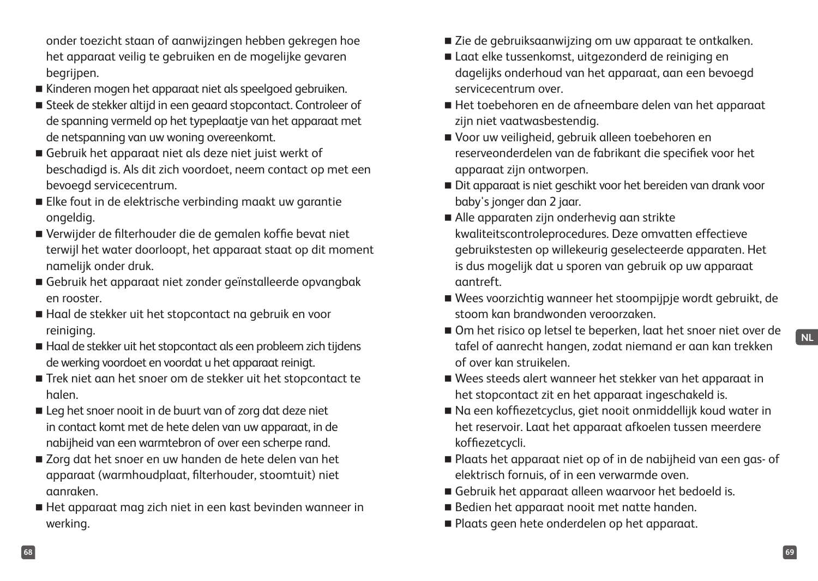onder toezicht staan of aanwijzingen hebben gekregen hoe het apparaat veilig te gebruiken en de mogelijke gevaren begrijpen.

- Kinderen mogen het apparaat niet als speelgoed gebruiken.
- Steek de stekker altijd in een geaard stopcontact. Controleer of de spanning vermeld op het typeplaatje van het apparaat met de netspanning van uw woning overeenkomt.
- Gebruik het apparaat niet als deze niet juist werkt of beschadigd is. Als dit zich voordoet, neem contact op met een bevoegd servicecentrum.
- Elke fout in de elektrische verbinding maakt uw garantie ongeldig.
- Verwijder de filterhouder die de gemalen koffie bevat niet terwijl het water doorloopt, het apparaat staat op dit moment namelijk onder druk.
- Gebruik het apparaat niet zonder geïnstalleerde opvangbak en rooster.
- Haal de stekker uit het stopcontact na gebruik en voor reiniging.
- Haal de stekker uit het stopcontact als een probleem zich tijdens de werking voordoet en voordat u het apparaat reinigt.
- Trek niet aan het snoer om de stekker uit het stopcontact te halen.
- Leg het snoer nooit in de buurt van of zorg dat deze niet in contact komt met de hete delen van uw apparaat, in de nabijheid van een warmtebron of over een scherpe rand.
- Zorg dat het snoer en uw handen de hete delen van het apparaat (warmhoudplaat, filterhouder, stoomtuit) niet aanraken.
- Het apparaat mag zich niet in een kast bevinden wanneer in werking.
- Zie de gebruiksaanwijzing om uw apparaat te ontkalken.
- Laat elke tussenkomst, uitgezonderd de reiniging en dagelijks onderhoud van het apparaat, aan een bevoegd servicecentrum over.
- Het toebehoren en de afneembare delen van het apparaat zijn niet vaatwasbestendig.
- Voor uw veiligheid, gebruik alleen toebehoren en reserveonderdelen van de fabrikant die specifiek voor het apparaat zijn ontworpen.
- Dit apparaat is niet geschikt voor het bereiden van drank voor baby's jonger dan 2 jaar.
- Alle apparaten zijn onderhevig aan strikte kwaliteitscontroleprocedures. Deze omvatten effectieve gebruikstesten op willekeurig geselecteerde apparaten. Het is dus mogelijk dat u sporen van gebruik op uw apparaat aantreft.
- Wees voorzichtig wanneer het stoompijpje wordt gebruikt, de stoom kan brandwonden veroorzaken.
- Om het risico op letsel te beperken, laat het snoer niet over de tafel of aanrecht hangen, zodat niemand er aan kan trekken of over kan struikelen.
- Wees steeds alert wanneer het stekker van het apparaat in het stopcontact zit en het apparaat ingeschakeld is.
- Na een koffiezetcyclus, giet nooit onmiddellijk koud water in het reservoir. Laat het apparaat afkoelen tussen meerdere koffiezetcycli.
- Plaats het apparaat niet op of in de nabijheid van een gas- of elektrisch fornuis, of in een verwarmde oven.
- Gebruik het apparaat alleen waarvoor het bedoeld is.
- Bedien het apparaat nooit met natte handen.
- Plaats geen hete onderdelen op het apparaat.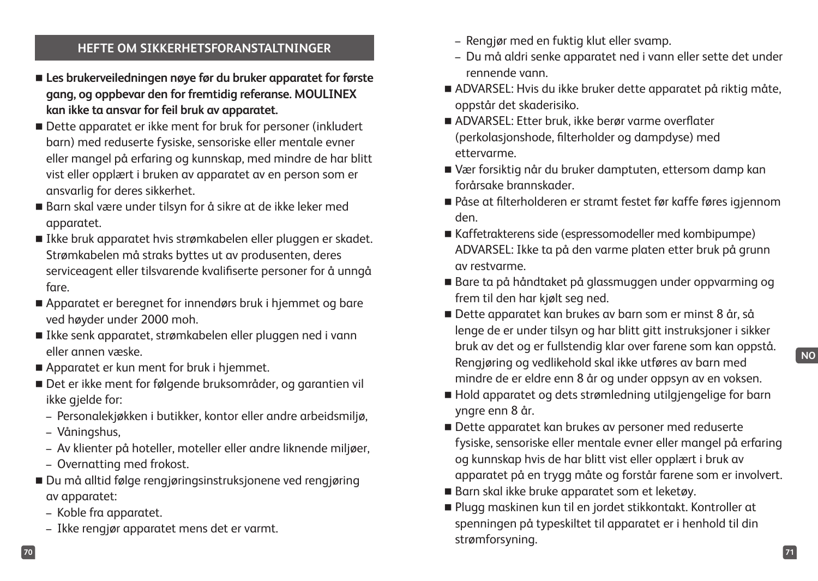#### **HEFTE OM SIKKERHETSFORANSTALTNINGER**

- **Les brukerveiledningen nøye før du bruker apparatet for første gang, og oppbevar den for fremtidig referanse. MOULINEX kan ikke ta ansvar for feil bruk av apparatet.**
- Dette apparatet er ikke ment for bruk for personer (inkludert barn) med reduserte fysiske, sensoriske eller mentale evner eller mangel på erfaring og kunnskap, med mindre de har blitt vist eller opplært i bruken av apparatet av en person som er ansvarlig for deres sikkerhet.
- Barn skal være under tilsyn for å sikre at de ikke leker med apparatet.
- Ikke bruk apparatet hvis strømkabelen eller pluggen er skadet. Strømkabelen må straks byttes ut av produsenten, deres serviceagent eller tilsvarende kvalifiserte personer for å unngå fare.
- Apparatet er beregnet for innendørs bruk i hjemmet og bare ved høyder under 2000 moh.
- Ikke senk apparatet, strømkabelen eller pluggen ned i vann eller annen væske.
- Apparatet er kun ment for bruk i hjemmet.
- Det er ikke ment for følgende bruksområder, og garantien vil ikke gjelde for:
	- Personalekjøkken i butikker, kontor eller andre arbeidsmiljø,
	- Våningshus,
	- Av klienter på hoteller, moteller eller andre liknende miljøer,
	- Overnatting med frokost.
- Du må alltid følge rengjøringsinstruksjonene ved rengjøring av apparatet:
	- Koble fra apparatet.
	- Ikke rengjør apparatet mens det er varmt.
- Rengjør med en fuktig klut eller svamp.
- Du må aldri senke apparatet ned i vann eller sette det under rennende vann.
- ADVARSEL: Hvis du ikke bruker dette apparatet på riktig måte, oppstår det skaderisiko.
- ADVARSEL: Etter bruk, ikke berør varme overflater (perkolasjonshode, filterholder og dampdyse) med ettervarme.
- Vær forsiktig når du bruker damptuten, ettersom damp kan forårsake brannskader.
- Påse at filterholderen er stramt festet før kaffe føres igjennom den.
- Kaffetrakterens side (espressomodeller med kombipumpe) ADVARSEL: Ikke ta på den varme platen etter bruk på grunn av restvarme.
- Bare ta på håndtaket på glassmuggen under oppvarming og frem til den har kjølt seg ned.
- Dette apparatet kan brukes av barn som er minst 8 år, så lenge de er under tilsyn og har blitt gitt instruksjoner i sikker bruk av det og er fullstendig klar over farene som kan oppstå. Rengjøring og vedlikehold skal ikke utføres av barn med mindre de er eldre enn 8 år og under oppsyn av en voksen.
- Hold apparatet og dets strømledning utilgjengelige for barn yngre enn 8 år.
- Dette apparatet kan brukes av personer med reduserte fysiske, sensoriske eller mentale evner eller mangel på erfaring og kunnskap hvis de har blitt vist eller opplært i bruk av apparatet på en trygg måte og forstår farene som er involvert.
- Barn skal ikke bruke apparatet som et leketøy.
- Plugg maskinen kun til en jordet stikkontakt. Kontroller at spenningen på typeskiltet til apparatet er i henhold til din strømforsyning.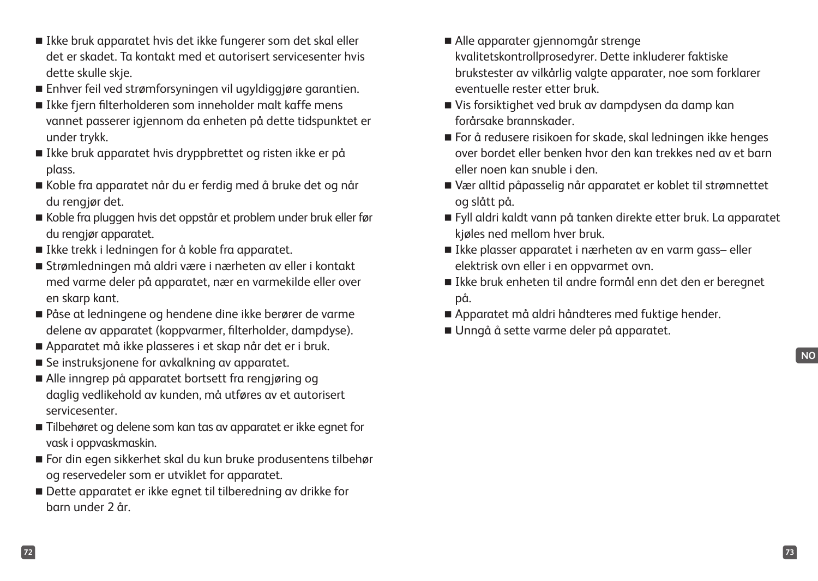- Ikke bruk apparatet hvis det ikke fungerer som det skal eller det er skadet. Ta kontakt med et autorisert servicesenter hvis dette skulle skje.
- Enhver feil ved strømforsyningen vil ugyldiggjøre garantien.
- Ikke fiern filterholderen som inneholder malt kaffe mens vannet passerer igjennom da enheten på dette tidspunktet er under trykk.
- Ikke bruk apparatet hvis dryppbrettet og risten ikke er på plass.
- Koble fra apparatet når du er ferdig med å bruke det og når du rengjør det.
- Koble fra pluggen hvis det oppstår et problem under bruk eller før du rengjør apparatet.
- Ikke trekk i ledningen for å koble fra apparatet.
- Strømledningen må aldri være i nærheten av eller i kontakt med varme deler på apparatet, nær en varmekilde eller over en skarp kant.
- Påse at ledningene og hendene dine ikke berører de varme delene av apparatet (koppvarmer, filterholder, dampdyse).
- Apparatet må ikke plasseres i et skap når det er i bruk.
- Se instruksjonene for avkalkning av apparatet.
- Alle inngrep på apparatet bortsett fra rengjøring og daglig vedlikehold av kunden, må utføres av et autorisert servicesenter.
- Tilbehøret og delene som kan tas av apparatet er ikke egnet for vask i oppvaskmaskin.
- For din egen sikkerhet skal du kun bruke produsentens tilbehør og reservedeler som er utviklet for apparatet.
- Dette apparatet er ikke egnet til tilberedning av drikke for barn under 2 år.
- Alle apparater gjennomgår strenge kvalitetskontrollprosedyrer. Dette inkluderer faktiske brukstester av vilkårlig valgte apparater, noe som forklarer eventuelle rester etter bruk.
- Vis forsiktighet ved bruk av dampdysen da damp kan forårsake brannskader.
- For å redusere risikoen for skade, skal ledningen ikke henges over bordet eller benken hvor den kan trekkes ned av et barn eller noen kan snuble i den.
- Vær alltid påpasselig når apparatet er koblet til strømnettet og slått på.
- Fyll aldri kaldt vann på tanken direkte etter bruk. La apparatet kjøles ned mellom hver bruk.
- Ikke plasser apparatet i nærheten av en varm gass- eller elektrisk ovn eller i en oppvarmet ovn.
- Ikke bruk enheten til andre formål enn det den er beregnet på.
- Apparatet må aldri håndteres med fuktige hender.
- Unngå å sette varme deler på apparatet.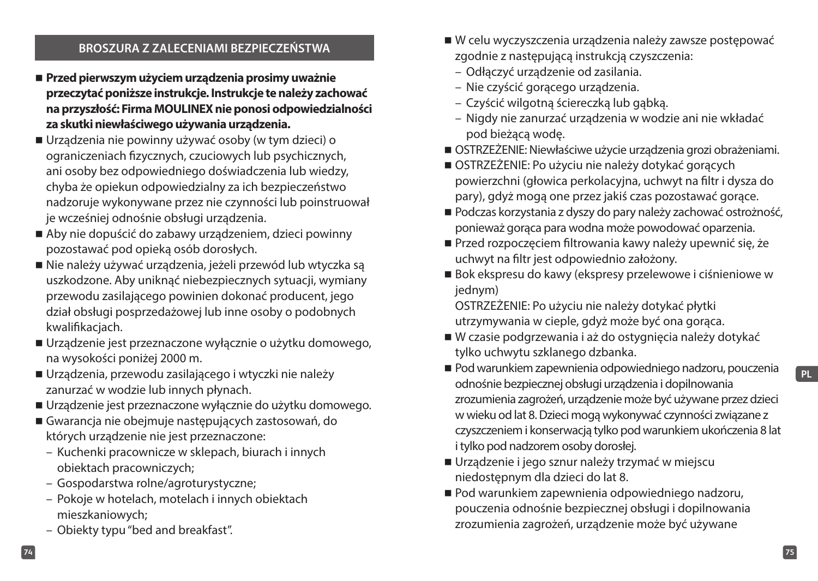#### **BROSZURA Z ZALECENIAMI BEZPIECZEŃSTWA**

- **Przed pierwszym użyciem urządzenia prosimy uważnie przeczytać poniższe instrukcje. Instrukcje te należy zachować na przyszłość: Firma MOULINEX nie ponosi odpowiedzialności za skutki niewłaściwego używania urządzenia.**
- Urządzenia nie powinny używać osoby (w tym dzieci) o ograniczeniach fizycznych, czuciowych lub psychicznych, ani osoby bez odpowiedniego doświadczenia lub wiedzy, chyba że opiekun odpowiedzialny za ich bezpieczeństwo nadzoruje wykonywane przez nie czynności lub poinstruował je wcześniej odnośnie obsługi urządzenia.
- Aby nie dopuścić do zabawy urządzeniem, dzieci powinny pozostawać pod opieką osób dorosłych.
- Nie należy używać urządzenia, jeżeli przewód lub wtyczka są uszkodzone. Aby uniknąć niebezpiecznych sytuacji, wymiany przewodu zasilającego powinien dokonać producent, jego dział obsługi posprzedażowej lub inne osoby o podobnych kwalifikaciach.
- Urządzenie jest przeznaczone wyłącznie o użytku domowego, na wysokości poniżej 2000 m.
- Urządzenia, przewodu zasilającego i wtyczki nie należy zanurzać w wodzie lub innych płynach.
- Urządzenie jest przeznaczone wyłącznie do użytku domowego.
- Gwarancja nie obejmuje następujących zastosowań, do których urządzenie nie jest przeznaczone:
	- Kuchenki pracownicze w sklepach, biurach i innych obiektach pracowniczych;
	- Gospodarstwa rolne/agroturystyczne;
	- Pokoje w hotelach, motelach i innych obiektach mieszkaniowych;
	- Obiekty typu "bed and breakfast".
- W celu wyczyszczenia urządzenia należy zawsze postępować zgodnie z następującą instrukcją czyszczenia:
- Odłączyć urządzenie od zasilania.
- Nie czyścić gorącego urządzenia.
- Czyścić wilgotną ściereczką lub gąbką.
- Nigdy nie zanurzać urządzenia w wodzie ani nie wkładać pod bieżącą wodę.
- OSTRZEŻENIE: Niewłaściwe użycie urządzenia grozi obrażeniami.
- OSTRZEŻENIE: Po użyciu nie należy dotykać gorących powierzchni (głowica perkolacyjna, uchwyt na filtr i dysza do pary), gdyż mogą one przez jakiś czas pozostawać gorące.
- Podczas korzystania z dyszy do pary należy zachować ostrożność, ponieważ gorąca para wodna może powodować oparzenia.
- Przed rozpoczęciem filtrowania kawy należy upewnić się, że uchwyt na filtr jest odpowiednio założony.
- Bok ekspresu do kawy (ekspresy przelewowe i ciśnieniowe w jednym)

OSTRZEŻENIE: Po użyciu nie należy dotykać płytki utrzymywania w cieple, gdyż może być ona gorąca.

- W czasie podgrzewania i aż do ostygnięcia należy dotykać tylko uchwytu szklanego dzbanka.
- Pod warunkiem zapewnienia odpowiedniego nadzoru, pouczenia odnośnie bezpiecznej obsługi urządzenia i dopilnowania zrozumienia zagrożeń, urządzenie może być używane przez dzieci w wieku od lat 8. Dzieci mogą wykonywać czynności związane z czyszczeniem i konserwacją tylko pod warunkiem ukończenia 8 lat i tylko pod nadzorem osoby dorosłej.
- Urządzenie i jego sznur należy trzymać w miejscu niedostępnym dla dzieci do lat 8.
- Pod warunkiem zapewnienia odpowiedniego nadzoru, pouczenia odnośnie bezpiecznej obsługi i dopilnowania zrozumienia zagrożeń, urządzenie może być używane

**PL**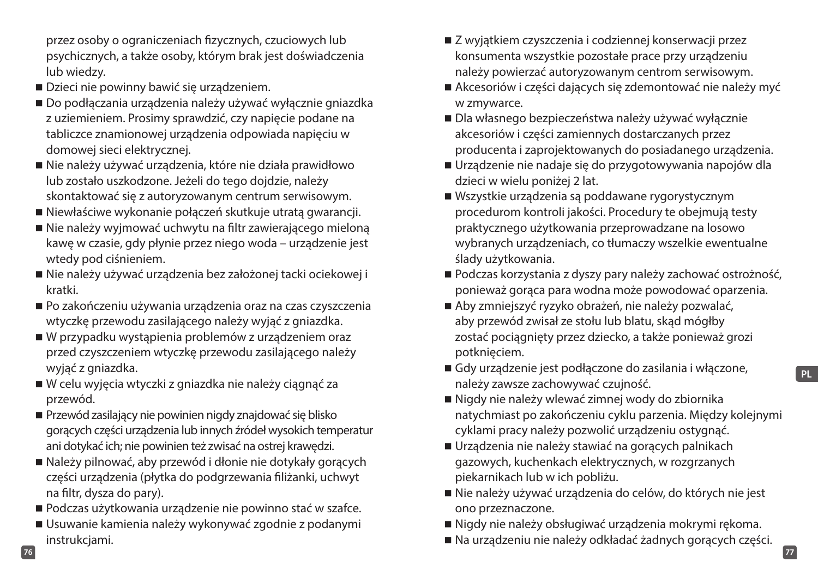przez osoby o ograniczeniach fizycznych, czuciowych lub psychicznych, a także osoby, którym brak jest doświadczenia lub wiedzy.

- Dzieci nie powinny bawić się urządzeniem.
- Do podłączania urządzenia należy używać wyłącznie gniazdka z uziemieniem. Prosimy sprawdzić, czy napięcie podane na tabliczce znamionowej urządzenia odpowiada napięciu w domowej sieci elektrycznej.
- Nie należy używać urządzenia, które nie działa prawidłowo lub zostało uszkodzone. Jeżeli do tego dojdzie, należy skontaktować się z autoryzowanym centrum serwisowym.
- Niewłaściwe wykonanie połączeń skutkuje utratą gwarancji.
- Nie należy wyjmować uchwytu na filtr zawierającego mieloną kawę w czasie, gdy płynie przez niego woda – urządzenie jest wtedy pod ciśnieniem.
- Nie należy używać urządzenia bez założonej tacki ociekowej i kratki.
- Po zakończeniu używania urządzenia oraz na czas czyszczenia wtyczkę przewodu zasilającego należy wyjąć z gniazdka.
- W przypadku wystąpienia problemów z urządzeniem oraz przed czyszczeniem wtyczkę przewodu zasilającego należy wyjąć z gniazdka.
- W celu wyjęcia wtyczki z gniazdka nie należy ciągnąć za przewód.
- Przewód zasilający nie powinien nigdy znajdować się blisko gorących części urządzenia lub innych źródeł wysokich temperatur ani dotykać ich; nie powinien też zwisać na ostrej krawędzi.
- Należy pilnować, aby przewód i dłonie nie dotykały gorących części urządzenia (płytka do podgrzewania filiżanki, uchwyt na filtr, dysza do pary).
- Podczas użytkowania urządzenie nie powinno stać w szafce.
- Usuwanie kamienia należy wykonywać zgodnie z podanymi instrukcjami.
- Z wyjątkiem czyszczenia i codziennej konserwacji przez konsumenta wszystkie pozostałe prace przy urządzeniu należy powierzać autoryzowanym centrom serwisowym.
- Akcesoriów i części dających się zdemontować nie należy myć w zmywarce.
- Dla własnego bezpieczeństwa należy używać wyłącznie akcesoriów i części zamiennych dostarczanych przez producenta i zaprojektowanych do posiadanego urządzenia.
- Urządzenie nie nadaje się do przygotowywania napojów dla dzieci w wielu poniżej 2 lat.
- Wszystkie urządzenia są poddawane rygorystycznym procedurom kontroli jakości. Procedury te obejmują testy praktycznego użytkowania przeprowadzane na losowo wybranych urządzeniach, co tłumaczy wszelkie ewentualne ślady użytkowania.
- Podczas korzystania z dyszy pary należy zachować ostrożność, ponieważ gorąca para wodna może powodować oparzenia.
- Aby zmniejszyć ryzyko obrażeń, nie należy pozwalać, aby przewód zwisał ze stołu lub blatu, skąd mógłby zostać pociągnięty przez dziecko, a także ponieważ grozi potknięciem.
- Gdy urządzenie jest podłączone do zasilania i włączone, należy zawsze zachowywać czujność.
- Nigdy nie należy wlewać zimnej wody do zbiornika natychmiast po zakończeniu cyklu parzenia. Między kolejnymi cyklami pracy należy pozwolić urządzeniu ostygnąć.
- Urządzenia nie należy stawiać na gorących palnikach gazowych, kuchenkach elektrycznych, w rozgrzanych piekarnikach lub w ich pobliżu.
- Nie należy używać urządzenia do celów, do których nie jest ono przeznaczone.
- Nigdy nie należy obsługiwać urządzenia mokrymi rękoma.
- Na urządzeniu nie należy odkładać żadnych gorących części.

**76 77**

**PL**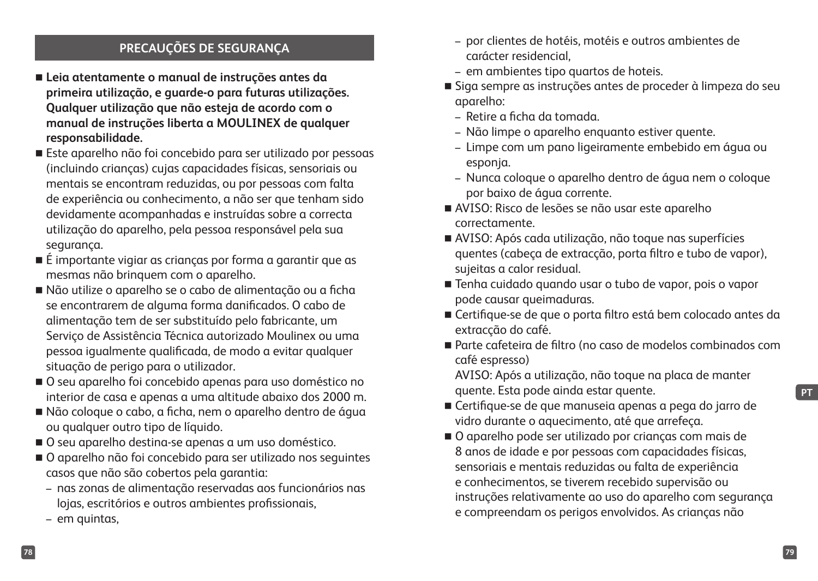## **PRECAUÇÕES DE SEGURANÇA**

- **Leia atentamente o manual de instruções antes da primeira utilização, e guarde-o para futuras utilizações. Qualquer utilização que não esteja de acordo com o manual de instruções liberta a MOULINEX de qualquer responsabilidade.**
- Este aparelho não foi concebido para ser utilizado por pessoas (incluindo crianças) cujas capacidades físicas, sensoriais ou mentais se encontram reduzidas, ou por pessoas com falta de experiência ou conhecimento, a não ser que tenham sido devidamente acompanhadas e instruídas sobre a correcta utilização do aparelho, pela pessoa responsável pela sua segurança.
- É importante vigiar as crianças por forma a garantir que as mesmas não brinquem com o aparelho.
- Não utilize o aparelho se o cabo de alimentação ou a ficha se encontrarem de alguma forma danificados. O cabo de alimentação tem de ser substituído pelo fabricante, um Serviço de Assistência Técnica autorizado Moulinex ou uma pessoa igualmente qualificada, de modo a evitar qualquer situação de perigo para o utilizador.
- O seu aparelho foi concebido apenas para uso doméstico no interior de casa e apenas a uma altitude abaixo dos 2000 m.
- Não coloque o cabo, a ficha, nem o aparelho dentro de água ou qualquer outro tipo de líquido.
- O seu aparelho destina-se apenas a um uso doméstico.
- O aparelho não foi concebido para ser utilizado nos seguintes casos que não são cobertos pela garantia:
	- nas zonas de alimentação reservadas aos funcionários nas lojas, escritórios e outros ambientes profissionais,
	- em quintas,
- por clientes de hotéis, motéis e outros ambientes de carácter residencial,
- em ambientes tipo quartos de hoteis.
- Siga sempre as instruções antes de proceder à limpeza do seu aparelho:
	- Retire a ficha da tomada.
	- Não limpe o aparelho enquanto estiver quente.
	- Limpe com um pano ligeiramente embebido em água ou esponja.
	- Nunca coloque o aparelho dentro de água nem o coloque por baixo de água corrente.
- AVISO: Risco de lesões se não usar este aparelho correctamente.
- AVISO: Após cada utilização, não toque nas superfícies quentes (cabeça de extracção, porta filtro e tubo de vapor), sujeitas a calor residual.
- Tenha cuidado quando usar o tubo de vapor, pois o vapor pode causar queimaduras.
- Certifique-se de que o porta filtro está bem colocado antes da extracção do café.
- Parte cafeteira de filtro (no caso de modelos combinados com café espresso)

AVISO: Após a utilização, não toque na placa de manter quente. Esta pode ainda estar quente.

- Certifique-se de que manuseia apenas a pega do jarro de vidro durante o aquecimento, até que arrefeça.
- O aparelho pode ser utilizado por crianças com mais de 8 anos de idade e por pessoas com capacidades físicas, sensoriais e mentais reduzidas ou falta de experiência e conhecimentos, se tiverem recebido supervisão ou instruções relativamente ao uso do aparelho com segurança e compreendam os perigos envolvidos. As crianças não

**PT**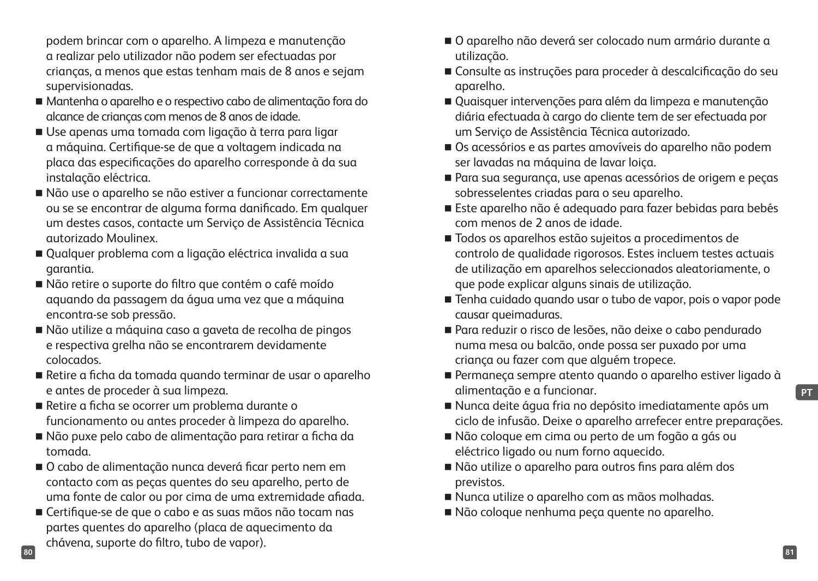podem brincar com o aparelho. A limpeza e manutenção a realizar pelo utilizador não podem ser efectuadas por crianças, a menos que estas tenham mais de 8 anos e sejam supervisionadas.

- Mantenha o aparelho e o respectivo cabo de alimentação fora do alcance de crianças com menos de 8 anos de idade.
- Use apenas uma tomada com ligação à terra para ligar a máquina. Certifique-se de que a voltagem indicada na placa das especificações do aparelho corresponde à da sua instalação eléctrica.
- Não use o aparelho se não estiver a funcionar correctamente ou se se encontrar de alguma forma danificado. Em qualquer um destes casos, contacte um Serviço de Assistência Técnica autorizado Moulinex.
- Qualquer problema com a ligação eléctrica invalida a sua garantia.
- Não retire o suporte do filtro que contém o café moído aquando da passagem da água uma vez que a máquina encontra-se sob pressão.
- Não utilize a máquina caso a gaveta de recolha de pingos e respectiva grelha não se encontrarem devidamente colocados.
- Retire a ficha da tomada quando terminar de usar o aparelho e antes de proceder à sua limpeza.
- Retire a ficha se ocorrer um problema durante o funcionamento ou antes proceder à limpeza do aparelho.
- Não puxe pelo cabo de alimentação para retirar a ficha da tomada.
- O cabo de alimentação nunca deverá ficar perto nem em contacto com as peças quentes do seu aparelho, perto de uma fonte de calor ou por cima de uma extremidade afiada.
- **80 81** Certifique-se de que o cabo e as suas mãos não tocam nas partes quentes do aparelho (placa de aquecimento da chávena, suporte do filtro, tubo de vapor).
- O aparelho não deverá ser colocado num armário durante a utilização.
- Consulte as instruções para proceder à descalcificação do seu aparelho.
- Quaisquer intervenções para além da limpeza e manutenção diária efectuada à cargo do cliente tem de ser efectuada por um Serviço de Assistência Técnica autorizado.
- Os acessórios e as partes amovíveis do aparelho não podem ser lavadas na máquina de lavar loiça.
- Para sua segurança, use apenas acessórios de origem e peças sobresselentes criadas para o seu aparelho.
- Este aparelho não é adequado para fazer bebidas para bebés com menos de 2 anos de idade.
- Todos os aparelhos estão sujeitos a procedimentos de controlo de qualidade rigorosos. Estes incluem testes actuais de utilização em aparelhos seleccionados aleatoriamente, o que pode explicar alguns sinais de utilização.
- Tenha cuidado quando usar o tubo de vapor, pois o vapor pode causar queimaduras.
- Para reduzir o risco de lesões, não deixe o cabo pendurado numa mesa ou balcão, onde possa ser puxado por uma criança ou fazer com que alguém tropece.
- Permaneça sempre atento quando o aparelho estiver ligado à alimentação e a funcionar.
- Nunca deite água fria no depósito imediatamente após um ciclo de infusão. Deixe o aparelho arrefecer entre preparações.
- Não coloque em cima ou perto de um fogão a gás ou eléctrico ligado ou num forno aquecido.
- Não utilize o aparelho para outros fins para além dos previstos.
- Nunca utilize o aparelho com as mãos molhadas.
- Não coloque nenhuma peça quente no aparelho.

**PT**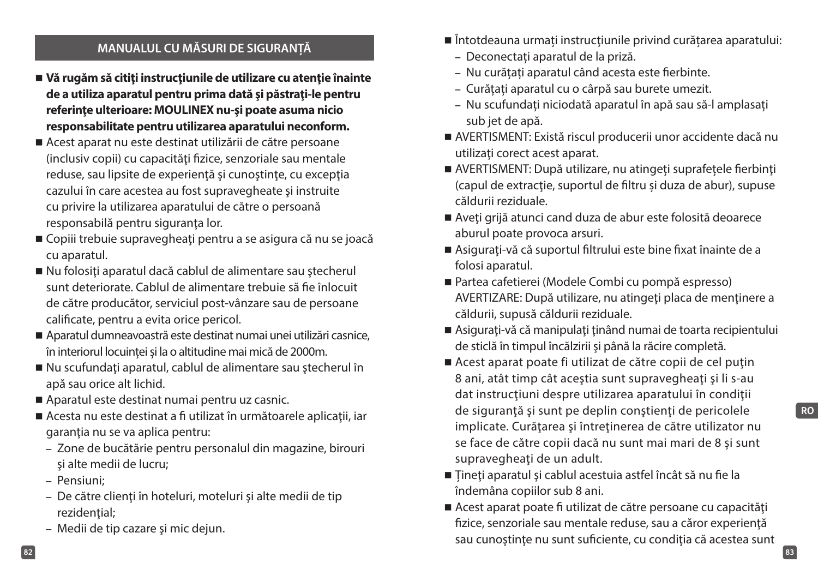#### **MANUALUL CU MĂSURI DE SIGURANȚĂ**

- **Vă rugăm să citiţi instrucţiunile de utilizare cu atenţie înainte de a utiliza aparatul pentru prima dată şi păstraţi-le pentru referinţe ulterioare: MOULINEX nu-şi poate asuma nicio responsabilitate pentru utilizarea aparatului neconform.**
- Acest aparat nu este destinat utilizării de către persoane (inclusiv copii) cu capacităţi fizice, senzoriale sau mentale reduse, sau lipsite de experienţă şi cunoştinţe, cu excepţia cazului în care acestea au fost supravegheate şi instruite cu privire la utilizarea aparatului de către o persoană responsabilă pentru siguranţa lor.
- Copiii trebuie supravegheați pentru a se asigura că nu se joacă cu aparatul.
- Nu folosiți aparatul dacă cablul de alimentare sau ștecherul sunt deteriorate. Cablul de alimentare trebuie să fie înlocuit de către producător, serviciul post-vânzare sau de persoane calificate, pentru a evita orice pericol.
- Aparatul dumneavoastră este destinat numai unei utilizări casnice, în interiorul locuinței și la o altitudine mai mică de 2000m.
- Nu scufundați aparatul, cablul de alimentare sau ștecherul în apă sau orice alt lichid.
- Aparatul este destinat numai pentru uz casnic.
- Acesta nu este destinat a fi utilizat în următoarele aplicații, iar garantia nu se va aplica pentru:
	- Zone de bucătărie pentru personalul din magazine, birouri şi alte medii de lucru;
	- Pensiuni;
	- De către clienţi în hoteluri, moteluri şi alte medii de tip rezidențial;
	- Medii de tip cazare şi mic dejun.
- Întotdeauna urmați instrucțiunile privind curățarea aparatului:
	- Deconectați aparatul de la priză.
	- Nu curățați aparatul când acesta este fierbinte.
	- Curățați aparatul cu o cârpă sau burete umezit.
	- Nu scufundați niciodată aparatul în apă sau să-l amplasați sub jet de apă.
- AVERTISMENT: Există riscul producerii unor accidente dacă nu utilizaţi corect acest aparat.
- AVERTISMENT: După utilizare, nu atingeți suprafețele fierbinți (capul de extractie, suportul de filtru și duza de abur), supuse căldurii reziduale.
- Aveți grijă atunci cand duza de abur este folosită deoarece aburul poate provoca arsuri.
- Asigurați-vă că suportul filtrului este bine fixat înainte de a folosi aparatul.
- Partea cafetierei (Modele Combi cu pompă espresso) AVERTIZARE: După utilizare, nu atingeți placa de menținere a căldurii, supusă căldurii reziduale.
- Asigurați-vă că manipulați ținând numai de toarta recipientului de sticlă în timpul încălzirii şi până la răcire completă.
- Acest aparat poate fi utilizat de către copii de cel putin 8 ani, atât timp cât aceştia sunt supravegheaţi şi li s-au dat instrucţiuni despre utilizarea aparatului în condiţii de siguranţă şi sunt pe deplin conştienţi de pericolele implicate. Curăţarea şi întreţinerea de către utilizator nu se face de către copii dacă nu sunt mai mari de 8 și sunt supravegheaţi de un adult.
- Țineți aparatul și cablul acestuia astfel încât să nu fie la îndemâna copiilor sub 8 ani.
- Acest aparat poate fi utilizat de către persoane cu capacități fizice, senzoriale sau mentale reduse, sau a căror experienţă sau cunoștințe nu sunt suficiente, cu condiția că acestea sunt

**82 83**

**RO**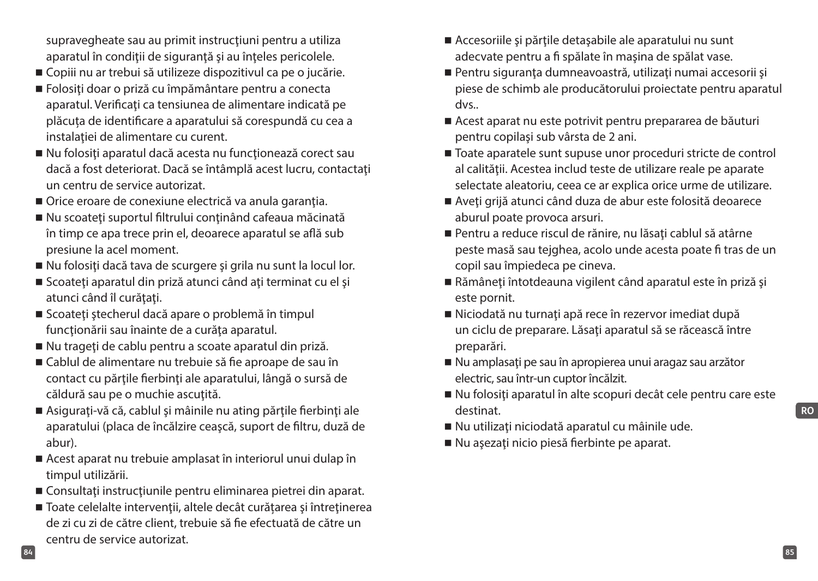supravegheate sau au primit instrucţiuni pentru a utiliza aparatul în condiţii de siguranţă şi au înţeles pericolele.

- Copiii nu ar trebui să utilizeze dispozitivul ca pe o jucărie.
- Folosiţi doar o priză cu împământare pentru a conecta aparatul. Verificați ca tensiunea de alimentare indicată pe plăcuța de identificare a aparatului să corespundă cu cea a instalației de alimentare cu curent.
- Nu folosiți aparatul dacă acesta nu funcționează corect sau dacă a fost deteriorat. Dacă se întâmplă acest lucru, contactaţi un centru de service autorizat.
- Orice eroare de conexiune electrică va anula garanția.
- Nu scoateți suportul filtrului conținând cafeaua măcinată în timp ce apa trece prin el, deoarece aparatul se află sub presiune la acel moment.
- Nu folosiți dacă tava de scurgere și grila nu sunt la locul lor.
- Scoateți aparatul din priză atunci când ați terminat cu el și atunci când îl curătați.
- Scoateți ștecherul dacă apare o problemă în timpul funcţionării sau înainte de a curăţa aparatul.
- Nu trageți de cablu pentru a scoate aparatul din priză.
- Cablul de alimentare nu trebuie să fie aproape de sau în contact cu părţile fierbinţi ale aparatului, lângă o sursă de căldură sau pe o muchie ascuțită.
- Asigurați-vă că, cablul și mâinile nu ating părțile fierbinți ale aparatului (placa de încălzire ceaşcă, suport de filtru, duză de abur).
- Acest aparat nu trebuie amplasat în interiorul unui dulap în timpul utilizării.
- Consultati instructiunile pentru eliminarea pietrei din aparat.
- Toate celelalte intervenții, altele decât curățarea și întreținerea de zi cu zi de către client, trebuie să fie efectuată de către un centru de service autorizat.
- Accesoriile și părțile detașabile ale aparatului nu sunt adecvate pentru a fi spălate în maşina de spălat vase.
- Pentru siguranța dumneavoastră, utilizați numai accesorii și piese de schimb ale producătorului proiectate pentru aparatul dvs..
- Acest aparat nu este potrivit pentru prepararea de băuturi pentru copilaşi sub vârsta de 2 ani.
- Toate aparatele sunt supuse unor proceduri stricte de control al calității. Acestea includ teste de utilizare reale pe aparate selectate aleatoriu, ceea ce ar explica orice urme de utilizare.
- Aveți grijă atunci când duza de abur este folosită deoarece aburul poate provoca arsuri.
- Pentru a reduce riscul de rănire, nu lăsați cablul să atârne peste masă sau tejghea, acolo unde acesta poate fi tras de un copil sau împiedeca pe cineva.
- Rămâneți întotdeauna vigilent când aparatul este în priză și este pornit.
- Niciodată nu turnați apă rece în rezervor imediat după un ciclu de preparare. Lăsaţi aparatul să se răcească între preparări.
- Nu amplasați pe sau în apropierea unui aragaz sau arzător electric, sau într-un cuptor încălzit.
- Nu folosiți aparatul în alte scopuri decât cele pentru care este destinat.
- Nu utilizați niciodată aparatul cu mâinile ude.
- Nu asezați nicio piesă fierbinte pe aparat.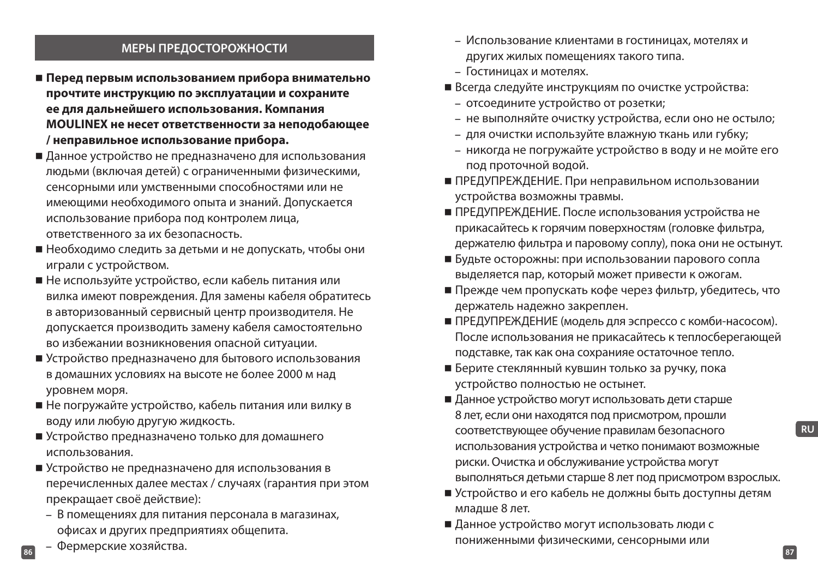#### **МЕРЫ ПРЕДОСТОРОЖНОСТИ**

- **Перед первым использованием прибора внимательно прочтите инструкцию по эксплуатации и сохраните ее для дальнейшего использования. Компания MOULINEX не несет ответственности за неподобающее / неправильное использование прибора.**
- Данное устройство не предназначено для использования людьми (включая детей) с ограниченными физическими, сенсорными или умственными способностями или не имеющими необходимого опыта и знаний. Допускается использование прибора под контролем лица, ответственного за их безопасность.
- Необходимо следить за детьми и не допускать, чтобы они играли с устройством.
- Не используйте устройство, если кабель питания или вилка имеют повреждения. Для замены кабеля обратитесь в авторизованный сервисный центр производителя. Не допускается производить замену кабеля самостоятельно во избежании возникновения опасной ситуации.
- Устройство предназначено для бытового использования в домашних условиях на высоте не более 2000 м над уровнем моря.
- Не погружайте устройство, кабель питания или вилку в воду или любую другую жидкость.
- Устройство предназначено только для домашнего использования.
- Устройство не предназначено для использования в перечисленных далее местах / случаях (гарантия при этом прекращает своё действие):
	- В помещениях для питания персонала в магазинах, офисах и других предприятиях общепита.
- **86 87** – Фермерские хозяйства.
- Использование клиентами в гостиницах, мотелях и других жилых помещениях такого типа.
- Гостиницах и мотелях.
- Всегда следуйте инструкциям по очистке устройства:
	- отсоедините устройство от розетки;
	- не выполняйте очистку устройства, если оно не остыло;
	- для очистки используйте влажную ткань или губку;
	- никогда не погружайте устройство в воду и не мойте его под проточной водой.
- ПРЕДУПРЕЖДЕНИЕ. При неправильном использовании устройства возможны травмы.
- ПРЕДУПРЕЖДЕНИЕ. После использования устройства не прикасайтесь к горячим поверхностям (головке фильтра, держателю фильтра и паровому соплу), пока они не остынут.
- Будьте осторожны: при использовании парового сопла выделяется пар, который может привести к ожогам.
- Прежде чем пропускать кофе через фильтр, убедитесь, что держатель надежно закреплен.
- ПРЕДУПРЕЖДЕНИЕ (модель для эспрессо с комби-насосом). После использования не прикасайтесь к теплосберегающей подставке, так как она сохранияе остаточное тепло.
- Берите стеклянный кувшин только за ручку, пока устройство полностью не остынет.
- Данное устройство могут использовать дети старше 8 лет, если они находятся под присмотром, прошли соответствующее обучение правилам безопасного использования устройства и четко понимают возможные риски. Очистка и обслуживание устройства могут выполняться детьми старше 8 лет под присмотром взрослых.
- Устройство и его кабель не должны быть доступны детям младше 8 лет.
- Данное устройство могут использовать люди с пониженными физическими, сенсорными или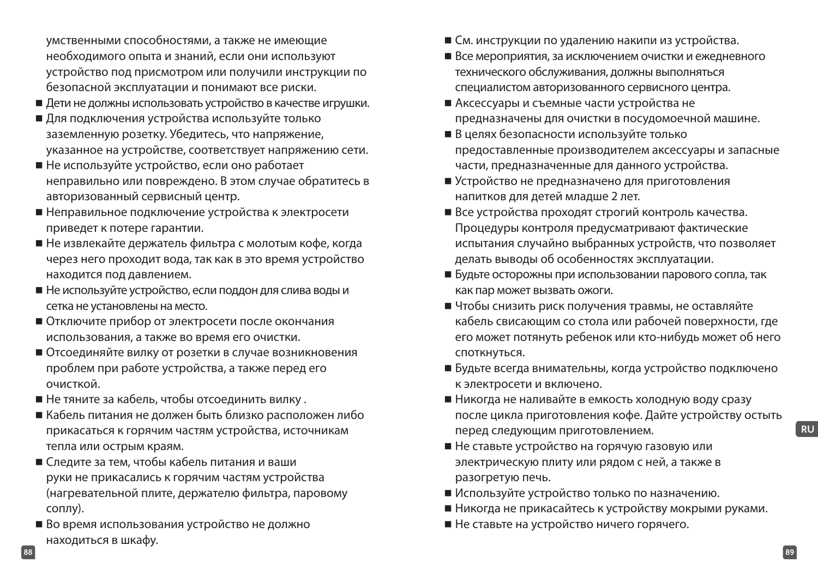умственными способностями, а также не имеющие необходимого опыта и знаний, если они используют устройство под присмотром или получили инструкции по безопасной эксплуатации и понимают все риски.

- Дети не должны использовать устройство в качестве игрушки.
- Для подключения устройства используйте только заземленную розетку. Убедитесь, что напряжение, указанное на устройстве, соответствует напряжению сети.
- Не используйте устройство, если оно работает неправильно или повреждено. В этом случае обратитесь в авторизованный сервисный центр.
- Неправильное подключение устройства к электросети приведет к потере гарантии.
- Не извлекайте держатель фильтра с молотым кофе, когда через него проходит вода, так как в это время устройство находится под давлением.
- Не используйте устройство, если поддон для слива воды и сетка не установлены на место.
- Отключите прибор от электросети после окончания использования, а также во время его очистки.
- Отсоединяйте вилку от розетки в случае возникновения проблем при работе устройства, а также перед его очисткой.
- Не тяните за кабель, чтобы отсоединить вилку .
- Кабель питания не должен быть близко расположен либо прикасаться к горячим частям устройства, источникам тепла или острым краям.
- Следите за тем, чтобы кабель питания и ваши руки не прикасались к горячим частям устройства (нагревательной плите, держателю фильтра, паровому соплу).
- Во время использования устройство не должно находиться в шкафу.
- См. инструкции по удалению накипи из устройства.
- Все мероприятия, за исключением очистки и ежедневного технического обслуживания, должны выполняться специалистом авторизованного сервисного центра.
- Аксессуары и съемные части устройства не предназначены для очистки в посудомоечной машине.
- В целях безопасности используйте только предоставленные производителем аксессуары и запасные части, предназначенные для данного устройства.
- Устройство не предназначено для приготовления напитков для детей младше 2 лет.
- Все устройства проходят строгий контроль качества. Процедуры контроля предусматривают фактические испытания случайно выбранных устройств, что позволяет делать выводы об особенностях эксплуатации.
- Будьте осторожны при использовании парового сопла, так как пар может вызвать ожоги.
- Чтобы снизить риск получения травмы, не оставляйте кабель свисающим со стола или рабочей поверхности, где его может потянуть ребенок или кто-нибудь может об него споткнуться.
- Будьте всегда внимательны, когда устройство подключено к электросети и включено.
- Никогда не наливайте в емкость холодную воду сразу после цикла приготовления кофе. Дайте устройству остыть перед следующим приготовлением.
- Не ставьте устройство на горячую газовую или электрическую плиту или рядом с ней, а также в разогретую печь.
- Используйте устройство только по назначению.
- Никогда не прикасайтесь к устройству мокрыми руками.
- Не ставьте на устройство ничего горячего.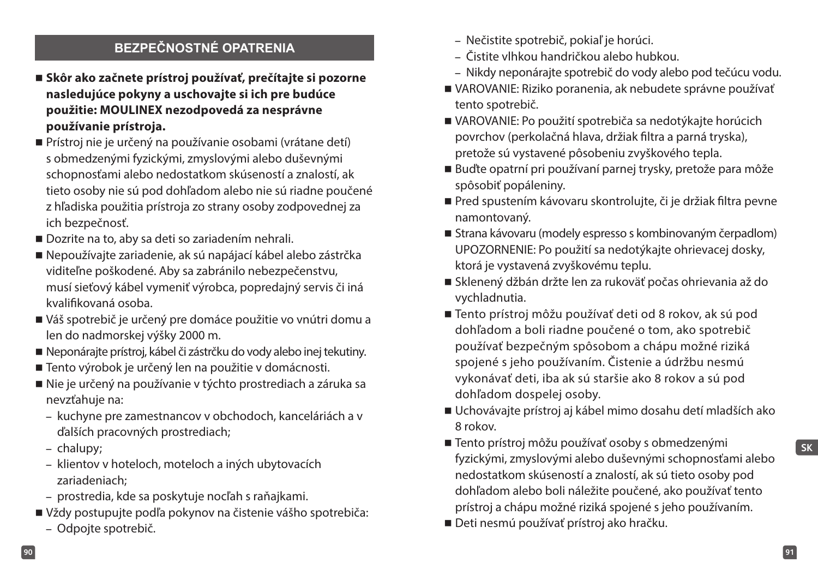## **BEZPEČNOSTNÉ OPATRENIA**

- **Skôr ako začnete prístroj používať, prečítajte si pozorne nasledujúce pokyny a uschovajte si ich pre budúce použitie: MOULINEX nezodpovedá za nesprávne používanie prístroja.**
- Prístroj nie je určený na používanie osobami (vrátane detí) s obmedzenými fyzickými, zmyslovými alebo duševnými schopnosťami alebo nedostatkom skúseností a znalostí, ak tieto osoby nie sú pod dohľadom alebo nie sú riadne poučené z hľadiska použitia prístroja zo strany osoby zodpovednej za ich bezpečnosť.
- Dozrite na to, aby sa deti so zariadením nehrali.
- Nepoužívajte zariadenie, ak sú napájací kábel alebo zástrčka viditeľne poškodené. Aby sa zabránilo nebezpečenstvu, musí sieťový kábel vymeniť výrobca, popredajný servis či iná kvalifikovaná osoba.
- Váš spotrebič je určený pre domáce použitie vo vnútri domu a len do nadmorskej výšky 2000 m.
- Neponárajte prístroj, kábel či zástrčku do vody alebo inej tekutiny.
- Tento výrobok je určený len na použitie v domácnosti.
- Nie je určený na používanie v týchto prostrediach a záruka sa nevzťahuje na:
	- kuchyne pre zamestnancov v obchodoch, kanceláriách a v ďalších pracovných prostrediach;
	- chalupy;
	- klientov v hoteloch, moteloch a iných ubytovacích zariadeniach;
	- prostredia, kde sa poskytuje nocľah s raňajkami.
- Vždy postupujte podľa pokynov na čistenie vášho spotrebiča:
	- Odpojte spotrebič.
- Nečistite spotrebič, pokiaľ je horúci.
- Čistite vlhkou handričkou alebo hubkou.
- Nikdy neponárajte spotrebič do vody alebo pod tečúcu vodu.
- VAROVANIE: Riziko poranenia, ak nebudete správne používať tento spotrebič.
- VAROVANIE: Po použití spotrebiča sa nedotýkajte horúcich povrchov (perkolačná hlava, držiak filtra a parná tryska), pretože sú vystavené pôsobeniu zvyškového tepla.
- Buďte opatrní pri používaní parnej trysky, pretože para môže spôsobiť popáleniny.
- Pred spustením kávovaru skontrolujte, či je držiak filtra pevne namontovaný.
- Strana kávovaru (modely espresso s kombinovaným čerpadlom) UPOZORNENIE: Po použití sa nedotýkajte ohrievacej dosky, ktorá je vystavená zvyškovému teplu.
- Sklenený džbán držte len za rukoväť počas ohrievania až do vychladnutia.
- Tento prístroj môžu používať deti od 8 rokov, ak sú pod dohľadom a boli riadne poučené o tom, ako spotrebič používať bezpečným spôsobom a chápu možné riziká spojené s jeho používaním. Čistenie a údržbu nesmú vykonávať deti, iba ak sú staršie ako 8 rokov a sú pod dohľadom dospelej osoby.
- Uchovávajte prístroj aj kábel mimo dosahu detí mladších ako 8 rokov.
- Tento prístroj môžu používať osoby s obmedzenými fyzickými, zmyslovými alebo duševnými schopnosťami alebo nedostatkom skúseností a znalostí, ak sú tieto osoby pod dohľadom alebo boli náležite poučené, ako používať tento prístroj a chápu možné riziká spojené s jeho používaním.
- Deti nesmú používať prístroj ako hračku.

**SK**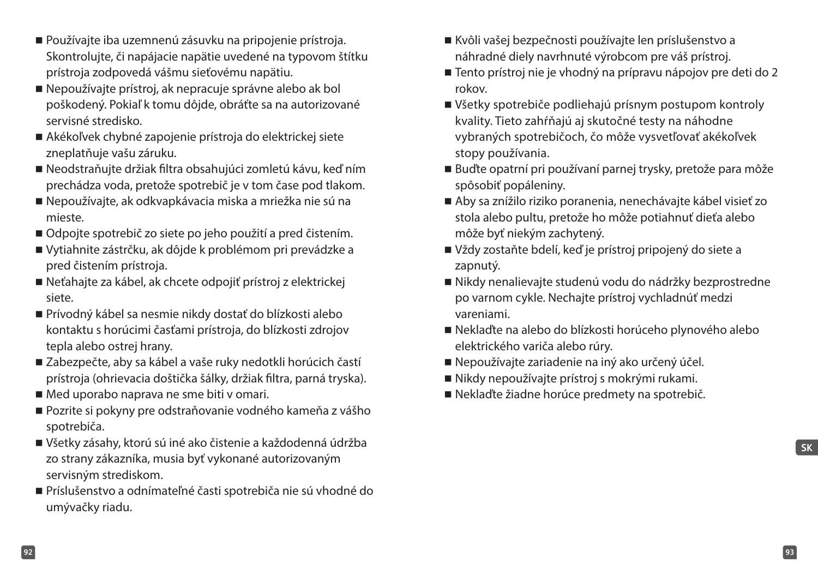- Používajte iba uzemnenú zásuvku na pripojenie prístroja. Skontrolujte, či napájacie napätie uvedené na typovom štítku prístroja zodpovedá vášmu sieťovému napätiu.
- Nepoužívajte prístroj, ak nepracuje správne alebo ak bol poškodený. Pokiaľ k tomu dôjde, obráťte sa na autorizované servisné stredisko.
- Akékoľvek chybné zapojenie prístroja do elektrickej siete zneplatňuje vašu záruku.
- Neodstraňujte držiak filtra obsahujúci zomletú kávu, keď ním prechádza voda, pretože spotrebič je v tom čase pod tlakom.
- Nepoužívajte, ak odkvapkávacia miska a mriežka nie sú na mieste.
- Odpojte spotrebič zo siete po jeho použití a pred čistením.
- Vytiahnite zástrčku, ak dôjde k problémom pri prevádzke a pred čistením prístroja.
- Neťahajte za kábel, ak chcete odpojiť prístroj z elektrickej siete.
- Prívodný kábel sa nesmie nikdy dostať do blízkosti alebo kontaktu s horúcimi časťami prístroja, do blízkosti zdrojov tepla alebo ostrej hrany.
- Zabezpečte, aby sa kábel a vaše ruky nedotkli horúcich častí prístroja (ohrievacia doštička šálky, držiak filtra, parná tryska).
- Med uporabo naprava ne sme biti v omari.
- Pozrite si pokyny pre odstraňovanie vodného kameňa z vášho spotrebiča.
- Všetky zásahy, ktorú sú iné ako čistenie a každodenná údržba zo strany zákazníka, musia byť vykonané autorizovaným servisným strediskom.
- Príslušenstvo a odnímateľné časti spotrebiča nie sú vhodné do umývačky riadu.
- Kvôli vašej bezpečnosti používajte len príslušenstvo a náhradné diely navrhnuté výrobcom pre váš prístroj.
- Tento prístroj nie je vhodný na prípravu nápojov pre deti do 2 rokov.
- Všetky spotrebiče podliehajú prísnym postupom kontroly kvality. Tieto zahŕňajú aj skutočné testy na náhodne vybraných spotrebičoch, čo môže vysvetľovať akékoľvek stopy používania.
- Buďte opatrní pri používaní parnej trysky, pretože para môže spôsobiť popáleniny.
- Aby sa znížilo riziko poranenia, nenechávajte kábel visieť zo stola alebo pultu, pretože ho môže potiahnuť dieťa alebo môže byť niekým zachytený.
- Vždy zostaňte bdelí, keď je prístroj pripojený do siete a zapnutý.
- Nikdy nenalievajte studenú vodu do nádržky bezprostredne po varnom cykle. Nechajte prístroj vychladnúť medzi vareniami.
- Neklaďte na alebo do blízkosti horúceho plynového alebo elektrického variča alebo rúry.
- Nepoužívajte zariadenie na iný ako určený účel.
- Nikdy nepoužívajte prístroj s mokrými rukami.
- Neklaďte žiadne horúce predmety na spotrebič.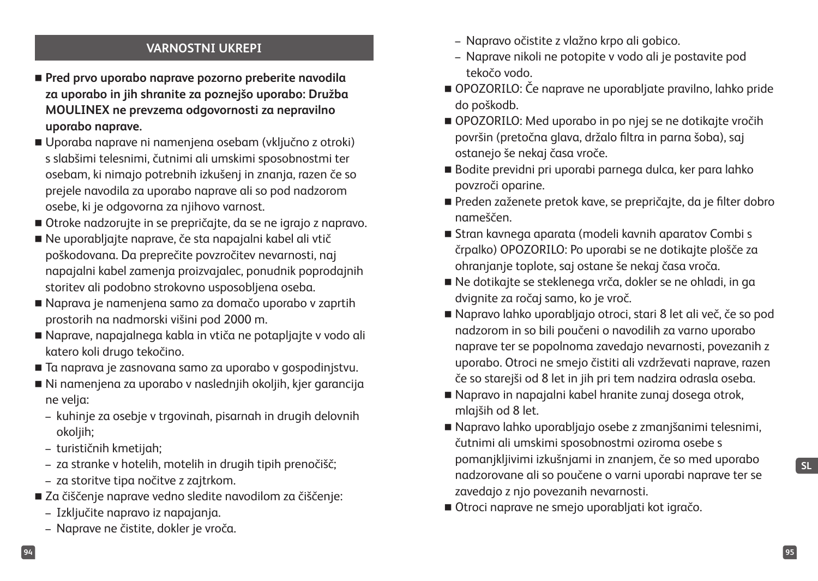## **VARNOSTNI UKREPI**

- **Pred prvo uporabo naprave pozorno preberite navodila za uporabo in jih shranite za poznejšo uporabo: Družba MOULINEX ne prevzema odgovornosti za nepravilno uporabo naprave.**
- Uporaba naprave ni namenjena osebam (vključno z otroki) s slabšimi telesnimi, čutnimi ali umskimi sposobnostmi ter osebam, ki nimajo potrebnih izkušenj in znanja, razen če so prejele navodila za uporabo naprave ali so pod nadzorom osebe, ki je odgovorna za njihovo varnost.
- Otroke nadzorujte in se prepričajte, da se ne igrajo z napravo.
- Ne uporabljajte naprave, če sta napajalni kabel ali vtič poškodovana. Da preprečite povzročitev nevarnosti, naj napajalni kabel zamenja proizvajalec, ponudnik poprodajnih storitev ali podobno strokovno usposobljena oseba.
- Naprava je namenjena samo za domačo uporabo v zaprtih prostorih na nadmorski višini pod 2000 m.
- Naprave, napajalnega kabla in vtiča ne potapljajte v vodo ali katero koli drugo tekočino.
- Ta naprava je zasnovana samo za uporabo v gospodinjstvu.
- Ni namenjena za uporabo v naslednjih okoljih, kjer garancija ne velja:
	- kuhinje za osebje v trgovinah, pisarnah in drugih delovnih okoljih;
	- turističnih kmetijah;
	- za stranke v hotelih, motelih in drugih tipih prenočišč;
	- za storitve tipa nočitve z zajtrkom.
- Za čiščenje naprave vedno sledite navodilom za čiščenje:
	- Izključite napravo iz napajanja.
	- Naprave ne čistite, dokler je vroča.
- Napravo očistite z vlažno krpo ali gobico.
- Naprave nikoli ne potopite v vodo ali je postavite pod tekočo vodo.
- OPOZORILO: Če naprave ne uporabljate pravilno, lahko pride do poškodb.
- OPOZORILO: Med uporabo in po njej se ne dotikajte vročih površin (pretočna glava, držalo filtra in parna šoba), saj ostanejo še nekaj časa vroče.
- Bodite previdni pri uporabi parnega dulca, ker para lahko povzroči oparine.
- Preden zaženete pretok kave, se prepričajte, da je filter dobro nameščen.
- Stran kavnega aparata (modeli kavnih aparatov Combi s črpalko) OPOZORILO: Po uporabi se ne dotikajte plošče za ohranjanje toplote, saj ostane še nekaj časa vroča.
- Ne dotikajte se steklenega vrča, dokler se ne ohladi, in ga dvignite za ročaj samo, ko je vroč.
- Napravo lahko uporabljajo otroci, stari 8 let ali več, če so pod nadzorom in so bili poučeni o navodilih za varno uporabo naprave ter se popolnoma zavedajo nevarnosti, povezanih z uporabo. Otroci ne smejo čistiti ali vzdrževati naprave, razen če so starejši od 8 let in jih pri tem nadzira odrasla oseba.
- Napravo in napajalni kabel hranite zunaj dosega otrok, mlajših od 8 let.
- Napravo lahko uporabljajo osebe z zmanjšanimi telesnimi, čutnimi ali umskimi sposobnostmi oziroma osebe s pomanjkljivimi izkušnjami in znanjem, če so med uporabo nadzorovane ali so poučene o varni uporabi naprave ter se zavedajo z njo povezanih nevarnosti.
- Otroci naprave ne smejo uporabljati kot igračo.

**SL**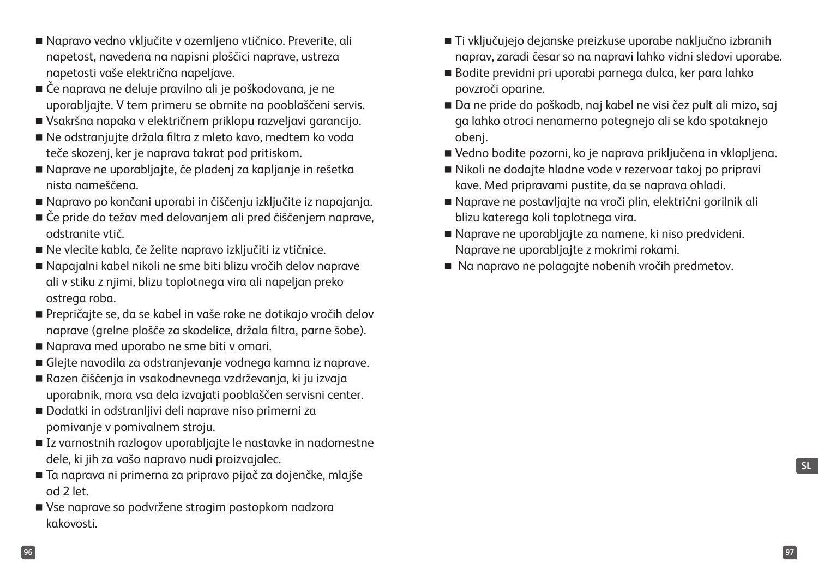- Napravo vedno vključite v ozemljeno vtičnico. Preverite, ali napetost, navedena na napisni ploščici naprave, ustreza napetosti vaše električna napeljave.
- Če naprava ne deluje pravilno ali je poškodovana, je ne uporabljajte. V tem primeru se obrnite na pooblaščeni servis.
- Vsakršna napaka v električnem priklopu razveljavi garancijo.
- Ne odstranjujte držala filtra z mleto kavo, medtem ko voda teče skozenj, ker je naprava takrat pod pritiskom.
- Naprave ne uporabljajte, če pladenj za kapljanje in rešetka nista nameščena.
- Napravo po končani uporabi in čiščenju izključite iz napajanja.
- Če pride do težav med delovanjem ali pred čiščenjem naprave, odstranite vtič.
- Ne vlecite kabla, če želite napravo izključiti iz vtičnice.
- Napajalni kabel nikoli ne sme biti blizu vročih delov naprave ali v stiku z njimi, blizu toplotnega vira ali napeljan preko ostrega roba.
- Prepričajte se, da se kabel in vaše roke ne dotikajo vročih delov naprave (grelne plošče za skodelice, držala filtra, parne šobe).
- Naprava med uporabo ne sme biti v omari.
- Glejte navodila za odstranjevanje vodnega kamna iz naprave.
- Razen čiščenja in vsakodnevnega vzdrževanja, ki ju izvaja uporabnik, mora vsa dela izvajati pooblaščen servisni center.
- Dodatki in odstranljivi deli naprave niso primerni za pomivanje v pomivalnem stroju.
- Iz varnostnih razlogov uporabljajte le nastavke in nadomestne dele, ki jih za vašo napravo nudi proizvajalec.
- Ta naprava ni primerna za pripravo pijač za dojenčke, mlajše od 2 let.
- Vse naprave so podvržene strogim postopkom nadzora kakovosti.
- Ti vključujejo dejanske preizkuse uporabe naključno izbranih naprav, zaradi česar so na napravi lahko vidni sledovi uporabe.
- Bodite previdni pri uporabi parnega dulca, ker para lahko povzroči oparine.
- Da ne pride do poškodb, naj kabel ne visi čez pult ali mizo, saj ga lahko otroci nenamerno potegnejo ali se kdo spotaknejo obenj.
- Vedno bodite pozorni, ko je naprava priključena in vklopljena.
- Nikoli ne dodajte hladne vode v rezervoar takoj po pripravi kave. Med pripravami pustite, da se naprava ohladi.
- Naprave ne postavljajte na vroči plin, električni gorilnik ali blizu katerega koli toplotnega vira.
- Naprave ne uporabljajte za namene, ki niso predvideni. Naprave ne uporabljajte z mokrimi rokami.
- Na napravo ne polagajte nobenih vročih predmetov.

**SL**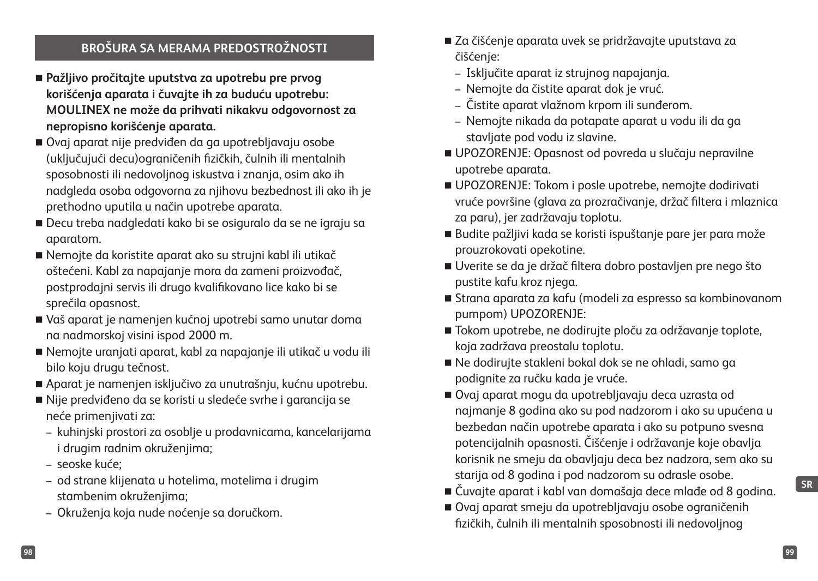## **BROŠURA SA MERAMA PREDOSTROŽNOSTI**

- **Pažljivo pročitajte uputstva za upotrebu pre prvog korišćenja aparata i čuvajte ih za buduću upotrebu: MOULINEX ne može da prihvati nikakvu odgovornost za nepropisno korišćenje aparata.**
- Ovaj aparat nije predviđen da ga upotrebljavaju osobe (uključujući decu)ograničenih fizičkih, čulnih ili mentalnih sposobnosti ili nedovoljnog iskustva i znanja, osim ako ih nadgleda osoba odgovorna za njihovu bezbednost ili ako ih je prethodno uputila u način upotrebe aparata.
- Decu treba nadgledati kako bi se osiguralo da se ne igraju sa aparatom.
- Nemojte da koristite aparat ako su strujni kabl ili utikač oštećeni. Kabl za napajanje mora da zameni proizvođač, postprodajni servis ili drugo kvalifikovano lice kako bi se sprečila opasnost.
- Vaš aparat je namenjen kućnoj upotrebi samo unutar doma na nadmorskoj visini ispod 2000 m.
- Nemojte uranjati aparat, kabl za napajanje ili utikač u vodu ili bilo koju drugu tečnost.
- Aparat je namenjen isključivo za unutrašnju, kućnu upotrebu.
- Nije predviđeno da se koristi u sledeće svrhe i garancija se neće primenjivati za:
	- kuhinjski prostori za osoblje u prodavnicama, kancelarijama i drugim radnim okruženjima;
	- seoske kuće;
	- od strane klijenata u hotelima, motelima i drugim stambenim okruženjima;
	- Okruženja koja nude noćenje sa doručkom.
- Za čišćenje aparata uvek se pridržavajte uputstava za čišćenie:
	- Isključite aparat iz strujnog napajanja.
	- Nemojte da čistite aparat dok je vruć.
	- Čistite aparat vlažnom krpom ili sunđerom.
	- Nemojte nikada da potapate aparat u vodu ili da ga stavljate pod vodu iz slavine.
- UPOZORENJE: Opasnost od povreda u slučaju nepravilne upotrebe aparata.
- UPOZORENJE: Tokom i posle upotrebe, nemojte dodirivati vruće površine (glava za prozračivanje, držač filtera i mlaznica za paru), jer zadržavaju toplotu.
- Budite pažljivi kada se koristi ispuštanje pare jer para može prouzrokovati opekotine.
- Uverite se da je držač filtera dobro postavljen pre nego što pustite kafu kroz njega.
- Strana aparata za kafu (modeli za espresso sa kombinovanom pumpom) UPOZORENJE:
- Tokom upotrebe, ne dodirujte ploču za održavanje toplote, koja zadržava preostalu toplotu.
- Ne dodirujte stakleni bokal dok se ne ohladi, samo ga podignite za ručku kada je vruće.
- Ovaj aparat mogu da upotrebljavaju deca uzrasta od najmanje 8 godina ako su pod nadzorom i ako su upućena u bezbedan način upotrebe aparata i ako su potpuno svesna potencijalnih opasnosti. Čišćenje i održavanje koje obavlja korisnik ne smeju da obavljaju deca bez nadzora, sem ako su starija od 8 godina i pod nadzorom su odrasle osobe.
- Čuvajte aparat i kabl van domašaja dece mlađe od 8 godina.
- Ovaj aparat smeju da upotrebljavaju osobe ograničenih fizičkih, čulnih ili mentalnih sposobnosti ili nedovoljnog

**SR**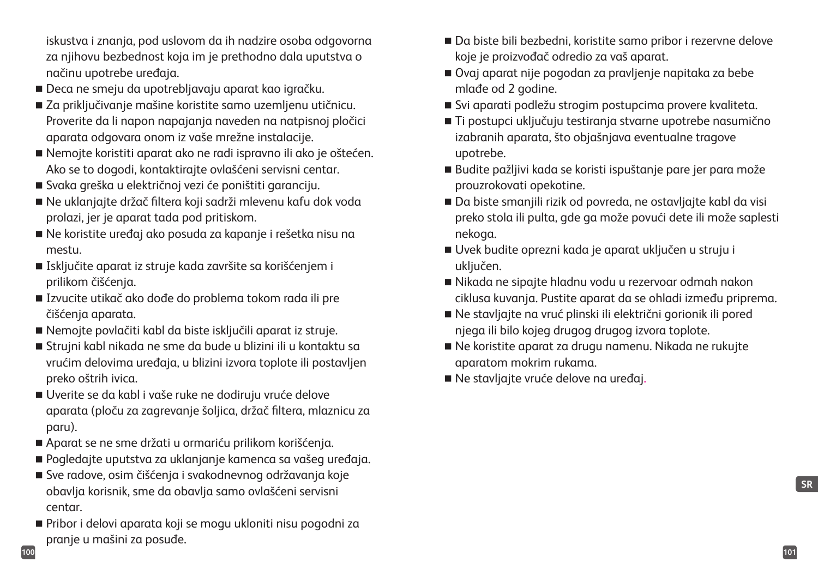iskustva i znanja, pod uslovom da ih nadzire osoba odgovorna za njihovu bezbednost koja im je prethodno dala uputstva o načinu upotrebe uređaja.

- Deca ne smeju da upotrebljavaju aparat kao igračku.
- Za prikliučivanie mašine koristite samo uzemlienu utičnicu. Proverite da li napon napajanja naveden na natpisnoj pločici aparata odgovara onom iz vaše mrežne instalacije.
- Nemojte koristiti aparat ako ne radi ispravno ili ako je oštećen. Ako se to dogodi, kontaktirajte ovlašćeni servisni centar.
- Svaka greška u električnoj vezi će poništiti garanciju.
- Ne uklanjajte držač filtera koji sadrži mlevenu kafu dok voda prolazi, jer je aparat tada pod pritiskom.
- Ne koristite uređaj ako posuda za kapanje i rešetka nisu na mestu.
- Isključite aparat iz struje kada završite sa korišćenjem i prilikom čišćenja.
- Izvucite utikač ako dođe do problema tokom rada ili pre čišćenja aparata.
- Nemojte povlačiti kabl da biste isključili aparat iz struje.
- Strujni kabl nikada ne sme da bude u blizini ili u kontaktu sa vrućim delovima uređaja, u blizini izvora toplote ili postavljen preko oštrih ivica.
- Uverite se da kabl i vaše ruke ne dodiruju vruće delove aparata (ploču za zagrevanje šoljica, držač filtera, mlaznicu za paru).
- Aparat se ne sme držati u ormariću prilikom korišćenja.
- Pogledajte uputstva za uklanjanje kamenca sa vašeg uređaja.
- Sve radove, osim čišćenja i svakodnevnog održavanja koje obavlja korisnik, sme da obavlja samo ovlašćeni servisni centar.
- Pribor i delovi aparata koji se mogu ukloniti nisu pogodni za pranje u mašini za posuđe.
- Da biste bili bezbedni, koristite samo pribor i rezervne delove koje je proizvođač odredio za vaš aparat.
- Ovaj aparat nije pogodan za pravljenje napitaka za bebe mlađe od 2 godine.
- Svi aparati podležu strogim postupcima provere kvaliteta.
- Ti postupci uključuju testiranja stvarne upotrebe nasumično izabranih aparata, što objašnjava eventualne tragove upotrebe.
- Budite pažljivi kada se koristi ispuštanje pare jer para može prouzrokovati opekotine.
- Da biste smanjili rizik od povreda, ne ostavljajte kabl da visi preko stola ili pulta, gde ga može povući dete ili može saplesti nekoga.
- Uvek budite oprezni kada je aparat uključen u struju i uključen.
- Nikada ne sipajte hladnu vodu u rezervoar odmah nakon ciklusa kuvanja. Pustite aparat da se ohladi između priprema.
- Ne stavljajte na vruć plinski ili električni gorionik ili pored njega ili bilo kojeg drugog drugog izvora toplote.
- Ne koristite aparat za drugu namenu. Nikada ne rukujte aparatom mokrim rukama.
- Ne stavljajte vruće delove na uređaj.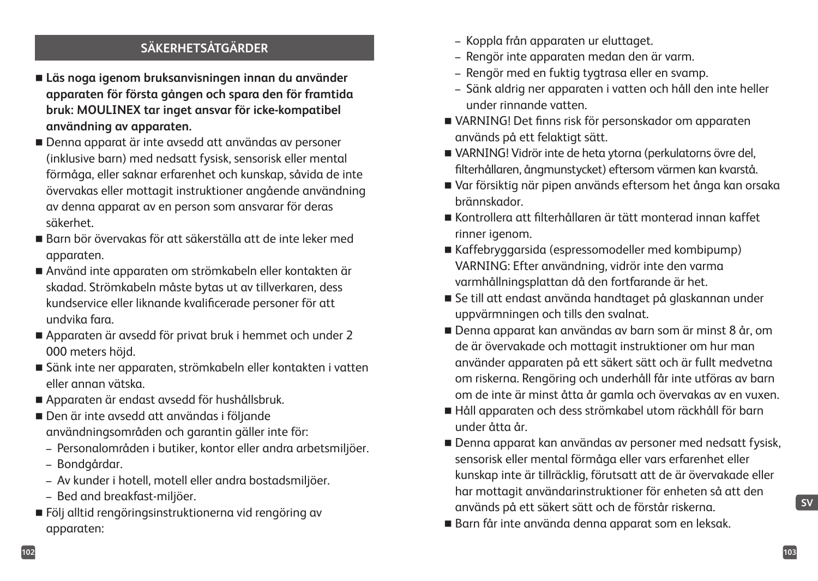## **SÄKERHETSÅTGÄRDER**

- **Läs noga igenom bruksanvisningen innan du använder apparaten för första gången och spara den för framtida bruk: MOULINEX tar inget ansvar för icke-kompatibel användning av apparaten.**
- Denna apparat är inte avsedd att användas av personer (inklusive barn) med nedsatt fysisk, sensorisk eller mental förmåga, eller saknar erfarenhet och kunskap, såvida de inte övervakas eller mottagit instruktioner angående användning av denna apparat av en person som ansvarar för deras säkerhet.
- Barn bör övervakas för att säkerställa att de inte leker med apparaten.
- Använd inte apparaten om strömkabeln eller kontakten är skadad. Strömkabeln måste bytas ut av tillverkaren, dess kundservice eller liknande kvalificerade personer för att undvika fara.
- Apparaten är avsedd för privat bruk i hemmet och under 2 000 meters höjd.
- Sänk inte ner apparaten, strömkabeln eller kontakten i vatten eller annan vätska.
- Apparaten är endast avsedd för hushållsbruk.
- Den är inte avsedd att användas i följande användningsområden och garantin gäller inte för:
	- Personalområden i butiker, kontor eller andra arbetsmiljöer.
	- Bondgårdar.
	- Av kunder i hotell, motell eller andra bostadsmiljöer.
	- Bed and breakfast-miljöer.
- Följ alltid rengöringsinstruktionerna vid rengöring av apparaten:
- Koppla från apparaten ur eluttaget.
- Rengör inte apparaten medan den är varm.
- Rengör med en fuktig tygtrasa eller en svamp.
- Sänk aldrig ner apparaten i vatten och håll den inte heller under rinnande vatten.
- VARNING! Det finns risk för personskador om apparaten används på ett felaktigt sätt.
- VARNING! Vidrör inte de heta ytorna (perkulatorns övre del, filterhållaren, ångmunstycket) eftersom värmen kan kvarstå.
- Var försiktig när pipen används eftersom het ånga kan orsaka brännskador.
- Kontrollera att filterhållaren är tätt monterad innan kaffet rinner igenom.
- Kaffebryggarsida (espressomodeller med kombipump) VARNING: Efter användning, vidrör inte den varma varmhållningsplattan då den fortfarande är het.
- Se till att endast använda handtaget på glaskannan under uppvärmningen och tills den svalnat.
- Denna apparat kan användas av barn som är minst 8 år, om de är övervakade och mottagit instruktioner om hur man använder apparaten på ett säkert sätt och är fullt medvetna om riskerna. Rengöring och underhåll får inte utföras av barn om de inte är minst åtta år gamla och övervakas av en vuxen.
- Håll apparaten och dess strömkabel utom räckhåll för barn under åtta år.
- Denna apparat kan användas av personer med nedsatt fysisk, sensorisk eller mental förmåga eller vars erfarenhet eller kunskap inte är tillräcklig, förutsatt att de är övervakade eller har mottagit användarinstruktioner för enheten så att den används på ett säkert sätt och de förstår riskerna.
- Barn får inte använda denna apparat som en leksak.

**SV**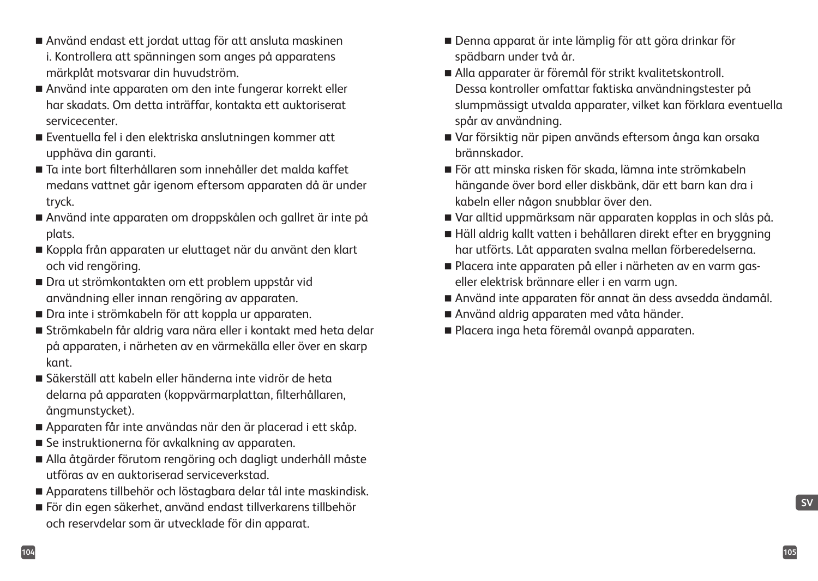- Använd endast ett jordat uttag för att ansluta maskinen i. Kontrollera att spänningen som anges på apparatens märkplåt motsvarar din huvudström.
- Använd inte apparaten om den inte fungerar korrekt eller har skadats. Om detta inträffar, kontakta ett auktoriserat servicecenter.
- Eventuella fel i den elektriska anslutningen kommer att upphäva din garanti.
- Ta inte bort filterhållaren som innehåller det malda kaffet medans vattnet går igenom eftersom apparaten då är under tryck.
- Använd inte apparaten om droppskålen och gallret är inte på plats.
- Koppla från apparaten ur eluttaget när du använt den klart och vid rengöring.
- Dra ut strömkontakten om ett problem uppstår vid användning eller innan rengöring av apparaten.
- Dra inte i strömkabeln för att koppla ur apparaten.
- Strömkabeln får aldrig vara nära eller i kontakt med heta delar på apparaten, i närheten av en värmekälla eller över en skarp kant.
- Säkerställ att kabeln eller händerna inte vidrör de heta delarna på apparaten (koppvärmarplattan, filterhållaren, ångmunstycket).
- Apparaten får inte användas när den är placerad i ett skåp.
- Se instruktionerna för avkalkning av apparaten.
- Alla åtgärder förutom rengöring och dagligt underhåll måste utföras av en auktoriserad serviceverkstad.
- Apparatens tillbehör och löstagbara delar tål inte maskindisk.
- För din egen säkerhet, använd endast tillverkarens tillbehör och reservdelar som är utvecklade för din apparat.
- Denna apparat är inte lämplig för att göra drinkar för spädbarn under två år.
- Alla apparater är föremål för strikt kvalitetskontroll. Dessa kontroller omfattar faktiska användningstester på slumpmässigt utvalda apparater, vilket kan förklara eventuella spår av användning.
- Var försiktig när pipen används eftersom ånga kan orsaka brännskador.
- För att minska risken för skada, lämna inte strömkabeln hängande över bord eller diskbänk, där ett barn kan dra i kabeln eller någon snubblar över den.
- Var alltid uppmärksam när apparaten kopplas in och slås på.
- Häll aldrig kallt vatten i behållaren direkt efter en bryggning har utförts. Låt apparaten svalna mellan förberedelserna.
- Placera inte apparaten på eller i närheten av en varm gaseller elektrisk brännare eller i en varm ugn.
- Använd inte apparaten för annat än dess avsedda ändamål.
- Använd aldrig apparaten med våta händer.
- Placera inga heta föremål ovanpå apparaten.

**SV**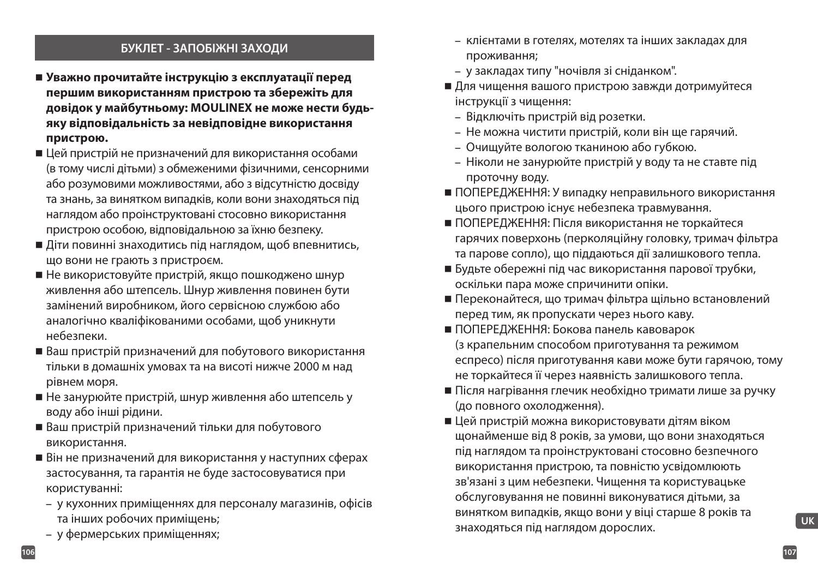#### **БУКЛЕТ - ЗАПОБІЖНІ ЗАХОДИ**

- **Уважно прочитайте інструкцію з експлуатації перед першим використанням пристрою та збережіть для довідок у майбутньому: MOULINEX не може нести будьяку відповідальність за невідповідне використання пристрою.**
- Цей пристрій не призначений для використання особами (в тому числі дітьми) з обмеженими фізичними, сенсорними або розумовими можливостями, або з відсутністю досвіду та знань, за винятком випадків, коли вони знаходяться під наглядом або проінструктовані стосовно використання пристрою особою, відповідальною за їхню безпеку.
- Діти повинні знаходитись під наглядом, щоб впевнитись, що вони не грають з пристроєм.
- Не використовуйте пристрій, якщо пошкоджено шнур живлення або штепсель. Шнур живлення повинен бути замінений виробником, його сервісною службою або аналогічно кваліфікованими особами, щоб уникнути небезпеки.
- Ваш пристрій призначений для побутового використання тільки в домашніх умовах та на висоті нижче 2000 м над рівнем моря.
- Не занурюйте пристрій, шнур живлення або штепсель у воду або інші рідини.
- Ваш пристрій призначений тільки для побутового використання.
- Він не призначений для використання у наступних сферах застосування, та гарантія не буде застосовуватися при користуванні:
	- у кухонних приміщеннях для персоналу магазинів, офісів та інших робочих приміщень;
	- у фермерських приміщеннях;
- клієнтами в готелях, мотелях та інших закладах для проживання;
- у закладах типу "ночівля зі сніданком".
- Для чищення вашого пристрою завжди дотримуйтеся інструкції з чищення:
	- Відключіть пристрій від розетки.
	- Не можна чистити пристрій, коли він ще гарячий.
	- Очищуйте вологою тканиною або губкою.
	- Ніколи не занурюйте пристрій у воду та не ставте під проточну воду.
- ПОПЕРЕДЖЕННЯ: У випадку неправильного використання цього пристрою існує небезпека травмування.
- ПОПЕРЕДЖЕННЯ: Після використання не торкайтеся гарячих поверхонь (перколяційну головку, тримач фільтра та парове сопло), що піддаються дії залишкового тепла.
- Будьте обережні під час використання парової трубки, оскільки пара може спричинити опіки.
- Переконайтеся, що тримач фільтра щільно встановлений перед тим, як пропускати через нього каву.
- ПОПЕРЕДЖЕННЯ: Бокова панель кавоварок (з крапельним способом приготування та режимом еспресо) після приготування кави може бути гарячою, тому не торкайтеся її через наявність залишкового тепла.
- Після нагрівання глечик необхідно тримати лише за ручку (до повного охолодження).
- Цей пристрій можна використовувати дітям віком щонайменше від 8 років, за умови, що вони знаходяться під наглядом та проінструктовані стосовно безпечного використання пристрою, та повністю усвідомлюють зв'язані з цим небезпеки. Чищення та користувацьке обслуговування не повинні виконуватися дітьми, за винятком випадків, якщо вони у віці старше 8 років та знаходяться під наглядом дорослих.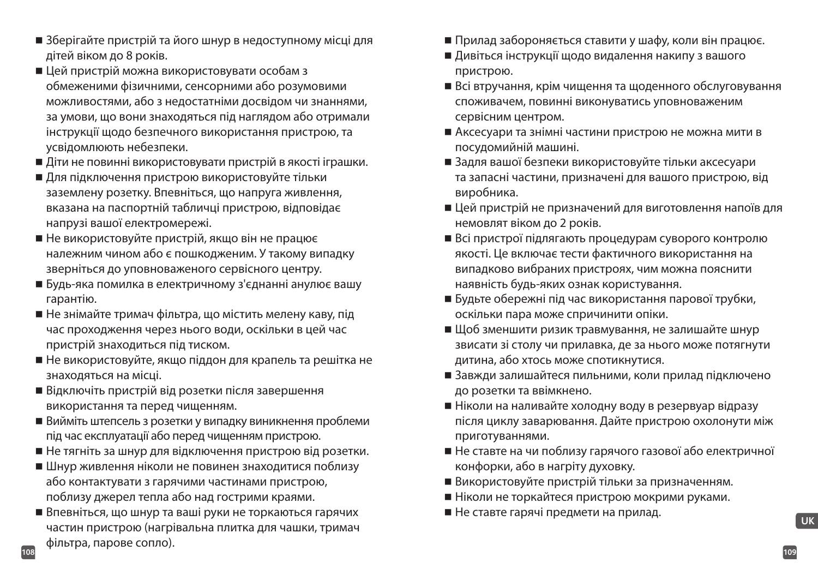- Зберігайте пристрій та його шнур в недоступному місці для дітей віком до 8 років.
- Цей пристрій можна використовувати особам з обмеженими фізичними, сенсорними або розумовими можливостями, або з недостатніми досвідом чи знаннями, за умови, що вони знаходяться під наглядом або отримали інструкції щодо безпечного використання пристрою, та усвідомлюють небезпеки.
- Діти не повинні використовувати пристрій в якості іграшки.
- Для підключення пристрою використовуйте тільки заземлену розетку. Впевніться, що напруга живлення, вказана на паспортній табличці пристрою, відповідає напрузі вашої електромережі.
- Не використовуйте пристрій, якщо він не працює належним чином або є пошкодженим. У такому випадку зверніться до уповноваженого сервісного центру.
- Будь-яка помилка в електричному з'єднанні анулює вашу гарантію.
- Не знімайте тримач фільтра, що містить мелену каву, під час проходження через нього води, оскільки в цей час пристрій знаходиться під тиском.
- Не використовуйте, якщо піддон для крапель та решітка не знаходяться на місці.
- Відключіть пристрій від розетки після завершення використання та перед чищенням.
- Вийміть штепсель з розетки у випадку виникнення проблеми під час експлуатації або перед чищенням пристрою.
- Не тягніть за шнур для відключення пристрою від розетки.
- Шнур живлення ніколи не повинен знаходитися поблизу або контактувати з гарячими частинами пристрою, поблизу джерел тепла або над гострими краями.
- **108 109** Впевніться, що шнур та ваші руки не торкаються гарячих частин пристрою (нагрівальна плитка для чашки, тримач фільтра, парове сопло).
- Прилад забороняється ставити у шафу, коли він працює.
- Дивіться інструкції щодо видалення накипу з вашого пристрою.
- Всі втручання, крім чищення та щоденного обслуговування споживачем, повинні виконуватись уповноваженим сервісним центром.
- Аксесуари та знімні частини пристрою не можна мити в посудомийній машині.
- Задля вашої безпеки використовуйте тільки аксесуари та запасні частини, призначені для вашого пристрою, від виробника.
- Цей пристрій не призначений для виготовлення напоїв для немовлят віком до 2 років.
- Всі пристрої підлягають процедурам суворого контролю якості. Це включає тести фактичного використання на випадково вибраних пристроях, чим можна пояснити наявність будь-яких ознак користування.
- Будьте обережні під час використання парової трубки, оскільки пара може спричинити опіки.
- Щоб зменшити ризик травмування, не залишайте шнур звисати зі столу чи прилавка, де за нього може потягнути дитина, або хтось може спотикнутися.
- Завжди залишайтеся пильними, коли прилад підключено до розетки та ввімкнено.
- Ніколи на наливайте холодну воду в резервуар відразу після циклу заварювання. Дайте пристрою охолонути між приготуваннями.
- Не ставте на чи поблизу гарячого газової або електричної конфорки, або в нагріту духовку.
- Використовуйте пристрій тільки за призначенням.
- Ніколи не торкайтеся пристрою мокрими руками.
- Не ставте гарячі предмети на прилад.